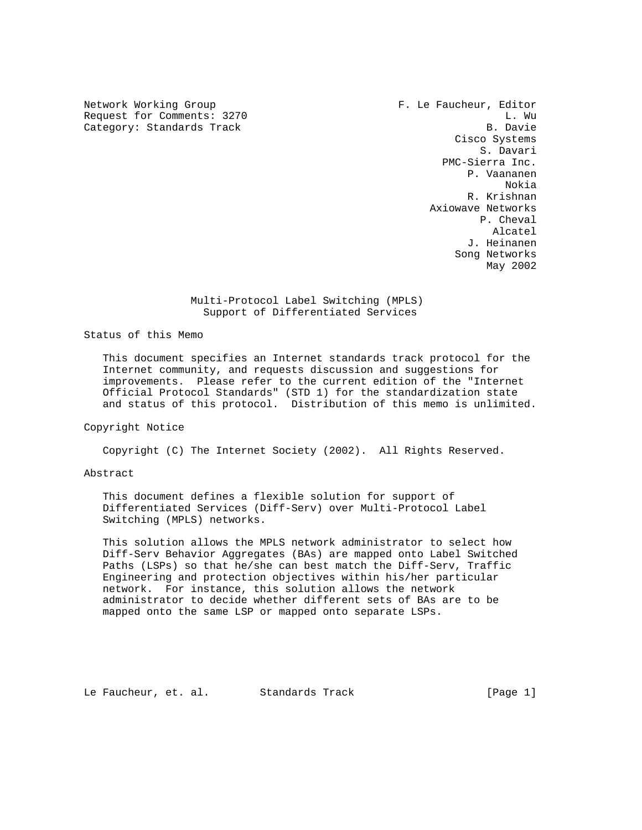Network Working Group **F. Le Faucheur, Editor** Request for Comments: 3270 L. Wu L. Wu L. Wu L. Wu L. Wu L. Wu L. Wu L. Wu L. Wu L. Wu L. Wu L. Wu L. Wu L. Wu Category: Standards Track

 Cisco Systems S. Davari PMC-Sierra Inc. P. Vaananen Nokia R. Krishnan Axiowave Networks P. Cheval Alcatel J. Heinanen Song Networks May 2002

#### Multi-Protocol Label Switching (MPLS) Support of Differentiated Services

## Status of this Memo

 This document specifies an Internet standards track protocol for the Internet community, and requests discussion and suggestions for improvements. Please refer to the current edition of the "Internet Official Protocol Standards" (STD 1) for the standardization state and status of this protocol. Distribution of this memo is unlimited.

## Copyright Notice

Copyright (C) The Internet Society (2002). All Rights Reserved.

## Abstract

 This document defines a flexible solution for support of Differentiated Services (Diff-Serv) over Multi-Protocol Label Switching (MPLS) networks.

 This solution allows the MPLS network administrator to select how Diff-Serv Behavior Aggregates (BAs) are mapped onto Label Switched Paths (LSPs) so that he/she can best match the Diff-Serv, Traffic Engineering and protection objectives within his/her particular network. For instance, this solution allows the network administrator to decide whether different sets of BAs are to be mapped onto the same LSP or mapped onto separate LSPs.

Le Faucheur, et. al. Standards Track [Page 1]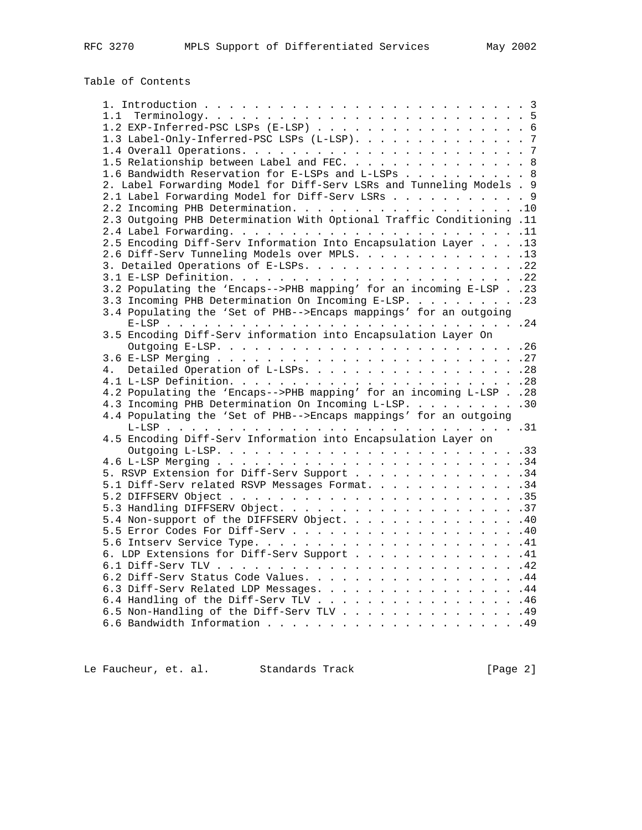# Table of Contents

| 1.1                                                                   |  |
|-----------------------------------------------------------------------|--|
| 1.2 EXP-Inferred-PSC LSPs (E-LSP) 6                                   |  |
| 1.3 Label-Only-Inferred-PSC LSPs (L-LSP). 7                           |  |
|                                                                       |  |
| 1.5 Relationship between Label and FEC. 8                             |  |
| 1.6 Bandwidth Reservation for E-LSPs and L-LSPs 8                     |  |
| 2. Label Forwarding Model for Diff-Serv LSRs and Tunneling Models . 9 |  |
| 2.1 Label Forwarding Model for Diff-Serv LSRs 9                       |  |
|                                                                       |  |
| 2.3 Outgoing PHB Determination With Optional Traffic Conditioning .11 |  |
|                                                                       |  |
| 2.5 Encoding Diff-Serv Information Into Encapsulation Layer 13        |  |
| 2.6 Diff-Serv Tunneling Models over MPLS. 13                          |  |
|                                                                       |  |
|                                                                       |  |
| 3.2 Populating the 'Encaps-->PHB mapping' for an incoming E-LSP 23    |  |
| 3.3 Incoming PHB Determination On Incoming E-LSP. 23                  |  |
| 3.4 Populating the 'Set of PHB-->Encaps mappings' for an outgoing     |  |
|                                                                       |  |
| 3.5 Encoding Diff-Serv information into Encapsulation Layer On        |  |
|                                                                       |  |
|                                                                       |  |
|                                                                       |  |
|                                                                       |  |
| 4.2 Populating the 'Encaps-->PHB mapping' for an incoming L-LSP 28    |  |
| 4.3 Incoming PHB Determination On Incoming L-LSP. 30                  |  |
| 4.4 Populating the 'Set of PHB-->Encaps mappings' for an outgoing     |  |
|                                                                       |  |
| 4.5 Encoding Diff-Serv Information into Encapsulation Layer on        |  |
|                                                                       |  |
|                                                                       |  |
| 5. RSVP Extension for Diff-Serv Support 34                            |  |
| 5.1 Diff-Serv related RSVP Messages Format. 34                        |  |
|                                                                       |  |
|                                                                       |  |
| 5.4 Non-support of the DIFFSERV Object. 40                            |  |
|                                                                       |  |
|                                                                       |  |
| 6. LDP Extensions for Diff-Serv Support 41                            |  |
|                                                                       |  |
| 6.2 Diff-Serv Status Code Values. 44                                  |  |
| 6.3 Diff-Serv Related LDP Messages. 44                                |  |
| 6.4 Handling of the Diff-Serv TLV 46                                  |  |
| 6.5 Non-Handling of the Diff-Serv TLV 49                              |  |
|                                                                       |  |
|                                                                       |  |

Le Faucheur, et. al. Standards Track (Page 2)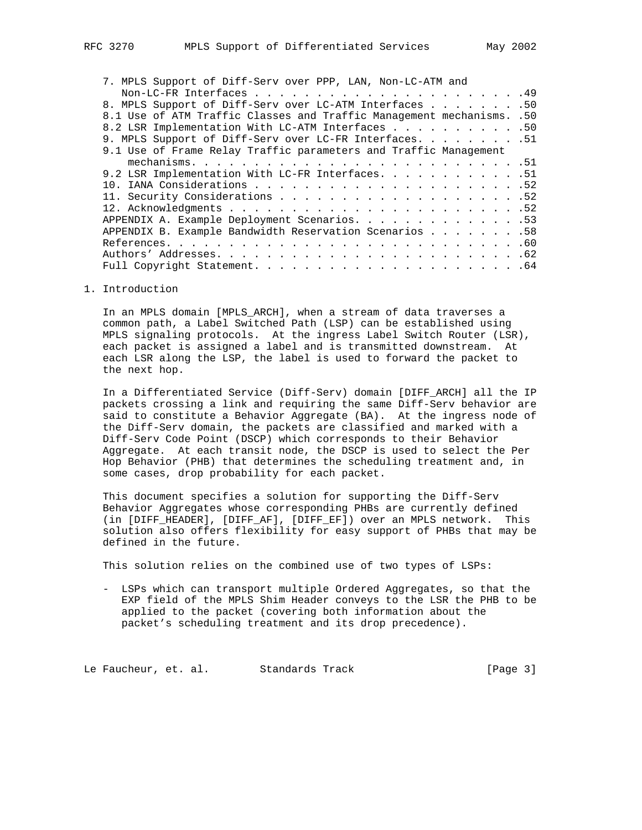| 7. MPLS Support of Diff-Serv over PPP, LAN, Non-LC-ATM and            |  |
|-----------------------------------------------------------------------|--|
|                                                                       |  |
| 8. MPLS Support of Diff-Serv over LC-ATM Interfaces 50                |  |
| 8.1 Use of ATM Traffic Classes and Traffic Management mechanisms. .50 |  |
| 8.2 LSR Implementation With LC-ATM Interfaces 50                      |  |
| 9. MPLS Support of Diff-Serv over LC-FR Interfaces. 51                |  |
| 9.1 Use of Frame Relay Traffic parameters and Traffic Management      |  |
|                                                                       |  |
| 9.2 LSR Implementation With LC-FR Interfaces. 51                      |  |
|                                                                       |  |
|                                                                       |  |
|                                                                       |  |
| APPENDIX A. Example Deployment Scenarios. 53                          |  |
| APPENDIX B. Example Bandwidth Reservation Scenarios 58                |  |
|                                                                       |  |
|                                                                       |  |
|                                                                       |  |

## 1. Introduction

 In an MPLS domain [MPLS\_ARCH], when a stream of data traverses a common path, a Label Switched Path (LSP) can be established using MPLS signaling protocols. At the ingress Label Switch Router (LSR), each packet is assigned a label and is transmitted downstream. At each LSR along the LSP, the label is used to forward the packet to the next hop.

 In a Differentiated Service (Diff-Serv) domain [DIFF\_ARCH] all the IP packets crossing a link and requiring the same Diff-Serv behavior are said to constitute a Behavior Aggregate (BA). At the ingress node of the Diff-Serv domain, the packets are classified and marked with a Diff-Serv Code Point (DSCP) which corresponds to their Behavior Aggregate. At each transit node, the DSCP is used to select the Per Hop Behavior (PHB) that determines the scheduling treatment and, in some cases, drop probability for each packet.

 This document specifies a solution for supporting the Diff-Serv Behavior Aggregates whose corresponding PHBs are currently defined (in [DIFF\_HEADER], [DIFF\_AF], [DIFF\_EF]) over an MPLS network. This solution also offers flexibility for easy support of PHBs that may be defined in the future.

This solution relies on the combined use of two types of LSPs:

 - LSPs which can transport multiple Ordered Aggregates, so that the EXP field of the MPLS Shim Header conveys to the LSR the PHB to be applied to the packet (covering both information about the packet's scheduling treatment and its drop precedence).

Le Faucheur, et. al. Standards Track [Page 3]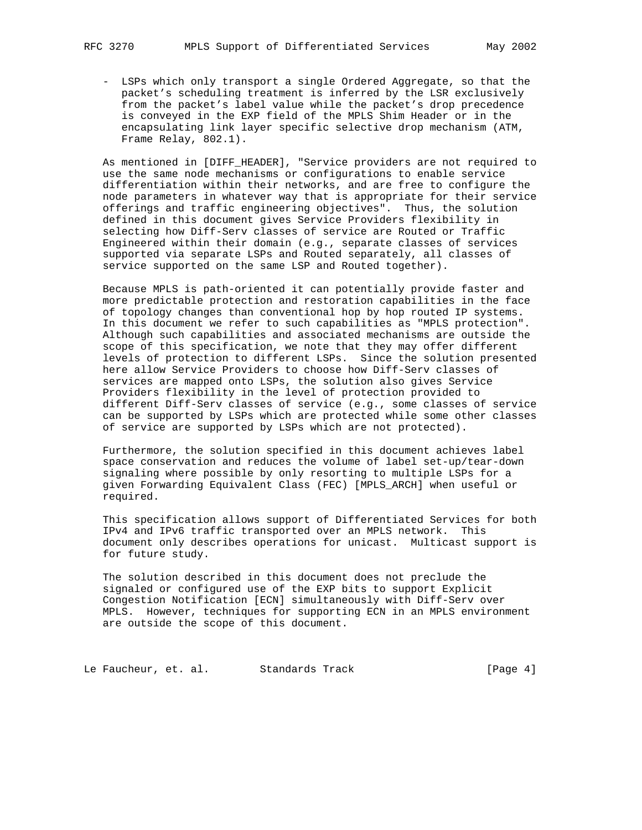- LSPs which only transport a single Ordered Aggregate, so that the packet's scheduling treatment is inferred by the LSR exclusively from the packet's label value while the packet's drop precedence is conveyed in the EXP field of the MPLS Shim Header or in the encapsulating link layer specific selective drop mechanism (ATM, Frame Relay, 802.1).

 As mentioned in [DIFF\_HEADER], "Service providers are not required to use the same node mechanisms or configurations to enable service differentiation within their networks, and are free to configure the node parameters in whatever way that is appropriate for their service offerings and traffic engineering objectives". Thus, the solution defined in this document gives Service Providers flexibility in selecting how Diff-Serv classes of service are Routed or Traffic Engineered within their domain (e.g., separate classes of services supported via separate LSPs and Routed separately, all classes of service supported on the same LSP and Routed together).

 Because MPLS is path-oriented it can potentially provide faster and more predictable protection and restoration capabilities in the face of topology changes than conventional hop by hop routed IP systems. In this document we refer to such capabilities as "MPLS protection". Although such capabilities and associated mechanisms are outside the scope of this specification, we note that they may offer different levels of protection to different LSPs. Since the solution presented here allow Service Providers to choose how Diff-Serv classes of services are mapped onto LSPs, the solution also gives Service Providers flexibility in the level of protection provided to different Diff-Serv classes of service (e.g., some classes of service can be supported by LSPs which are protected while some other classes of service are supported by LSPs which are not protected).

 Furthermore, the solution specified in this document achieves label space conservation and reduces the volume of label set-up/tear-down signaling where possible by only resorting to multiple LSPs for a given Forwarding Equivalent Class (FEC) [MPLS\_ARCH] when useful or required.

 This specification allows support of Differentiated Services for both IPv4 and IPv6 traffic transported over an MPLS network. This document only describes operations for unicast. Multicast support is for future study.

 The solution described in this document does not preclude the signaled or configured use of the EXP bits to support Explicit Congestion Notification [ECN] simultaneously with Diff-Serv over MPLS. However, techniques for supporting ECN in an MPLS environment are outside the scope of this document.

Le Faucheur, et. al. Standards Track [Page 4]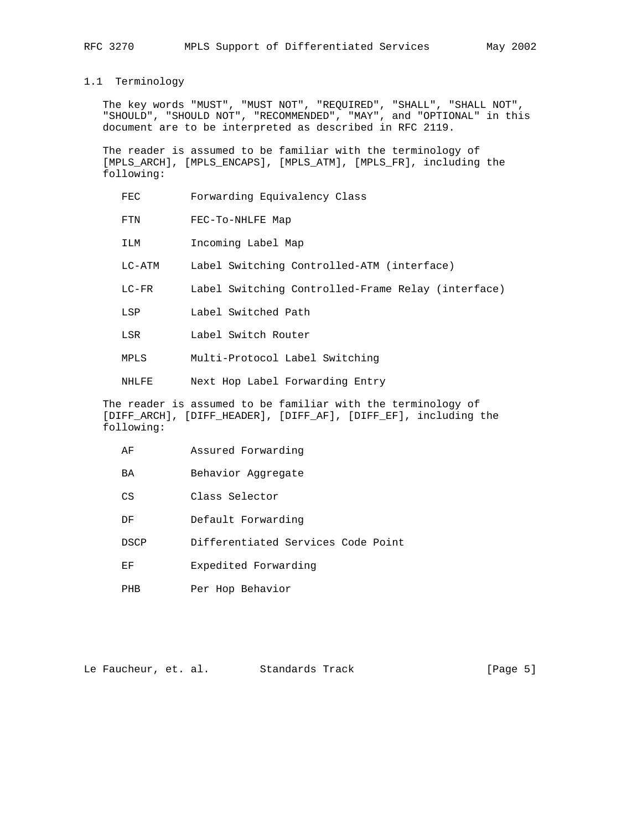## 1.1 Terminology

 The key words "MUST", "MUST NOT", "REQUIRED", "SHALL", "SHALL NOT", "SHOULD", "SHOULD NOT", "RECOMMENDED", "MAY", and "OPTIONAL" in this document are to be interpreted as described in RFC 2119.

 The reader is assumed to be familiar with the terminology of [MPLS\_ARCH], [MPLS\_ENCAPS], [MPLS\_ATM], [MPLS\_FR], including the following:

- FEC Forwarding Equivalency Class
- FTN FEC-To-NHLFE Map
- ILM Incoming Label Map
- LC-ATM Label Switching Controlled-ATM (interface)
- LC-FR Label Switching Controlled-Frame Relay (interface)
- LSP Label Switched Path
- LSR Label Switch Router
- MPLS Multi-Protocol Label Switching
- NHLFE Next Hop Label Forwarding Entry

 The reader is assumed to be familiar with the terminology of [DIFF\_ARCH], [DIFF\_HEADER], [DIFF\_AF], [DIFF\_EF], including the following:

- AF Assured Forwarding
- BA Behavior Aggregate
- CS Class Selector
- DF Default Forwarding
- DSCP Differentiated Services Code Point
- EF Expedited Forwarding
- PHB Per Hop Behavior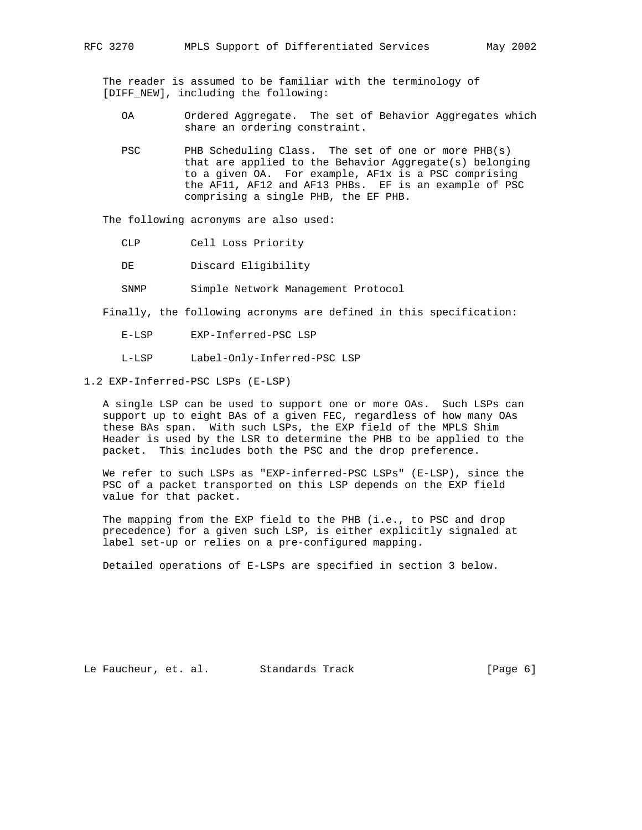The reader is assumed to be familiar with the terminology of [DIFF\_NEW], including the following:

- OA Ordered Aggregate. The set of Behavior Aggregates which share an ordering constraint.
- PSC PHB Scheduling Class. The set of one or more PHB(s) that are applied to the Behavior Aggregate(s) belonging to a given OA. For example, AF1x is a PSC comprising the AF11, AF12 and AF13 PHBs. EF is an example of PSC comprising a single PHB, the EF PHB.

The following acronyms are also used:

- CLP Cell Loss Priority
- DE Discard Eligibility
- SNMP Simple Network Management Protocol

Finally, the following acronyms are defined in this specification:

- E-LSP EXP-Inferred-PSC LSP
- L-LSP Label-Only-Inferred-PSC LSP

1.2 EXP-Inferred-PSC LSPs (E-LSP)

 A single LSP can be used to support one or more OAs. Such LSPs can support up to eight BAs of a given FEC, regardless of how many OAs these BAs span. With such LSPs, the EXP field of the MPLS Shim Header is used by the LSR to determine the PHB to be applied to the packet. This includes both the PSC and the drop preference.

We refer to such LSPs as "EXP-inferred-PSC LSPs" (E-LSP), since the PSC of a packet transported on this LSP depends on the EXP field value for that packet.

 The mapping from the EXP field to the PHB (i.e., to PSC and drop precedence) for a given such LSP, is either explicitly signaled at label set-up or relies on a pre-configured mapping.

Detailed operations of E-LSPs are specified in section 3 below.

Le Faucheur, et. al. Standards Track [Page 6]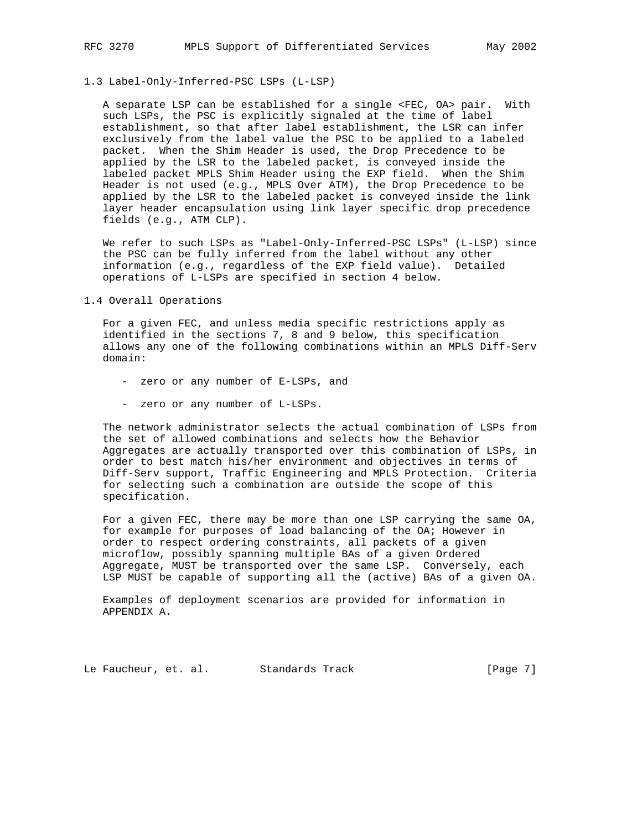1.3 Label-Only-Inferred-PSC LSPs (L-LSP)

 A separate LSP can be established for a single <FEC, OA> pair. With such LSPs, the PSC is explicitly signaled at the time of label establishment, so that after label establishment, the LSR can infer exclusively from the label value the PSC to be applied to a labeled packet. When the Shim Header is used, the Drop Precedence to be applied by the LSR to the labeled packet, is conveyed inside the labeled packet MPLS Shim Header using the EXP field. When the Shim Header is not used (e.g., MPLS Over ATM), the Drop Precedence to be applied by the LSR to the labeled packet is conveyed inside the link layer header encapsulation using link layer specific drop precedence fields (e.g., ATM CLP).

 We refer to such LSPs as "Label-Only-Inferred-PSC LSPs" (L-LSP) since the PSC can be fully inferred from the label without any other information (e.g., regardless of the EXP field value). Detailed operations of L-LSPs are specified in section 4 below.

1.4 Overall Operations

 For a given FEC, and unless media specific restrictions apply as identified in the sections 7, 8 and 9 below, this specification allows any one of the following combinations within an MPLS Diff-Serv domain:

- zero or any number of E-LSPs, and
- zero or any number of L-LSPs.

 The network administrator selects the actual combination of LSPs from the set of allowed combinations and selects how the Behavior Aggregates are actually transported over this combination of LSPs, in order to best match his/her environment and objectives in terms of Diff-Serv support, Traffic Engineering and MPLS Protection. Criteria for selecting such a combination are outside the scope of this specification.

 For a given FEC, there may be more than one LSP carrying the same OA, for example for purposes of load balancing of the OA; However in order to respect ordering constraints, all packets of a given microflow, possibly spanning multiple BAs of a given Ordered Aggregate, MUST be transported over the same LSP. Conversely, each LSP MUST be capable of supporting all the (active) BAs of a given OA.

 Examples of deployment scenarios are provided for information in APPENDIX A.

Le Faucheur, et. al. Standards Track [Page 7]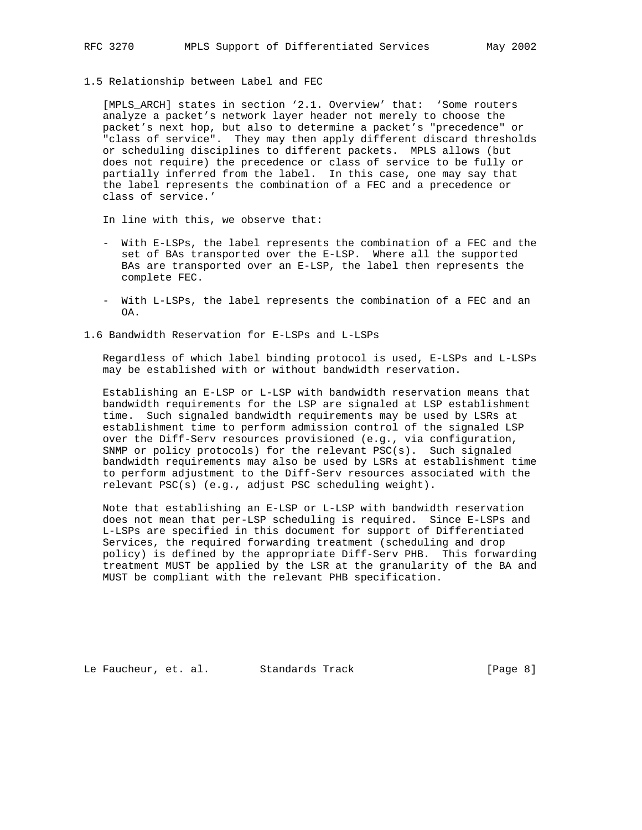1.5 Relationship between Label and FEC

 [MPLS\_ARCH] states in section '2.1. Overview' that: 'Some routers analyze a packet's network layer header not merely to choose the packet's next hop, but also to determine a packet's "precedence" or "class of service". They may then apply different discard thresholds or scheduling disciplines to different packets. MPLS allows (but does not require) the precedence or class of service to be fully or partially inferred from the label. In this case, one may say that the label represents the combination of a FEC and a precedence or class of service.'

In line with this, we observe that:

- With E-LSPs, the label represents the combination of a FEC and the set of BAs transported over the E-LSP. Where all the supported BAs are transported over an E-LSP, the label then represents the complete FEC.
- With L-LSPs, the label represents the combination of a FEC and an OA.
- 1.6 Bandwidth Reservation for E-LSPs and L-LSPs

 Regardless of which label binding protocol is used, E-LSPs and L-LSPs may be established with or without bandwidth reservation.

 Establishing an E-LSP or L-LSP with bandwidth reservation means that bandwidth requirements for the LSP are signaled at LSP establishment time. Such signaled bandwidth requirements may be used by LSRs at establishment time to perform admission control of the signaled LSP over the Diff-Serv resources provisioned (e.g., via configuration, SNMP or policy protocols) for the relevant PSC(s). Such signaled bandwidth requirements may also be used by LSRs at establishment time to perform adjustment to the Diff-Serv resources associated with the relevant PSC(s) (e.g., adjust PSC scheduling weight).

 Note that establishing an E-LSP or L-LSP with bandwidth reservation does not mean that per-LSP scheduling is required. Since E-LSPs and L-LSPs are specified in this document for support of Differentiated Services, the required forwarding treatment (scheduling and drop policy) is defined by the appropriate Diff-Serv PHB. This forwarding treatment MUST be applied by the LSR at the granularity of the BA and MUST be compliant with the relevant PHB specification.

Le Faucheur, et. al. Standards Track [Page 8]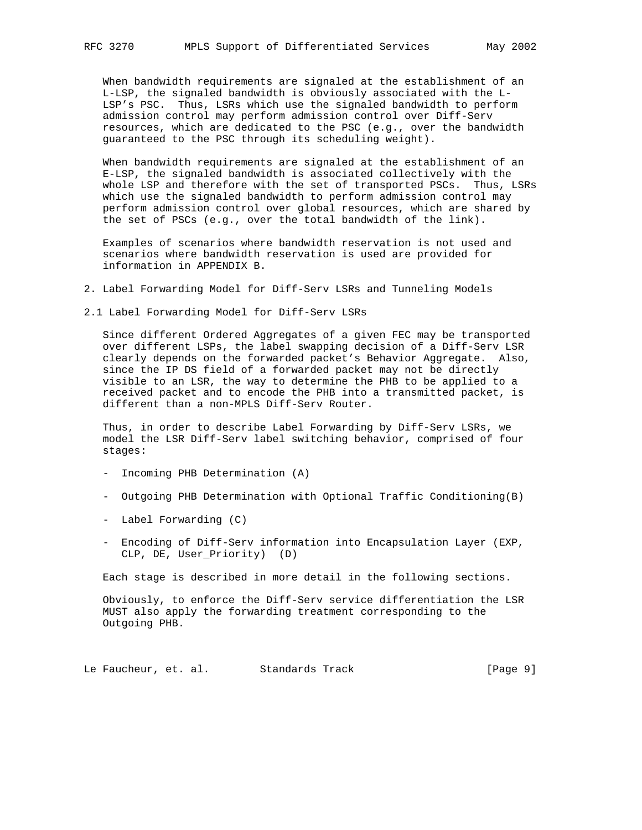When bandwidth requirements are signaled at the establishment of an L-LSP, the signaled bandwidth is obviously associated with the L- LSP's PSC. Thus, LSRs which use the signaled bandwidth to perform admission control may perform admission control over Diff-Serv resources, which are dedicated to the PSC (e.g., over the bandwidth guaranteed to the PSC through its scheduling weight).

 When bandwidth requirements are signaled at the establishment of an E-LSP, the signaled bandwidth is associated collectively with the whole LSP and therefore with the set of transported PSCs. Thus, LSRs which use the signaled bandwidth to perform admission control may perform admission control over global resources, which are shared by the set of PSCs (e.g., over the total bandwidth of the link).

 Examples of scenarios where bandwidth reservation is not used and scenarios where bandwidth reservation is used are provided for information in APPENDIX B.

2. Label Forwarding Model for Diff-Serv LSRs and Tunneling Models

2.1 Label Forwarding Model for Diff-Serv LSRs

 Since different Ordered Aggregates of a given FEC may be transported over different LSPs, the label swapping decision of a Diff-Serv LSR clearly depends on the forwarded packet's Behavior Aggregate. Also, since the IP DS field of a forwarded packet may not be directly visible to an LSR, the way to determine the PHB to be applied to a received packet and to encode the PHB into a transmitted packet, is different than a non-MPLS Diff-Serv Router.

 Thus, in order to describe Label Forwarding by Diff-Serv LSRs, we model the LSR Diff-Serv label switching behavior, comprised of four stages:

- Incoming PHB Determination (A)
- Outgoing PHB Determination with Optional Traffic Conditioning(B)
- Label Forwarding (C)
- Encoding of Diff-Serv information into Encapsulation Layer (EXP, CLP, DE, User\_Priority) (D)

Each stage is described in more detail in the following sections.

 Obviously, to enforce the Diff-Serv service differentiation the LSR MUST also apply the forwarding treatment corresponding to the Outgoing PHB.

Le Faucheur, et. al. Standards Track [Page 9]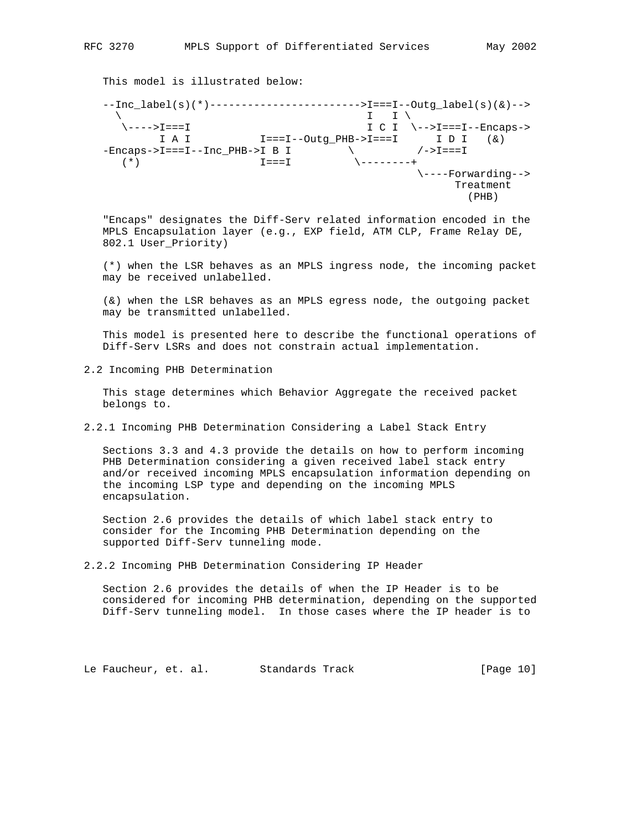This model is illustrated below:

 --Inc\_label(s)(\*)------------------------>I===I--Outg\_label(s)(&)--> \ I I \ \---->I===I I C I \-->I===I--Encaps->  $I A I$   $I = I - Outg_PHB - I == I$   $I D I$   $(\&)$  -Encaps->I===I--Inc\_PHB->I B I \ /->I===I (\*) I===I \--------+ \----Forwarding--> Treatment  $(PHB)$ 

 "Encaps" designates the Diff-Serv related information encoded in the MPLS Encapsulation layer (e.g., EXP field, ATM CLP, Frame Relay DE, 802.1 User\_Priority)

 (\*) when the LSR behaves as an MPLS ingress node, the incoming packet may be received unlabelled.

 (&) when the LSR behaves as an MPLS egress node, the outgoing packet may be transmitted unlabelled.

 This model is presented here to describe the functional operations of Diff-Serv LSRs and does not constrain actual implementation.

2.2 Incoming PHB Determination

 This stage determines which Behavior Aggregate the received packet belongs to.

2.2.1 Incoming PHB Determination Considering a Label Stack Entry

 Sections 3.3 and 4.3 provide the details on how to perform incoming PHB Determination considering a given received label stack entry and/or received incoming MPLS encapsulation information depending on the incoming LSP type and depending on the incoming MPLS encapsulation.

 Section 2.6 provides the details of which label stack entry to consider for the Incoming PHB Determination depending on the supported Diff-Serv tunneling mode.

2.2.2 Incoming PHB Determination Considering IP Header

 Section 2.6 provides the details of when the IP Header is to be considered for incoming PHB determination, depending on the supported Diff-Serv tunneling model. In those cases where the IP header is to

Le Faucheur, et. al. Standards Track [Page 10]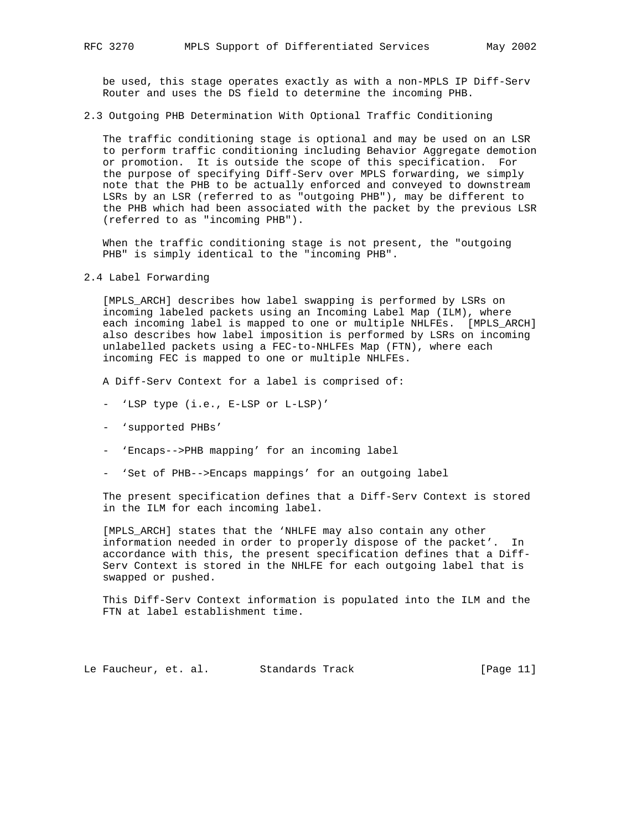be used, this stage operates exactly as with a non-MPLS IP Diff-Serv Router and uses the DS field to determine the incoming PHB.

2.3 Outgoing PHB Determination With Optional Traffic Conditioning

 The traffic conditioning stage is optional and may be used on an LSR to perform traffic conditioning including Behavior Aggregate demotion or promotion. It is outside the scope of this specification. For the purpose of specifying Diff-Serv over MPLS forwarding, we simply note that the PHB to be actually enforced and conveyed to downstream LSRs by an LSR (referred to as "outgoing PHB"), may be different to the PHB which had been associated with the packet by the previous LSR (referred to as "incoming PHB").

 When the traffic conditioning stage is not present, the "outgoing PHB" is simply identical to the "incoming PHB".

#### 2.4 Label Forwarding

 [MPLS\_ARCH] describes how label swapping is performed by LSRs on incoming labeled packets using an Incoming Label Map (ILM), where each incoming label is mapped to one or multiple NHLFEs. [MPLS\_ARCH] also describes how label imposition is performed by LSRs on incoming unlabelled packets using a FEC-to-NHLFEs Map (FTN), where each incoming FEC is mapped to one or multiple NHLFEs.

A Diff-Serv Context for a label is comprised of:

- 'LSP type (i.e., E-LSP or L-LSP)'
- 'supported PHBs'
- 'Encaps-->PHB mapping' for an incoming label
- 'Set of PHB-->Encaps mappings' for an outgoing label

 The present specification defines that a Diff-Serv Context is stored in the ILM for each incoming label.

 [MPLS\_ARCH] states that the 'NHLFE may also contain any other information needed in order to properly dispose of the packet'. In accordance with this, the present specification defines that a Diff- Serv Context is stored in the NHLFE for each outgoing label that is swapped or pushed.

 This Diff-Serv Context information is populated into the ILM and the FTN at label establishment time.

Le Faucheur, et. al. Standards Track [Page 11]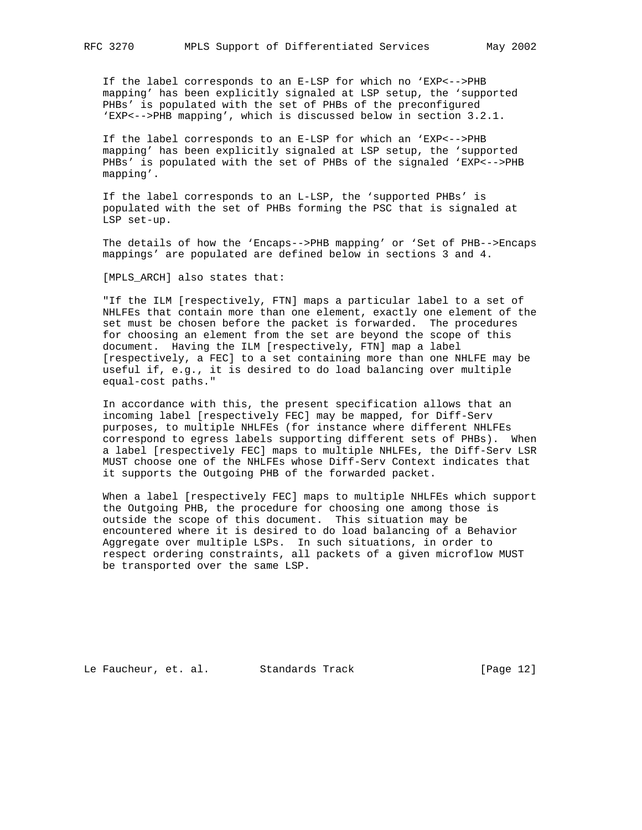If the label corresponds to an E-LSP for which no 'EXP<-->PHB mapping' has been explicitly signaled at LSP setup, the 'supported PHBs' is populated with the set of PHBs of the preconfigured 'EXP<-->PHB mapping', which is discussed below in section 3.2.1.

 If the label corresponds to an E-LSP for which an 'EXP<-->PHB mapping' has been explicitly signaled at LSP setup, the 'supported PHBs' is populated with the set of PHBs of the signaled 'EXP<-->PHB mapping'.

 If the label corresponds to an L-LSP, the 'supported PHBs' is populated with the set of PHBs forming the PSC that is signaled at LSP set-up.

 The details of how the 'Encaps-->PHB mapping' or 'Set of PHB-->Encaps mappings' are populated are defined below in sections 3 and 4.

[MPLS\_ARCH] also states that:

 "If the ILM [respectively, FTN] maps a particular label to a set of NHLFEs that contain more than one element, exactly one element of the set must be chosen before the packet is forwarded. The procedures for choosing an element from the set are beyond the scope of this document. Having the ILM [respectively, FTN] map a label [respectively, a FEC] to a set containing more than one NHLFE may be useful if, e.g., it is desired to do load balancing over multiple equal-cost paths."

 In accordance with this, the present specification allows that an incoming label [respectively FEC] may be mapped, for Diff-Serv purposes, to multiple NHLFEs (for instance where different NHLFEs correspond to egress labels supporting different sets of PHBs). When a label [respectively FEC] maps to multiple NHLFEs, the Diff-Serv LSR MUST choose one of the NHLFEs whose Diff-Serv Context indicates that it supports the Outgoing PHB of the forwarded packet.

 When a label [respectively FEC] maps to multiple NHLFEs which support the Outgoing PHB, the procedure for choosing one among those is outside the scope of this document. This situation may be encountered where it is desired to do load balancing of a Behavior Aggregate over multiple LSPs. In such situations, in order to respect ordering constraints, all packets of a given microflow MUST be transported over the same LSP.

Le Faucheur, et. al. Standards Track [Page 12]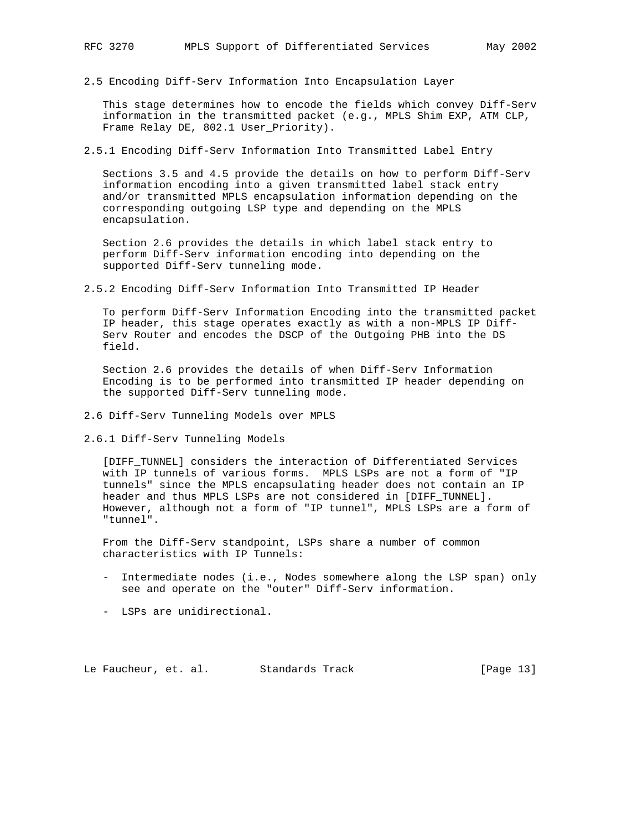2.5 Encoding Diff-Serv Information Into Encapsulation Layer

 This stage determines how to encode the fields which convey Diff-Serv information in the transmitted packet (e.g., MPLS Shim EXP, ATM CLP, Frame Relay DE, 802.1 User\_Priority).

2.5.1 Encoding Diff-Serv Information Into Transmitted Label Entry

 Sections 3.5 and 4.5 provide the details on how to perform Diff-Serv information encoding into a given transmitted label stack entry and/or transmitted MPLS encapsulation information depending on the corresponding outgoing LSP type and depending on the MPLS encapsulation.

 Section 2.6 provides the details in which label stack entry to perform Diff-Serv information encoding into depending on the supported Diff-Serv tunneling mode.

2.5.2 Encoding Diff-Serv Information Into Transmitted IP Header

 To perform Diff-Serv Information Encoding into the transmitted packet IP header, this stage operates exactly as with a non-MPLS IP Diff- Serv Router and encodes the DSCP of the Outgoing PHB into the DS field.

 Section 2.6 provides the details of when Diff-Serv Information Encoding is to be performed into transmitted IP header depending on the supported Diff-Serv tunneling mode.

- 2.6 Diff-Serv Tunneling Models over MPLS
- 2.6.1 Diff-Serv Tunneling Models

 [DIFF\_TUNNEL] considers the interaction of Differentiated Services with IP tunnels of various forms. MPLS LSPs are not a form of "IP tunnels" since the MPLS encapsulating header does not contain an IP header and thus MPLS LSPs are not considered in [DIFF\_TUNNEL]. However, although not a form of "IP tunnel", MPLS LSPs are a form of "tunnel".

 From the Diff-Serv standpoint, LSPs share a number of common characteristics with IP Tunnels:

- Intermediate nodes (i.e., Nodes somewhere along the LSP span) only see and operate on the "outer" Diff-Serv information.
- LSPs are unidirectional.

Le Faucheur, et. al. Standards Track [Page 13]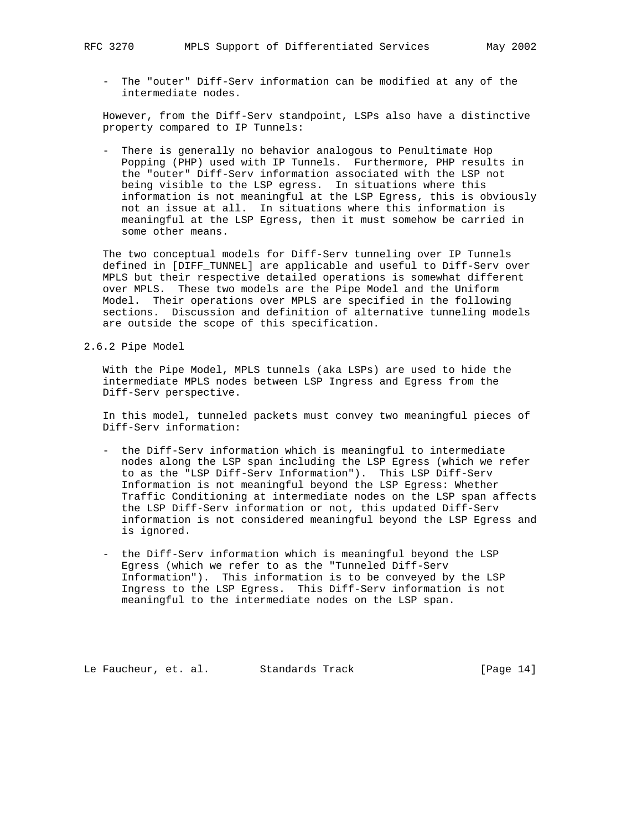- The "outer" Diff-Serv information can be modified at any of the intermediate nodes.

 However, from the Diff-Serv standpoint, LSPs also have a distinctive property compared to IP Tunnels:

 - There is generally no behavior analogous to Penultimate Hop Popping (PHP) used with IP Tunnels. Furthermore, PHP results in the "outer" Diff-Serv information associated with the LSP not being visible to the LSP egress. In situations where this information is not meaningful at the LSP Egress, this is obviously not an issue at all. In situations where this information is meaningful at the LSP Egress, then it must somehow be carried in some other means.

 The two conceptual models for Diff-Serv tunneling over IP Tunnels defined in [DIFF\_TUNNEL] are applicable and useful to Diff-Serv over MPLS but their respective detailed operations is somewhat different over MPLS. These two models are the Pipe Model and the Uniform Model. Their operations over MPLS are specified in the following sections. Discussion and definition of alternative tunneling models are outside the scope of this specification.

2.6.2 Pipe Model

 With the Pipe Model, MPLS tunnels (aka LSPs) are used to hide the intermediate MPLS nodes between LSP Ingress and Egress from the Diff-Serv perspective.

 In this model, tunneled packets must convey two meaningful pieces of Diff-Serv information:

- the Diff-Serv information which is meaningful to intermediate nodes along the LSP span including the LSP Egress (which we refer to as the "LSP Diff-Serv Information"). This LSP Diff-Serv Information is not meaningful beyond the LSP Egress: Whether Traffic Conditioning at intermediate nodes on the LSP span affects the LSP Diff-Serv information or not, this updated Diff-Serv information is not considered meaningful beyond the LSP Egress and is ignored.
- the Diff-Serv information which is meaningful beyond the LSP Egress (which we refer to as the "Tunneled Diff-Serv Information"). This information is to be conveyed by the LSP Ingress to the LSP Egress. This Diff-Serv information is not meaningful to the intermediate nodes on the LSP span.

Le Faucheur, et. al. Standards Track [Page 14]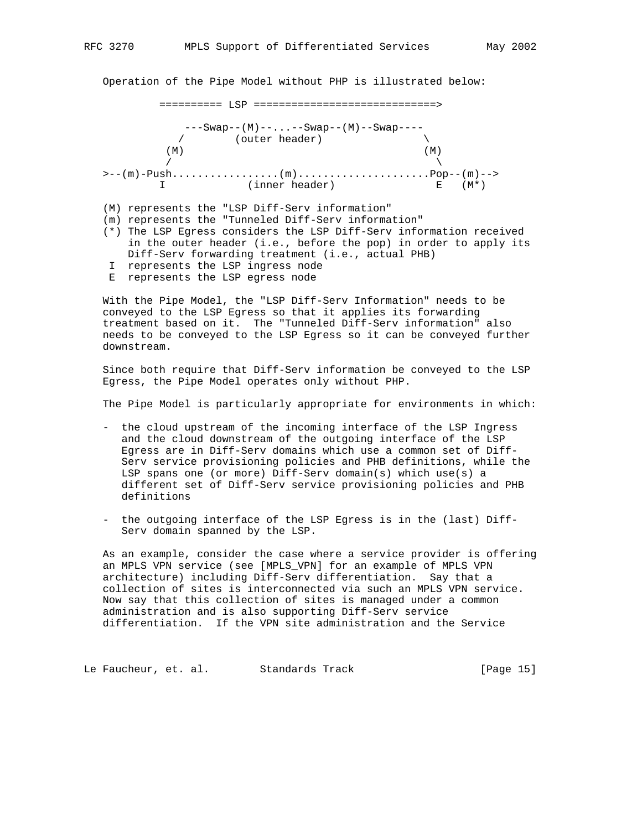Operation of the Pipe Model without PHP is illustrated below:

========== LSP =============================>

 ---Swap--(M)--...--Swap--(M)--Swap----  $/$  (outer header)  $\setminus$  $(M)$  $\sqrt{ }$  >--(m)-Push.................(m).....................Pop--(m)--> I (inner header) E (M\*)

(M) represents the "LSP Diff-Serv information"

(m) represents the "Tunneled Diff-Serv information"

 (\*) The LSP Egress considers the LSP Diff-Serv information received in the outer header (i.e., before the pop) in order to apply its Diff-Serv forwarding treatment (i.e., actual PHB) I represents the LSP ingress node

E represents the LSP egress node

 With the Pipe Model, the "LSP Diff-Serv Information" needs to be conveyed to the LSP Egress so that it applies its forwarding treatment based on it. The "Tunneled Diff-Serv information" also needs to be conveyed to the LSP Egress so it can be conveyed further downstream.

 Since both require that Diff-Serv information be conveyed to the LSP Egress, the Pipe Model operates only without PHP.

The Pipe Model is particularly appropriate for environments in which:

- the cloud upstream of the incoming interface of the LSP Ingress and the cloud downstream of the outgoing interface of the LSP Egress are in Diff-Serv domains which use a common set of Diff- Serv service provisioning policies and PHB definitions, while the LSP spans one (or more) Diff-Serv domain(s) which use(s) a different set of Diff-Serv service provisioning policies and PHB definitions
- the outgoing interface of the LSP Egress is in the (last) Diff- Serv domain spanned by the LSP.

 As an example, consider the case where a service provider is offering an MPLS VPN service (see [MPLS\_VPN] for an example of MPLS VPN architecture) including Diff-Serv differentiation. Say that a collection of sites is interconnected via such an MPLS VPN service. Now say that this collection of sites is managed under a common administration and is also supporting Diff-Serv service differentiation. If the VPN site administration and the Service

Le Faucheur, et. al. Standards Track [Page 15]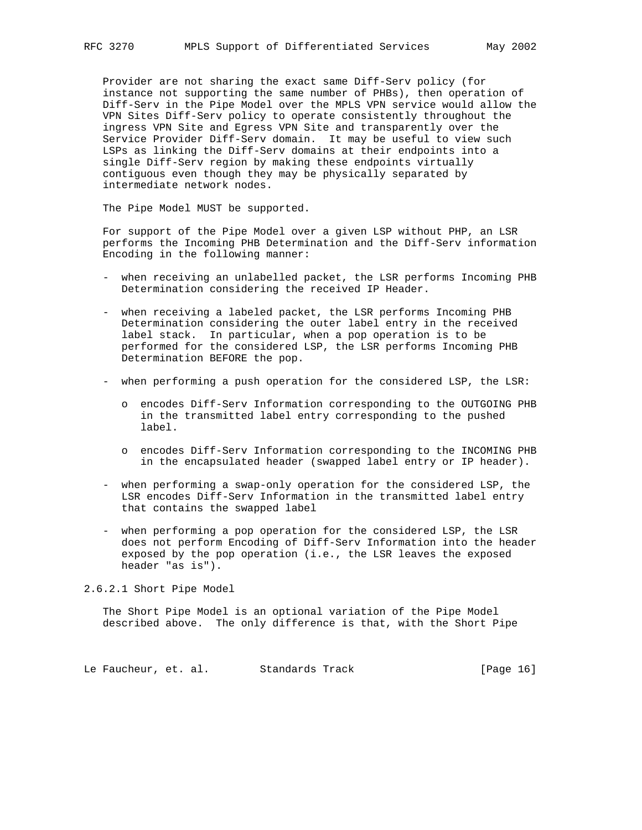Provider are not sharing the exact same Diff-Serv policy (for instance not supporting the same number of PHBs), then operation of Diff-Serv in the Pipe Model over the MPLS VPN service would allow the VPN Sites Diff-Serv policy to operate consistently throughout the ingress VPN Site and Egress VPN Site and transparently over the Service Provider Diff-Serv domain. It may be useful to view such LSPs as linking the Diff-Serv domains at their endpoints into a single Diff-Serv region by making these endpoints virtually contiguous even though they may be physically separated by intermediate network nodes.

The Pipe Model MUST be supported.

 For support of the Pipe Model over a given LSP without PHP, an LSR performs the Incoming PHB Determination and the Diff-Serv information Encoding in the following manner:

- when receiving an unlabelled packet, the LSR performs Incoming PHB Determination considering the received IP Header.
- when receiving a labeled packet, the LSR performs Incoming PHB Determination considering the outer label entry in the received label stack. In particular, when a pop operation is to be performed for the considered LSP, the LSR performs Incoming PHB Determination BEFORE the pop.
- when performing a push operation for the considered LSP, the LSR:
	- o encodes Diff-Serv Information corresponding to the OUTGOING PHB in the transmitted label entry corresponding to the pushed label.
	- o encodes Diff-Serv Information corresponding to the INCOMING PHB in the encapsulated header (swapped label entry or IP header).
- when performing a swap-only operation for the considered LSP, the LSR encodes Diff-Serv Information in the transmitted label entry that contains the swapped label
- when performing a pop operation for the considered LSP, the LSR does not perform Encoding of Diff-Serv Information into the header exposed by the pop operation (i.e., the LSR leaves the exposed header "as is").

2.6.2.1 Short Pipe Model

 The Short Pipe Model is an optional variation of the Pipe Model described above. The only difference is that, with the Short Pipe

Le Faucheur, et. al. Standards Track [Page 16]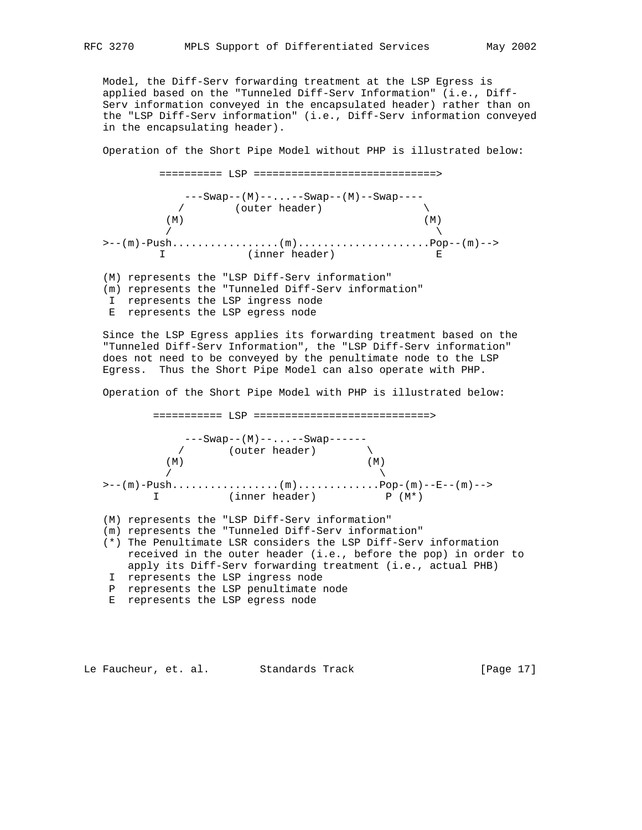Model, the Diff-Serv forwarding treatment at the LSP Egress is applied based on the "Tunneled Diff-Serv Information" (i.e., Diff- Serv information conveyed in the encapsulated header) rather than on the "LSP Diff-Serv information" (i.e., Diff-Serv information conveyed in the encapsulating header).

Operation of the Short Pipe Model without PHP is illustrated below:

 ========== LSP =============================> ---Swap--(M)--...--Swap--(M)--Swap---- / (outer header) \  $(M)$  $\sqrt{ }$  >--(m)-Push.................(m).....................Pop--(m)--> I (inner header) E (M) represents the "LSP Diff-Serv information" (m) represents the "Tunneled Diff-Serv information" I represents the LSP ingress node E represents the LSP egress node

 Since the LSP Egress applies its forwarding treatment based on the "Tunneled Diff-Serv Information", the "LSP Diff-Serv information" does not need to be conveyed by the penultimate node to the LSP Egress. Thus the Short Pipe Model can also operate with PHP.

Operation of the Short Pipe Model with PHP is illustrated below:

 =========== LSP ============================> ---Swap--(M)--...--Swap------  $\sqrt{2}$  (outer header)  $(M)$  (M)  $\sqrt{2}$  >--(m)-Push.................(m).............Pop-(m)--E--(m)--> I (inner header) P (M\*) (M) represents the "LSP Diff-Serv information" (m) represents the "Tunneled Diff-Serv information" (\*) The Penultimate LSR considers the LSP Diff-Serv information received in the outer header (i.e., before the pop) in order to apply its Diff-Serv forwarding treatment (i.e., actual PHB) I represents the LSP ingress node P represents the LSP penultimate node E represents the LSP egress node

Le Faucheur, et. al. Standards Track [Page 17]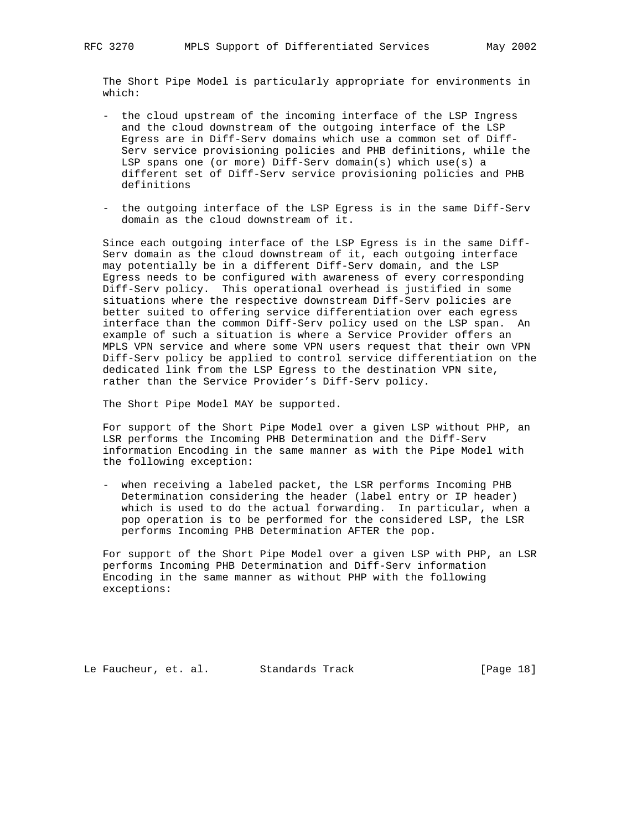The Short Pipe Model is particularly appropriate for environments in which:

- the cloud upstream of the incoming interface of the LSP Ingress and the cloud downstream of the outgoing interface of the LSP Egress are in Diff-Serv domains which use a common set of Diff- Serv service provisioning policies and PHB definitions, while the LSP spans one (or more) Diff-Serv domain(s) which use(s) a different set of Diff-Serv service provisioning policies and PHB definitions
- the outgoing interface of the LSP Egress is in the same Diff-Serv domain as the cloud downstream of it.

 Since each outgoing interface of the LSP Egress is in the same Diff- Serv domain as the cloud downstream of it, each outgoing interface may potentially be in a different Diff-Serv domain, and the LSP Egress needs to be configured with awareness of every corresponding Diff-Serv policy. This operational overhead is justified in some situations where the respective downstream Diff-Serv policies are better suited to offering service differentiation over each egress interface than the common Diff-Serv policy used on the LSP span. An example of such a situation is where a Service Provider offers an MPLS VPN service and where some VPN users request that their own VPN Diff-Serv policy be applied to control service differentiation on the dedicated link from the LSP Egress to the destination VPN site, rather than the Service Provider's Diff-Serv policy.

The Short Pipe Model MAY be supported.

 For support of the Short Pipe Model over a given LSP without PHP, an LSR performs the Incoming PHB Determination and the Diff-Serv information Encoding in the same manner as with the Pipe Model with the following exception:

 - when receiving a labeled packet, the LSR performs Incoming PHB Determination considering the header (label entry or IP header) which is used to do the actual forwarding. In particular, when a pop operation is to be performed for the considered LSP, the LSR performs Incoming PHB Determination AFTER the pop.

 For support of the Short Pipe Model over a given LSP with PHP, an LSR performs Incoming PHB Determination and Diff-Serv information Encoding in the same manner as without PHP with the following exceptions:

Le Faucheur, et. al. Standards Track [Page 18]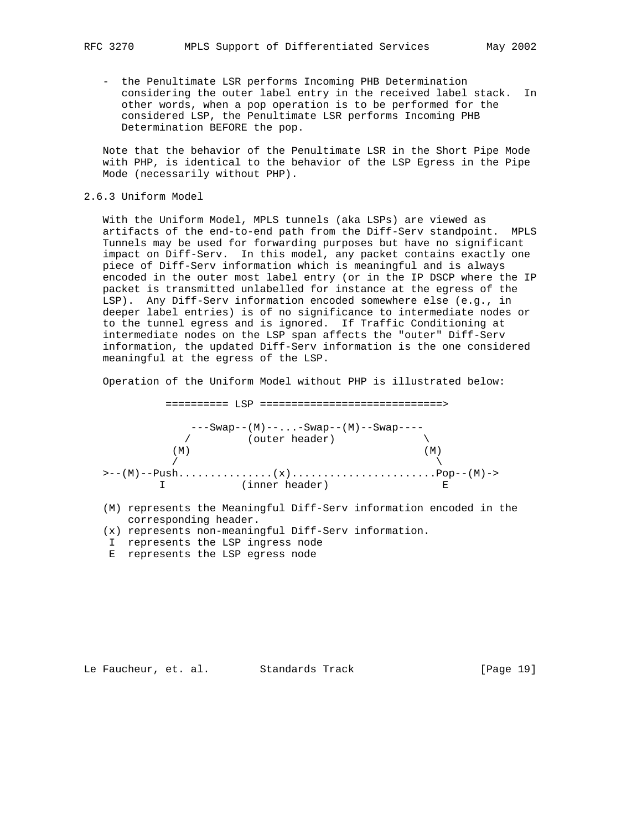- the Penultimate LSR performs Incoming PHB Determination considering the outer label entry in the received label stack. In other words, when a pop operation is to be performed for the considered LSP, the Penultimate LSR performs Incoming PHB Determination BEFORE the pop.

 Note that the behavior of the Penultimate LSR in the Short Pipe Mode with PHP, is identical to the behavior of the LSP Egress in the Pipe Mode (necessarily without PHP).

2.6.3 Uniform Model

 With the Uniform Model, MPLS tunnels (aka LSPs) are viewed as artifacts of the end-to-end path from the Diff-Serv standpoint. MPLS Tunnels may be used for forwarding purposes but have no significant impact on Diff-Serv. In this model, any packet contains exactly one piece of Diff-Serv information which is meaningful and is always encoded in the outer most label entry (or in the IP DSCP where the IP packet is transmitted unlabelled for instance at the egress of the LSP). Any Diff-Serv information encoded somewhere else (e.g., in deeper label entries) is of no significance to intermediate nodes or to the tunnel egress and is ignored. If Traffic Conditioning at intermediate nodes on the LSP span affects the "outer" Diff-Serv information, the updated Diff-Serv information is the one considered meaningful at the egress of the LSP.

Operation of the Uniform Model without PHP is illustrated below:

 ========== LSP =============================> ---Swap--(M)--...-Swap--(M)--Swap---- / (outer header)  $(M)$  $\sqrt{2}$  >--(M)--Push...............(x).......................Pop--(M)-> I (inner header)

- (M) represents the Meaningful Diff-Serv information encoded in the corresponding header.
- (x) represents non-meaningful Diff-Serv information.
- I represents the LSP ingress node
- E represents the LSP egress node

Le Faucheur, et. al. Standards Track [Page 19]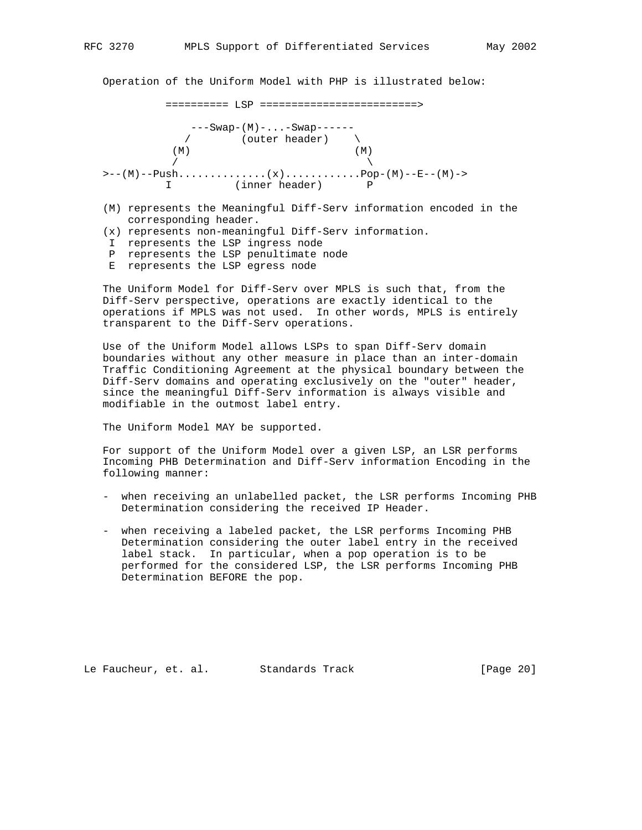Operation of the Uniform Model with PHP is illustrated below:

========== LSP =========================>



- (M) represents the Meaningful Diff-Serv information encoded in the corresponding header.
- (x) represents non-meaningful Diff-Serv information.
- I represents the LSP ingress node
- P represents the LSP penultimate node
- E represents the LSP egress node

 The Uniform Model for Diff-Serv over MPLS is such that, from the Diff-Serv perspective, operations are exactly identical to the operations if MPLS was not used. In other words, MPLS is entirely transparent to the Diff-Serv operations.

 Use of the Uniform Model allows LSPs to span Diff-Serv domain boundaries without any other measure in place than an inter-domain Traffic Conditioning Agreement at the physical boundary between the Diff-Serv domains and operating exclusively on the "outer" header, since the meaningful Diff-Serv information is always visible and modifiable in the outmost label entry.

The Uniform Model MAY be supported.

 For support of the Uniform Model over a given LSP, an LSR performs Incoming PHB Determination and Diff-Serv information Encoding in the following manner:

- when receiving an unlabelled packet, the LSR performs Incoming PHB Determination considering the received IP Header.
- when receiving a labeled packet, the LSR performs Incoming PHB Determination considering the outer label entry in the received label stack. In particular, when a pop operation is to be performed for the considered LSP, the LSR performs Incoming PHB Determination BEFORE the pop.

Le Faucheur, et. al. Standards Track [Page 20]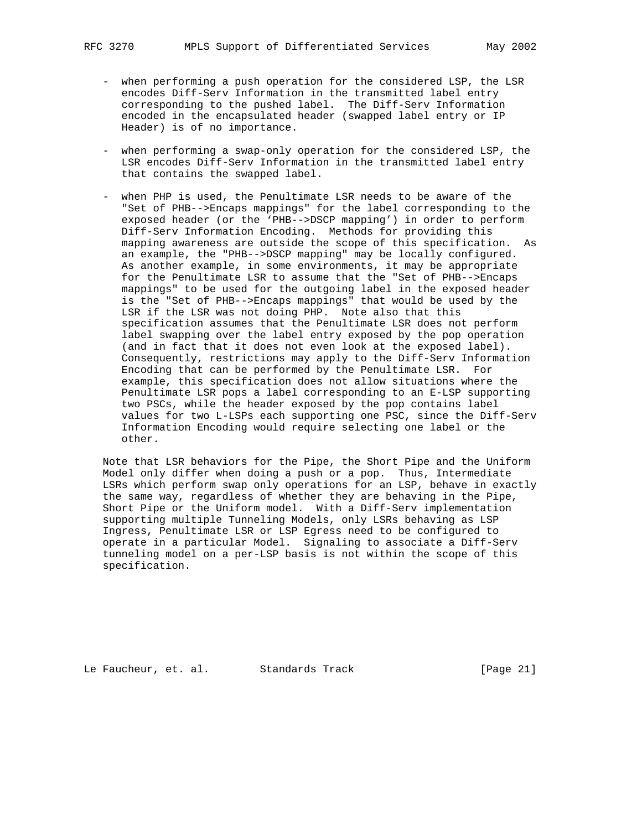- when performing a push operation for the considered LSP, the LSR encodes Diff-Serv Information in the transmitted label entry corresponding to the pushed label. The Diff-Serv Information encoded in the encapsulated header (swapped label entry or IP Header) is of no importance.
- when performing a swap-only operation for the considered LSP, the LSR encodes Diff-Serv Information in the transmitted label entry that contains the swapped label.
- when PHP is used, the Penultimate LSR needs to be aware of the "Set of PHB-->Encaps mappings" for the label corresponding to the exposed header (or the 'PHB-->DSCP mapping') in order to perform Diff-Serv Information Encoding. Methods for providing this mapping awareness are outside the scope of this specification. As an example, the "PHB-->DSCP mapping" may be locally configured. As another example, in some environments, it may be appropriate for the Penultimate LSR to assume that the "Set of PHB-->Encaps mappings" to be used for the outgoing label in the exposed header is the "Set of PHB-->Encaps mappings" that would be used by the LSR if the LSR was not doing PHP. Note also that this specification assumes that the Penultimate LSR does not perform label swapping over the label entry exposed by the pop operation (and in fact that it does not even look at the exposed label). Consequently, restrictions may apply to the Diff-Serv Information Encoding that can be performed by the Penultimate LSR. For example, this specification does not allow situations where the Penultimate LSR pops a label corresponding to an E-LSP supporting two PSCs, while the header exposed by the pop contains label values for two L-LSPs each supporting one PSC, since the Diff-Serv Information Encoding would require selecting one label or the other.

 Note that LSR behaviors for the Pipe, the Short Pipe and the Uniform Model only differ when doing a push or a pop. Thus, Intermediate LSRs which perform swap only operations for an LSP, behave in exactly the same way, regardless of whether they are behaving in the Pipe, Short Pipe or the Uniform model. With a Diff-Serv implementation supporting multiple Tunneling Models, only LSRs behaving as LSP Ingress, Penultimate LSR or LSP Egress need to be configured to operate in a particular Model. Signaling to associate a Diff-Serv tunneling model on a per-LSP basis is not within the scope of this specification.

Le Faucheur, et. al. Standards Track [Page 21]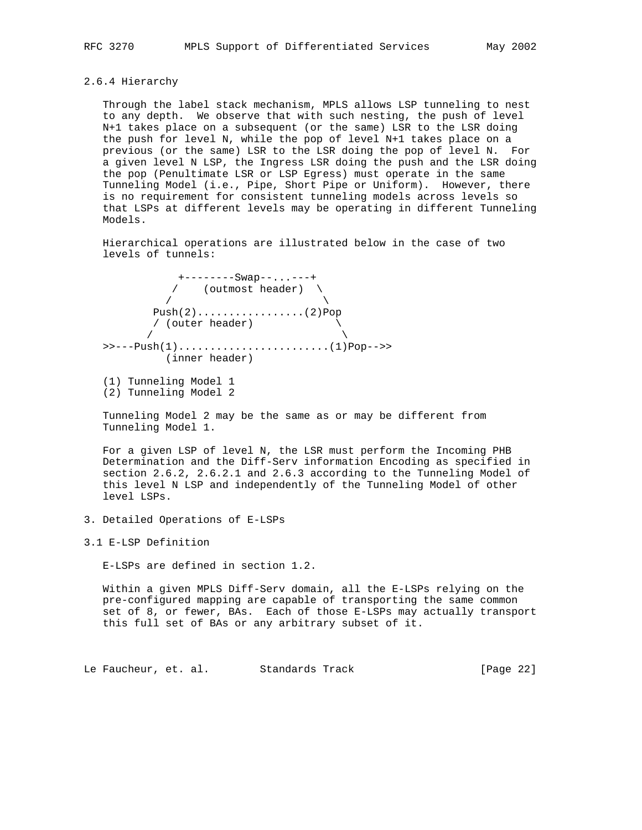2.6.4 Hierarchy

 Through the label stack mechanism, MPLS allows LSP tunneling to nest to any depth. We observe that with such nesting, the push of level N+1 takes place on a subsequent (or the same) LSR to the LSR doing the push for level N, while the pop of level N+1 takes place on a previous (or the same) LSR to the LSR doing the pop of level N. For a given level N LSP, the Ingress LSR doing the push and the LSR doing the pop (Penultimate LSR or LSP Egress) must operate in the same Tunneling Model (i.e., Pipe, Short Pipe or Uniform). However, there is no requirement for consistent tunneling models across levels so that LSPs at different levels may be operating in different Tunneling Models.

 Hierarchical operations are illustrated below in the case of two levels of tunnels:

 +--------Swap--...---+ / (outmost header) \  $\sqrt{2}$  Push(2).................(2)Pop / (outer header) \  $\sqrt{2}$  >>---Push(1)........................(1)Pop-->> (inner header)

 Tunneling Model 2 may be the same as or may be different from Tunneling Model 1.

 For a given LSP of level N, the LSR must perform the Incoming PHB Determination and the Diff-Serv information Encoding as specified in section 2.6.2, 2.6.2.1 and 2.6.3 according to the Tunneling Model of this level N LSP and independently of the Tunneling Model of other level LSPs.

- 3. Detailed Operations of E-LSPs
- 3.1 E-LSP Definition

E-LSPs are defined in section 1.2.

 Within a given MPLS Diff-Serv domain, all the E-LSPs relying on the pre-configured mapping are capable of transporting the same common set of 8, or fewer, BAs. Each of those E-LSPs may actually transport this full set of BAs or any arbitrary subset of it.

Le Faucheur, et. al. Standards Track [Page 22]

 <sup>(1)</sup> Tunneling Model 1 (2) Tunneling Model 2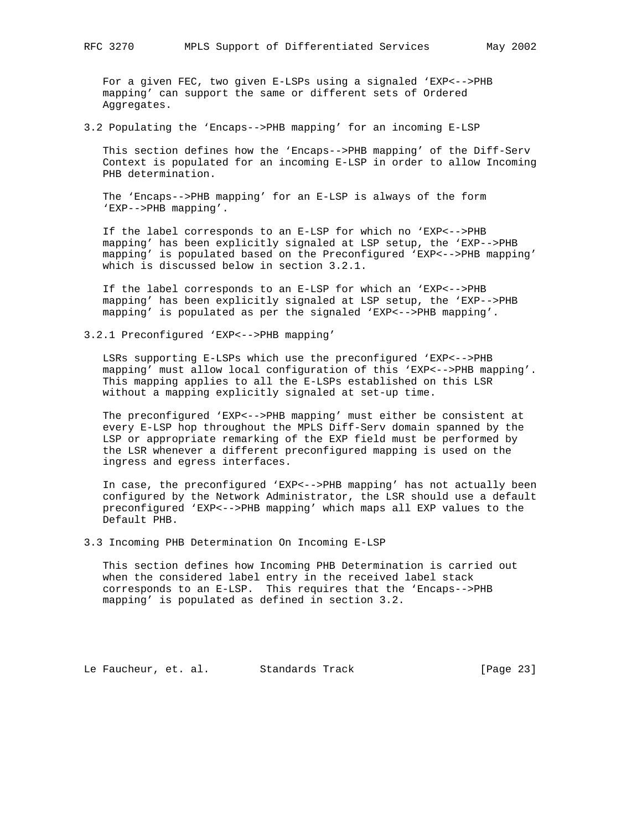For a given FEC, two given E-LSPs using a signaled 'EXP<-->PHB mapping' can support the same or different sets of Ordered Aggregates.

3.2 Populating the 'Encaps-->PHB mapping' for an incoming E-LSP

 This section defines how the 'Encaps-->PHB mapping' of the Diff-Serv Context is populated for an incoming E-LSP in order to allow Incoming PHB determination.

 The 'Encaps-->PHB mapping' for an E-LSP is always of the form 'EXP-->PHB mapping'.

 If the label corresponds to an E-LSP for which no 'EXP<-->PHB mapping' has been explicitly signaled at LSP setup, the 'EXP-->PHB mapping' is populated based on the Preconfigured 'EXP<-->PHB mapping' which is discussed below in section 3.2.1.

 If the label corresponds to an E-LSP for which an 'EXP<-->PHB mapping' has been explicitly signaled at LSP setup, the 'EXP-->PHB mapping' is populated as per the signaled 'EXP<-->PHB mapping'.

3.2.1 Preconfigured 'EXP<-->PHB mapping'

 LSRs supporting E-LSPs which use the preconfigured 'EXP<-->PHB mapping' must allow local configuration of this 'EXP<-->PHB mapping'. This mapping applies to all the E-LSPs established on this LSR without a mapping explicitly signaled at set-up time.

 The preconfigured 'EXP<-->PHB mapping' must either be consistent at every E-LSP hop throughout the MPLS Diff-Serv domain spanned by the LSP or appropriate remarking of the EXP field must be performed by the LSR whenever a different preconfigured mapping is used on the ingress and egress interfaces.

 In case, the preconfigured 'EXP<-->PHB mapping' has not actually been configured by the Network Administrator, the LSR should use a default preconfigured 'EXP<-->PHB mapping' which maps all EXP values to the Default PHB.

3.3 Incoming PHB Determination On Incoming E-LSP

 This section defines how Incoming PHB Determination is carried out when the considered label entry in the received label stack corresponds to an E-LSP. This requires that the 'Encaps-->PHB mapping' is populated as defined in section 3.2.

Le Faucheur, et. al. Standards Track [Page 23]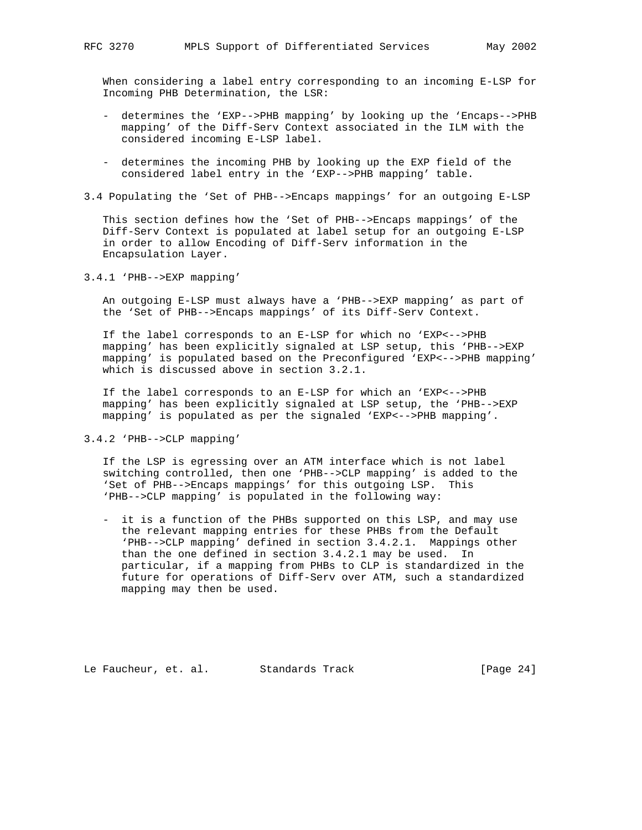When considering a label entry corresponding to an incoming E-LSP for Incoming PHB Determination, the LSR:

- determines the 'EXP-->PHB mapping' by looking up the 'Encaps-->PHB mapping' of the Diff-Serv Context associated in the ILM with the considered incoming E-LSP label.
- determines the incoming PHB by looking up the EXP field of the considered label entry in the 'EXP-->PHB mapping' table.
- 3.4 Populating the 'Set of PHB-->Encaps mappings' for an outgoing E-LSP

 This section defines how the 'Set of PHB-->Encaps mappings' of the Diff-Serv Context is populated at label setup for an outgoing E-LSP in order to allow Encoding of Diff-Serv information in the Encapsulation Layer.

3.4.1 'PHB-->EXP mapping'

 An outgoing E-LSP must always have a 'PHB-->EXP mapping' as part of the 'Set of PHB-->Encaps mappings' of its Diff-Serv Context.

 If the label corresponds to an E-LSP for which no 'EXP<-->PHB mapping' has been explicitly signaled at LSP setup, this 'PHB-->EXP mapping' is populated based on the Preconfigured 'EXP<-->PHB mapping' which is discussed above in section 3.2.1.

 If the label corresponds to an E-LSP for which an 'EXP<-->PHB mapping' has been explicitly signaled at LSP setup, the 'PHB-->EXP mapping' is populated as per the signaled 'EXP<-->PHB mapping'.

3.4.2 'PHB-->CLP mapping'

 If the LSP is egressing over an ATM interface which is not label switching controlled, then one 'PHB-->CLP mapping' is added to the 'Set of PHB-->Encaps mappings' for this outgoing LSP. This 'PHB-->CLP mapping' is populated in the following way:

 - it is a function of the PHBs supported on this LSP, and may use the relevant mapping entries for these PHBs from the Default 'PHB-->CLP mapping' defined in section 3.4.2.1. Mappings other than the one defined in section 3.4.2.1 may be used. In particular, if a mapping from PHBs to CLP is standardized in the future for operations of Diff-Serv over ATM, such a standardized mapping may then be used.

Le Faucheur, et. al. Standards Track [Page 24]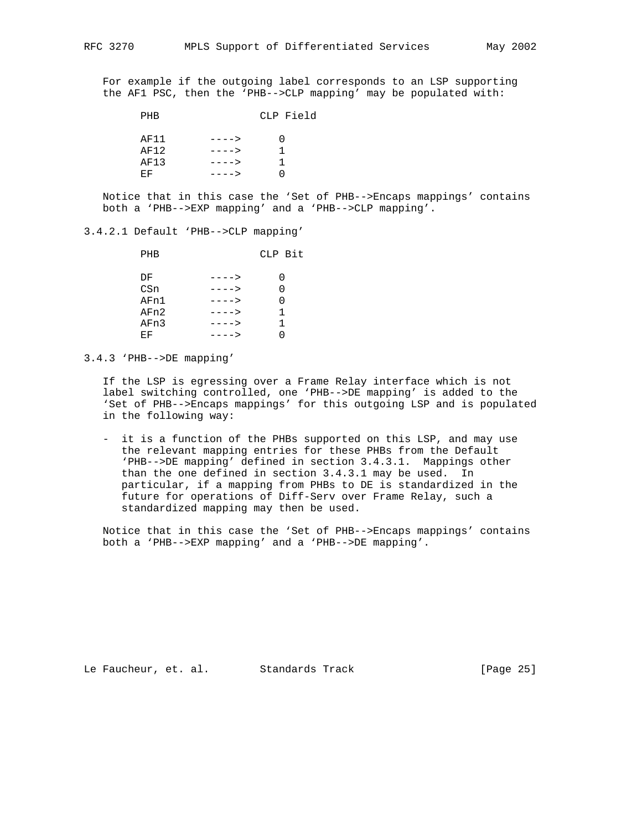For example if the outgoing label corresponds to an LSP supporting the AF1 PSC, then the 'PHB-->CLP mapping' may be populated with:

PHB CLP Field

| AF11 | $---2$ |   |
|------|--------|---|
| AF12 | $---2$ |   |
| AF13 | $---2$ | 1 |
| E.F  | $---$  |   |

 Notice that in this case the 'Set of PHB-->Encaps mappings' contains both a 'PHB-->EXP mapping' and a 'PHB-->CLP mapping'.

## 3.4.2.1 Default 'PHB-->CLP mapping'

| PHB  |        | CLP Bit |
|------|--------|---------|
| DF   | ---->  |         |
| CSn  | $-- >$ |         |
| AFn1 | ---->  |         |
| AFn2 | ---->  | 1       |
| AFn3 | ---->  | 1.      |
| ЕF   | ---->  |         |
|      |        |         |

3.4.3 'PHB-->DE mapping'

 If the LSP is egressing over a Frame Relay interface which is not label switching controlled, one 'PHB-->DE mapping' is added to the 'Set of PHB-->Encaps mappings' for this outgoing LSP and is populated in the following way:

 - it is a function of the PHBs supported on this LSP, and may use the relevant mapping entries for these PHBs from the Default 'PHB-->DE mapping' defined in section 3.4.3.1. Mappings other than the one defined in section 3.4.3.1 may be used. In particular, if a mapping from PHBs to DE is standardized in the future for operations of Diff-Serv over Frame Relay, such a standardized mapping may then be used.

 Notice that in this case the 'Set of PHB-->Encaps mappings' contains both a 'PHB-->EXP mapping' and a 'PHB-->DE mapping'.

Le Faucheur, et. al. Standards Track [Page 25]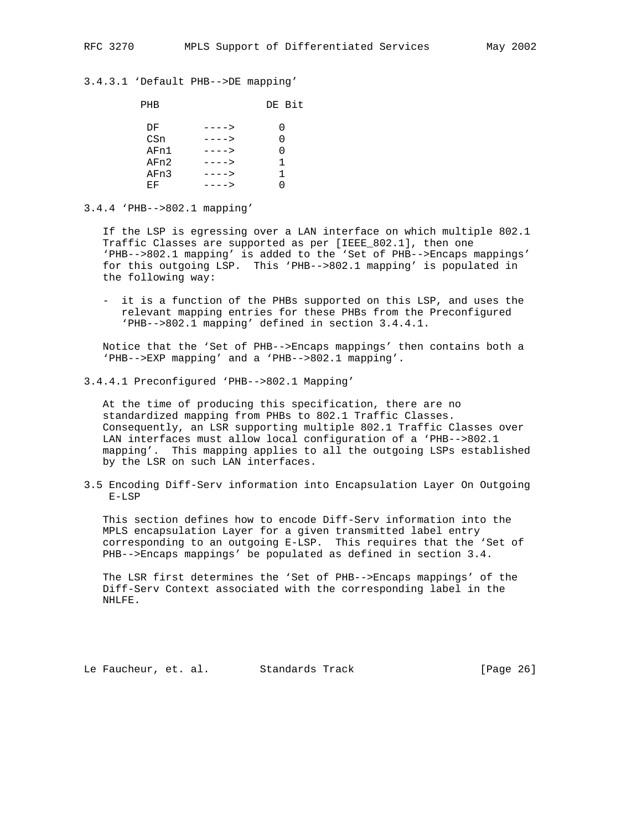### 3.4.3.1 'Default PHB-->DE mapping'

| PHB  |        | DE Bit |
|------|--------|--------|
| DF   | ---->  |        |
| CSn  | ---->  |        |
| AFn1 | ---->  |        |
| AFn2 | $-- >$ | 1      |
| AFn3 | ---->  | 1.     |
| ЕF   | ---->  |        |
|      |        |        |

### 3.4.4 'PHB-->802.1 mapping'

 If the LSP is egressing over a LAN interface on which multiple 802.1 Traffic Classes are supported as per [IEEE\_802.1], then one 'PHB-->802.1 mapping' is added to the 'Set of PHB-->Encaps mappings' for this outgoing LSP. This 'PHB-->802.1 mapping' is populated in the following way:

 - it is a function of the PHBs supported on this LSP, and uses the relevant mapping entries for these PHBs from the Preconfigured 'PHB-->802.1 mapping' defined in section 3.4.4.1.

 Notice that the 'Set of PHB-->Encaps mappings' then contains both a 'PHB-->EXP mapping' and a 'PHB-->802.1 mapping'.

3.4.4.1 Preconfigured 'PHB-->802.1 Mapping'

 At the time of producing this specification, there are no standardized mapping from PHBs to 802.1 Traffic Classes. Consequently, an LSR supporting multiple 802.1 Traffic Classes over LAN interfaces must allow local configuration of a 'PHB-->802.1 mapping'. This mapping applies to all the outgoing LSPs established by the LSR on such LAN interfaces.

3.5 Encoding Diff-Serv information into Encapsulation Layer On Outgoing E-LSP

 This section defines how to encode Diff-Serv information into the MPLS encapsulation Layer for a given transmitted label entry corresponding to an outgoing E-LSP. This requires that the 'Set of PHB-->Encaps mappings' be populated as defined in section 3.4.

 The LSR first determines the 'Set of PHB-->Encaps mappings' of the Diff-Serv Context associated with the corresponding label in the NHLFE.

Le Faucheur, et. al. Standards Track [Page 26]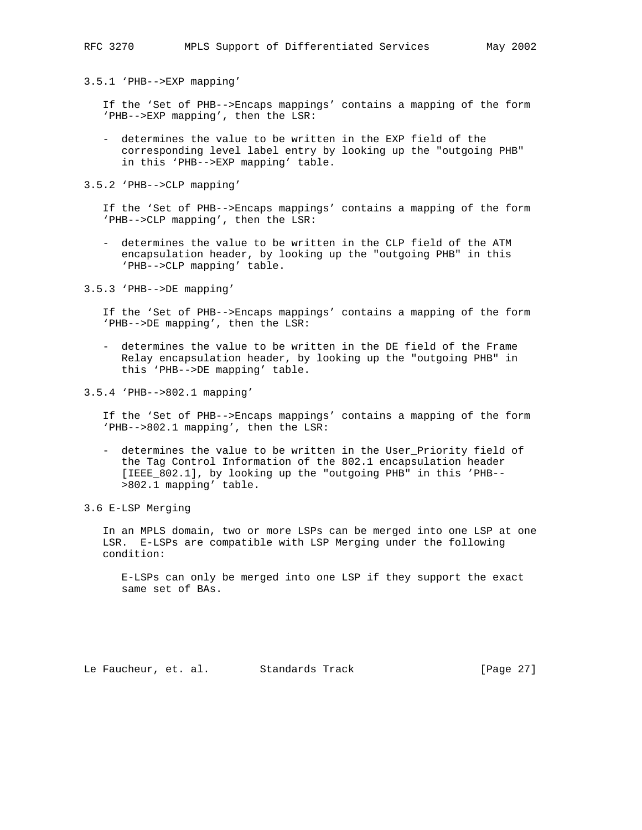3.5.1 'PHB-->EXP mapping'

 If the 'Set of PHB-->Encaps mappings' contains a mapping of the form 'PHB-->EXP mapping', then the LSR:

 - determines the value to be written in the EXP field of the corresponding level label entry by looking up the "outgoing PHB" in this 'PHB-->EXP mapping' table.

3.5.2 'PHB-->CLP mapping'

 If the 'Set of PHB-->Encaps mappings' contains a mapping of the form 'PHB-->CLP mapping', then the LSR:

 - determines the value to be written in the CLP field of the ATM encapsulation header, by looking up the "outgoing PHB" in this 'PHB-->CLP mapping' table.

3.5.3 'PHB-->DE mapping'

 If the 'Set of PHB-->Encaps mappings' contains a mapping of the form 'PHB-->DE mapping', then the LSR:

- determines the value to be written in the DE field of the Frame Relay encapsulation header, by looking up the "outgoing PHB" in this 'PHB-->DE mapping' table.
- 3.5.4 'PHB-->802.1 mapping'

 If the 'Set of PHB-->Encaps mappings' contains a mapping of the form 'PHB-->802.1 mapping', then the LSR:

- determines the value to be written in the User\_Priority field of the Tag Control Information of the 802.1 encapsulation header [IEEE\_802.1], by looking up the "outgoing PHB" in this 'PHB-- >802.1 mapping' table.
- 3.6 E-LSP Merging

 In an MPLS domain, two or more LSPs can be merged into one LSP at one LSR. E-LSPs are compatible with LSP Merging under the following condition:

 E-LSPs can only be merged into one LSP if they support the exact same set of BAs.

Le Faucheur, et. al. Standards Track [Page 27]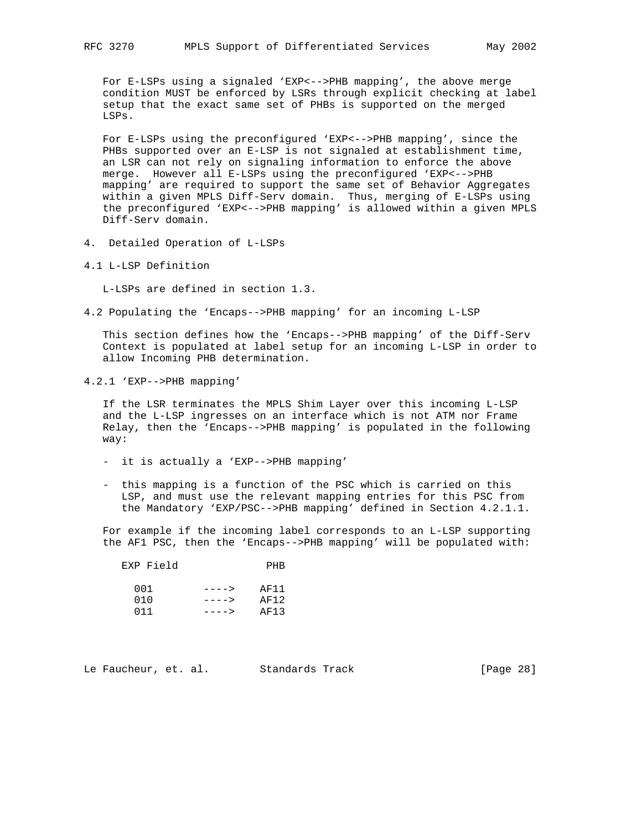For E-LSPs using a signaled 'EXP<-->PHB mapping', the above merge condition MUST be enforced by LSRs through explicit checking at label setup that the exact same set of PHBs is supported on the merged LSPs.

 For E-LSPs using the preconfigured 'EXP<-->PHB mapping', since the PHBs supported over an E-LSP is not signaled at establishment time, an LSR can not rely on signaling information to enforce the above merge. However all E-LSPs using the preconfigured 'EXP<-->PHB mapping' are required to support the same set of Behavior Aggregates within a given MPLS Diff-Serv domain. Thus, merging of E-LSPs using the preconfigured 'EXP<-->PHB mapping' is allowed within a given MPLS Diff-Serv domain.

- 4. Detailed Operation of L-LSPs
- 4.1 L-LSP Definition

L-LSPs are defined in section 1.3.

4.2 Populating the 'Encaps-->PHB mapping' for an incoming L-LSP

 This section defines how the 'Encaps-->PHB mapping' of the Diff-Serv Context is populated at label setup for an incoming L-LSP in order to allow Incoming PHB determination.

4.2.1 'EXP-->PHB mapping'

 If the LSR terminates the MPLS Shim Layer over this incoming L-LSP and the L-LSP ingresses on an interface which is not ATM nor Frame Relay, then the 'Encaps-->PHB mapping' is populated in the following way:

- it is actually a 'EXP-->PHB mapping'
- this mapping is a function of the PSC which is carried on this LSP, and must use the relevant mapping entries for this PSC from the Mandatory 'EXP/PSC-->PHB mapping' defined in Section 4.2.1.1.

 For example if the incoming label corresponds to an L-LSP supporting the AF1 PSC, then the 'Encaps-->PHB mapping' will be populated with:

| EXP Field |        | PHR  |
|-----------|--------|------|
| 001       | $---2$ | AF11 |
| 010       | $---2$ | AF12 |
| 011       | $---$  | AF13 |

|  | Le Faucheur, et. al. |  |  | Standards Track |  | [Page 28] |  |  |
|--|----------------------|--|--|-----------------|--|-----------|--|--|
|--|----------------------|--|--|-----------------|--|-----------|--|--|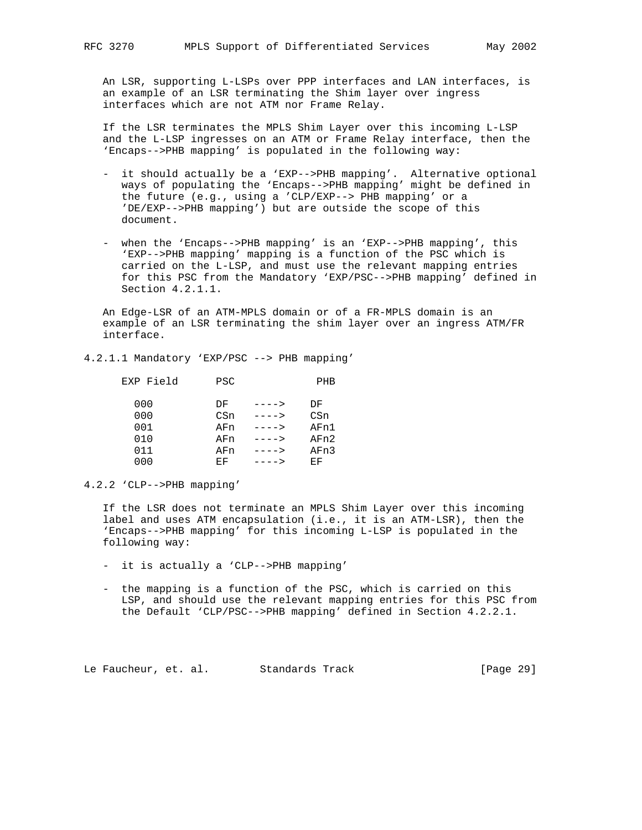An LSR, supporting L-LSPs over PPP interfaces and LAN interfaces, is an example of an LSR terminating the Shim layer over ingress interfaces which are not ATM nor Frame Relay.

 If the LSR terminates the MPLS Shim Layer over this incoming L-LSP and the L-LSP ingresses on an ATM or Frame Relay interface, then the 'Encaps-->PHB mapping' is populated in the following way:

- it should actually be a 'EXP-->PHB mapping'. Alternative optional ways of populating the 'Encaps-->PHB mapping' might be defined in the future (e.g., using a 'CLP/EXP--> PHB mapping' or a 'DE/EXP-->PHB mapping') but are outside the scope of this document.
- when the 'Encaps-->PHB mapping' is an 'EXP-->PHB mapping', this 'EXP-->PHB mapping' mapping is a function of the PSC which is carried on the L-LSP, and must use the relevant mapping entries for this PSC from the Mandatory 'EXP/PSC-->PHB mapping' defined in Section 4.2.1.1.

 An Edge-LSR of an ATM-MPLS domain or of a FR-MPLS domain is an example of an LSR terminating the shim layer over an ingress ATM/FR interface.

4.2.1.1 Mandatory 'EXP/PSC --> PHB mapping'

| EXP Field | <b>PSC</b> |        | PHB  |
|-----------|------------|--------|------|
| 000       | DF         | ---->  | DF   |
| 000       | CSn        | $---$  | CSn  |
| 001       | AFn        | $---2$ | AFn1 |
| 010       | AFn        | ---->  | AFn2 |
| 011       | AFn        | $-- >$ | AFn3 |
| 000       | ЕF         |        | ЕF   |

4.2.2 'CLP-->PHB mapping'

 If the LSR does not terminate an MPLS Shim Layer over this incoming label and uses ATM encapsulation (i.e., it is an ATM-LSR), then the 'Encaps-->PHB mapping' for this incoming L-LSP is populated in the following way:

- it is actually a 'CLP-->PHB mapping'
- the mapping is a function of the PSC, which is carried on this LSP, and should use the relevant mapping entries for this PSC from the Default 'CLP/PSC-->PHB mapping' defined in Section 4.2.2.1.

Le Faucheur, et. al. Standards Track [Page 29]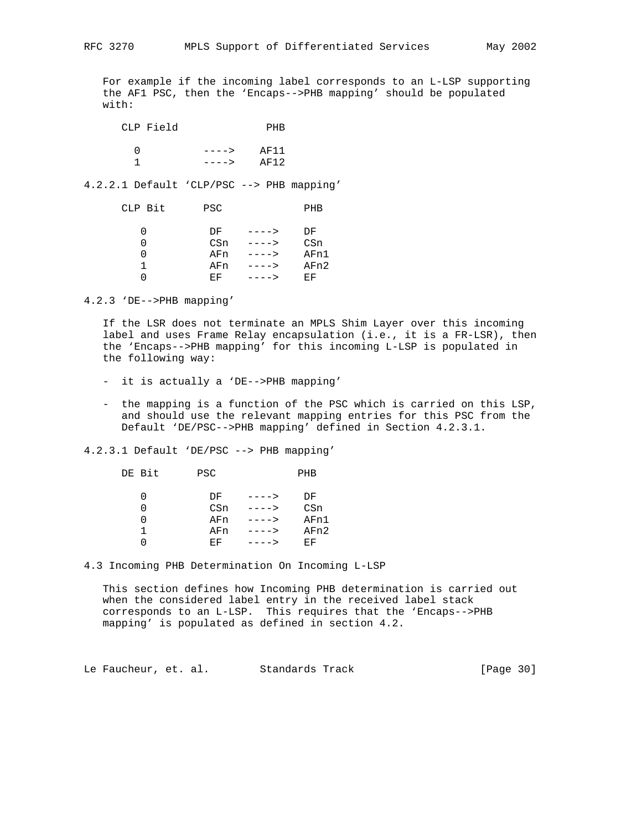For example if the incoming label corresponds to an L-LSP supporting the AF1 PSC, then the 'Encaps-->PHB mapping' should be populated with:

| CLP Field |         | PHR  |
|-----------|---------|------|
|           | $---->$ | AF11 |
|           | $---->$ | AF12 |

4.2.2.1 Default 'CLP/PSC --> PHB mapping'

| CLP Bit | <b>PSC</b> |        | PHB  |
|---------|------------|--------|------|
|         | DF         | $---2$ | DF   |
|         | CSn        | ---->  | CSn  |
|         | AFn        | ---->  | AFn1 |
|         | AFn        | ---->  | AFn2 |
|         | EF.        | ---->  | EF   |

4.2.3 'DE-->PHB mapping'

 If the LSR does not terminate an MPLS Shim Layer over this incoming label and uses Frame Relay encapsulation (i.e., it is a FR-LSR), then the 'Encaps-->PHB mapping' for this incoming L-LSP is populated in the following way:

- it is actually a 'DE-->PHB mapping'
- the mapping is a function of the PSC which is carried on this LSP, and should use the relevant mapping entries for this PSC from the Default 'DE/PSC-->PHB mapping' defined in Section 4.2.3.1.

4.2.3.1 Default 'DE/PSC --> PHB mapping'

| DE Bit | <b>PSC</b> |               | PHB  |
|--------|------------|---------------|------|
|        | DF         | $---$         | DF   |
|        |            | CSn<br>---->  | CSn  |
|        |            | AFn<br>$---2$ | AFn1 |
|        |            | AFn<br>---->  | AFn2 |
|        | EF.        |               | EF   |

4.3 Incoming PHB Determination On Incoming L-LSP

 This section defines how Incoming PHB determination is carried out when the considered label entry in the received label stack corresponds to an L-LSP. This requires that the 'Encaps-->PHB mapping' is populated as defined in section 4.2.

Le Faucheur, et. al. Standards Track [Page 30]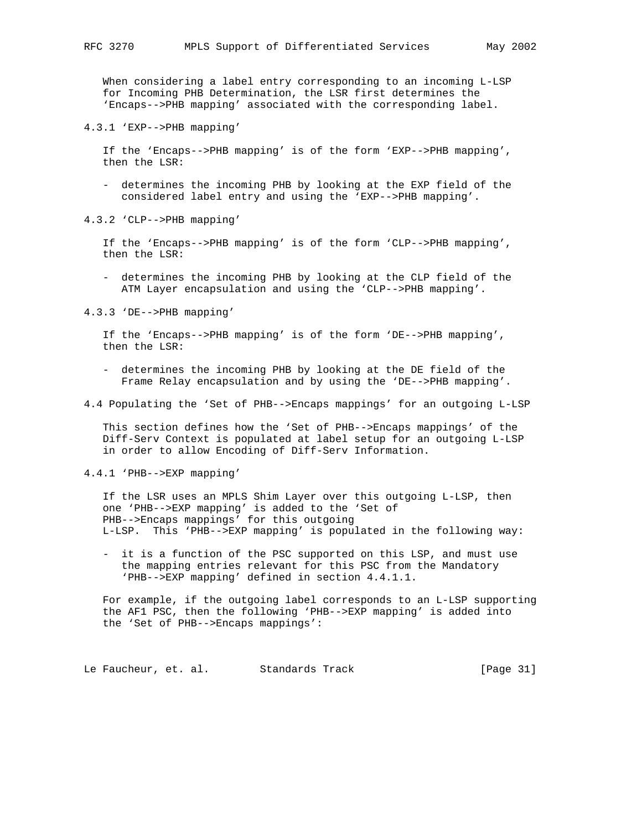When considering a label entry corresponding to an incoming L-LSP for Incoming PHB Determination, the LSR first determines the 'Encaps-->PHB mapping' associated with the corresponding label.

4.3.1 'EXP-->PHB mapping'

 If the 'Encaps-->PHB mapping' is of the form 'EXP-->PHB mapping', then the LSR:

 - determines the incoming PHB by looking at the EXP field of the considered label entry and using the 'EXP-->PHB mapping'.

4.3.2 'CLP-->PHB mapping'

 If the 'Encaps-->PHB mapping' is of the form 'CLP-->PHB mapping', then the LSR:

 - determines the incoming PHB by looking at the CLP field of the ATM Layer encapsulation and using the 'CLP-->PHB mapping'.

4.3.3 'DE-->PHB mapping'

 If the 'Encaps-->PHB mapping' is of the form 'DE-->PHB mapping', then the LSR:

- determines the incoming PHB by looking at the DE field of the Frame Relay encapsulation and by using the 'DE-->PHB mapping'.
- 4.4 Populating the 'Set of PHB-->Encaps mappings' for an outgoing L-LSP

 This section defines how the 'Set of PHB-->Encaps mappings' of the Diff-Serv Context is populated at label setup for an outgoing L-LSP in order to allow Encoding of Diff-Serv Information.

4.4.1 'PHB-->EXP mapping'

 If the LSR uses an MPLS Shim Layer over this outgoing L-LSP, then one 'PHB-->EXP mapping' is added to the 'Set of PHB-->Encaps mappings' for this outgoing L-LSP. This 'PHB-->EXP mapping' is populated in the following way:

 - it is a function of the PSC supported on this LSP, and must use the mapping entries relevant for this PSC from the Mandatory 'PHB-->EXP mapping' defined in section 4.4.1.1.

 For example, if the outgoing label corresponds to an L-LSP supporting the AF1 PSC, then the following 'PHB-->EXP mapping' is added into the 'Set of PHB-->Encaps mappings':

Le Faucheur, et. al. Standards Track [Page 31]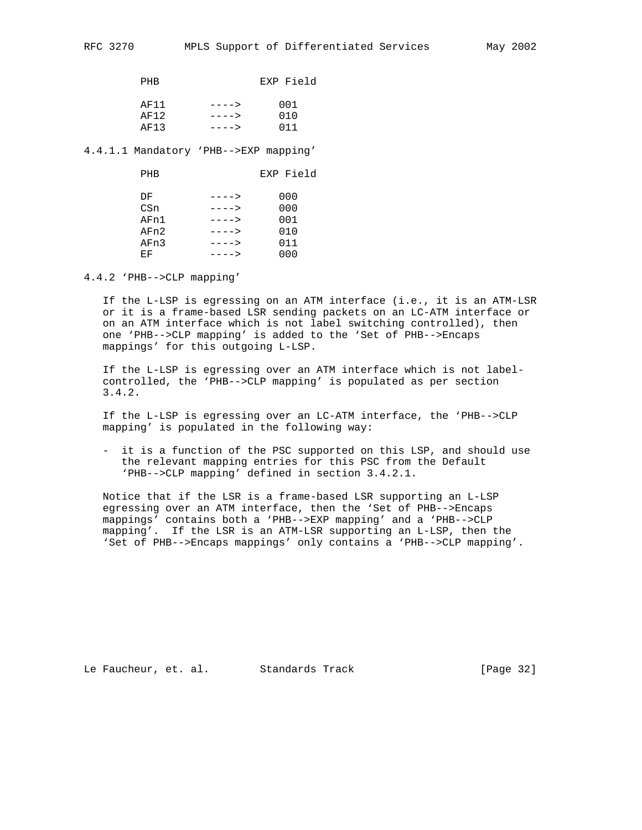| <b>PHR</b> |        | EXP Field |
|------------|--------|-----------|
| AF11       | $---2$ | 001       |
| AF12       | $---2$ | 010       |
| AF13       | ---->  | 011       |

4.4.1.1 Mandatory 'PHB-->EXP mapping'

| PHB  |        | EXP Field |
|------|--------|-----------|
| DF   | $---2$ | 000       |
| CSn  | ---->  | 000       |
| AFn1 | $-- >$ | 001       |
| AFn2 | ---->  | 010       |
| AFn3 | ---->  | 011       |
| ЕF   | ---->  | 000       |

4.4.2 'PHB-->CLP mapping'

 If the L-LSP is egressing on an ATM interface (i.e., it is an ATM-LSR or it is a frame-based LSR sending packets on an LC-ATM interface or on an ATM interface which is not label switching controlled), then one 'PHB-->CLP mapping' is added to the 'Set of PHB-->Encaps mappings' for this outgoing L-LSP.

 If the L-LSP is egressing over an ATM interface which is not label controlled, the 'PHB-->CLP mapping' is populated as per section 3.4.2.

 If the L-LSP is egressing over an LC-ATM interface, the 'PHB-->CLP mapping' is populated in the following way:

 - it is a function of the PSC supported on this LSP, and should use the relevant mapping entries for this PSC from the Default 'PHB-->CLP mapping' defined in section 3.4.2.1.

 Notice that if the LSR is a frame-based LSR supporting an L-LSP egressing over an ATM interface, then the 'Set of PHB-->Encaps mappings' contains both a 'PHB-->EXP mapping' and a 'PHB-->CLP mapping'. If the LSR is an ATM-LSR supporting an L-LSP, then the 'Set of PHB-->Encaps mappings' only contains a 'PHB-->CLP mapping'.

Le Faucheur, et. al. Standards Track [Page 32]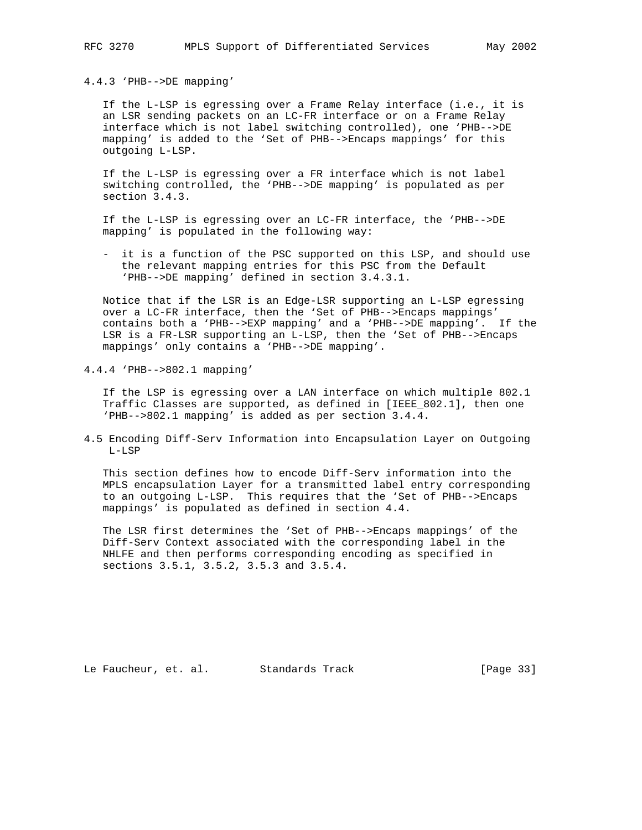4.4.3 'PHB-->DE mapping'

 If the L-LSP is egressing over a Frame Relay interface (i.e., it is an LSR sending packets on an LC-FR interface or on a Frame Relay interface which is not label switching controlled), one 'PHB-->DE mapping' is added to the 'Set of PHB-->Encaps mappings' for this outgoing L-LSP.

 If the L-LSP is egressing over a FR interface which is not label switching controlled, the 'PHB-->DE mapping' is populated as per section 3.4.3.

 If the L-LSP is egressing over an LC-FR interface, the 'PHB-->DE mapping' is populated in the following way:

 - it is a function of the PSC supported on this LSP, and should use the relevant mapping entries for this PSC from the Default 'PHB-->DE mapping' defined in section 3.4.3.1.

 Notice that if the LSR is an Edge-LSR supporting an L-LSP egressing over a LC-FR interface, then the 'Set of PHB-->Encaps mappings' contains both a 'PHB-->EXP mapping' and a 'PHB-->DE mapping'. If the LSR is a FR-LSR supporting an L-LSP, then the 'Set of PHB-->Encaps mappings' only contains a 'PHB-->DE mapping'.

4.4.4 'PHB-->802.1 mapping'

 If the LSP is egressing over a LAN interface on which multiple 802.1 Traffic Classes are supported, as defined in [IEEE\_802.1], then one 'PHB-->802.1 mapping' is added as per section 3.4.4.

4.5 Encoding Diff-Serv Information into Encapsulation Layer on Outgoing L-LSP

 This section defines how to encode Diff-Serv information into the MPLS encapsulation Layer for a transmitted label entry corresponding to an outgoing L-LSP. This requires that the 'Set of PHB-->Encaps mappings' is populated as defined in section 4.4.

 The LSR first determines the 'Set of PHB-->Encaps mappings' of the Diff-Serv Context associated with the corresponding label in the NHLFE and then performs corresponding encoding as specified in sections 3.5.1, 3.5.2, 3.5.3 and 3.5.4.

Le Faucheur, et. al. Standards Track [Page 33]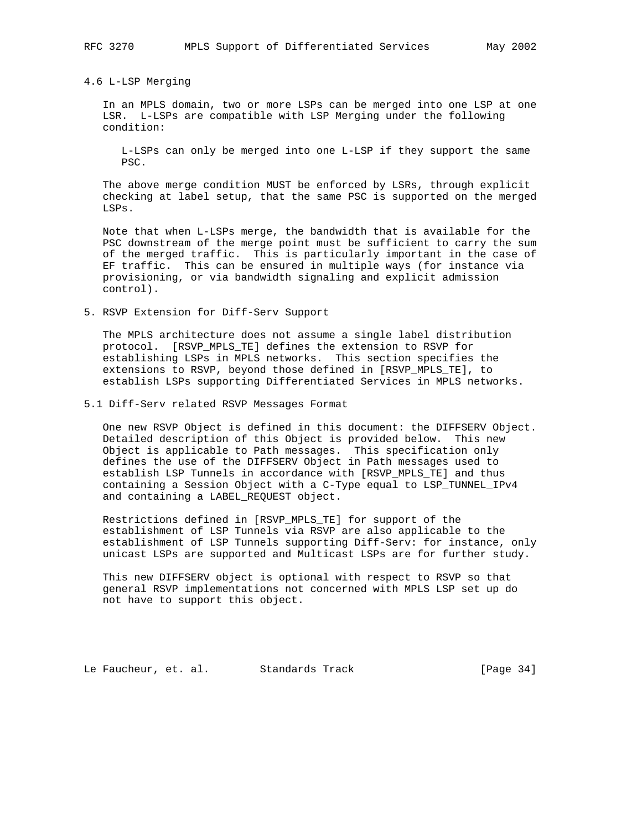4.6 L-LSP Merging

 In an MPLS domain, two or more LSPs can be merged into one LSP at one LSR. L-LSPs are compatible with LSP Merging under the following condition:

 L-LSPs can only be merged into one L-LSP if they support the same PSC.

 The above merge condition MUST be enforced by LSRs, through explicit checking at label setup, that the same PSC is supported on the merged LSPs.

 Note that when L-LSPs merge, the bandwidth that is available for the PSC downstream of the merge point must be sufficient to carry the sum of the merged traffic. This is particularly important in the case of EF traffic. This can be ensured in multiple ways (for instance via provisioning, or via bandwidth signaling and explicit admission control).

5. RSVP Extension for Diff-Serv Support

 The MPLS architecture does not assume a single label distribution protocol. [RSVP\_MPLS\_TE] defines the extension to RSVP for establishing LSPs in MPLS networks. This section specifies the extensions to RSVP, beyond those defined in [RSVP\_MPLS\_TE], to establish LSPs supporting Differentiated Services in MPLS networks.

5.1 Diff-Serv related RSVP Messages Format

 One new RSVP Object is defined in this document: the DIFFSERV Object. Detailed description of this Object is provided below. This new Object is applicable to Path messages. This specification only defines the use of the DIFFSERV Object in Path messages used to establish LSP Tunnels in accordance with [RSVP\_MPLS\_TE] and thus containing a Session Object with a C-Type equal to LSP\_TUNNEL\_IPv4 and containing a LABEL\_REQUEST object.

 Restrictions defined in [RSVP\_MPLS\_TE] for support of the establishment of LSP Tunnels via RSVP are also applicable to the establishment of LSP Tunnels supporting Diff-Serv: for instance, only unicast LSPs are supported and Multicast LSPs are for further study.

 This new DIFFSERV object is optional with respect to RSVP so that general RSVP implementations not concerned with MPLS LSP set up do not have to support this object.

Le Faucheur, et. al. Standards Track [Page 34]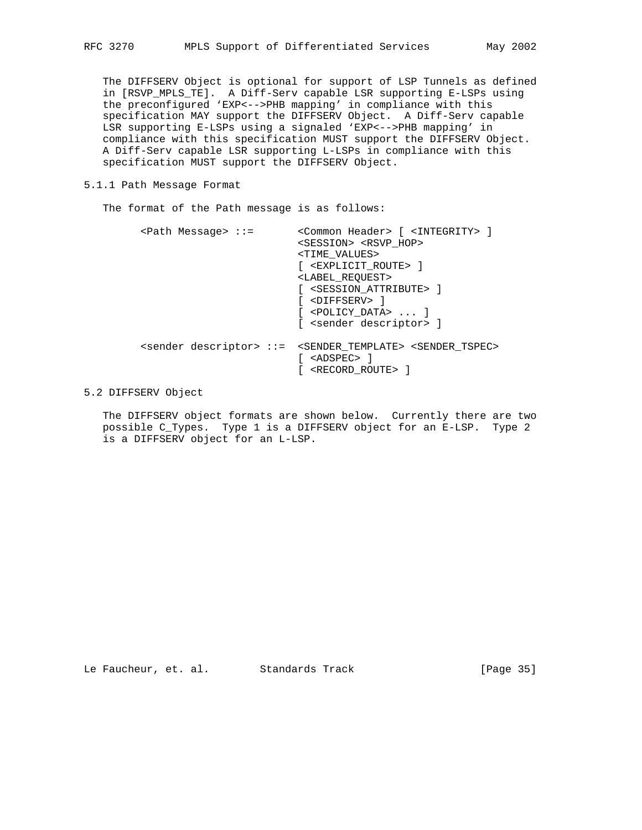The DIFFSERV Object is optional for support of LSP Tunnels as defined in [RSVP\_MPLS\_TE]. A Diff-Serv capable LSR supporting E-LSPs using the preconfigured 'EXP<-->PHB mapping' in compliance with this specification MAY support the DIFFSERV Object. A Diff-Serv capable LSR supporting E-LSPs using a signaled 'EXP<-->PHB mapping' in compliance with this specification MUST support the DIFFSERV Object. A Diff-Serv capable LSR supporting L-LSPs in compliance with this specification MUST support the DIFFSERV Object.

5.1.1 Path Message Format

The format of the Path message is as follows:

| $\epsilon$ Path Message> ::= | <common header=""> [ <integrity> ]<br/><session> <rsvp hop=""><br/><time values=""><br/>[ <explicit route=""> ]<br/><label reouest=""><br/>[ <session attribute=""> ]<br/>[ <diffserv> ]<br/><math>[</math> <policy data=""> <math>\ldots</math> ]<br/>[ <sender descriptor=""> ]</sender></policy></diffserv></session></label></explicit></time></rsvp></session></integrity></common> |
|------------------------------|------------------------------------------------------------------------------------------------------------------------------------------------------------------------------------------------------------------------------------------------------------------------------------------------------------------------------------------------------------------------------------------|
|                              | <sender descriptor=""> ::= <sender template=""> <sender tspec=""><br/><adspec> 1<br/><record route=""> ]</record></adspec></sender></sender></sender>                                                                                                                                                                                                                                    |

5.2 DIFFSERV Object

 The DIFFSERV object formats are shown below. Currently there are two possible C\_Types. Type 1 is a DIFFSERV object for an E-LSP. Type 2 is a DIFFSERV object for an L-LSP.

Le Faucheur, et. al. Standards Track [Page 35]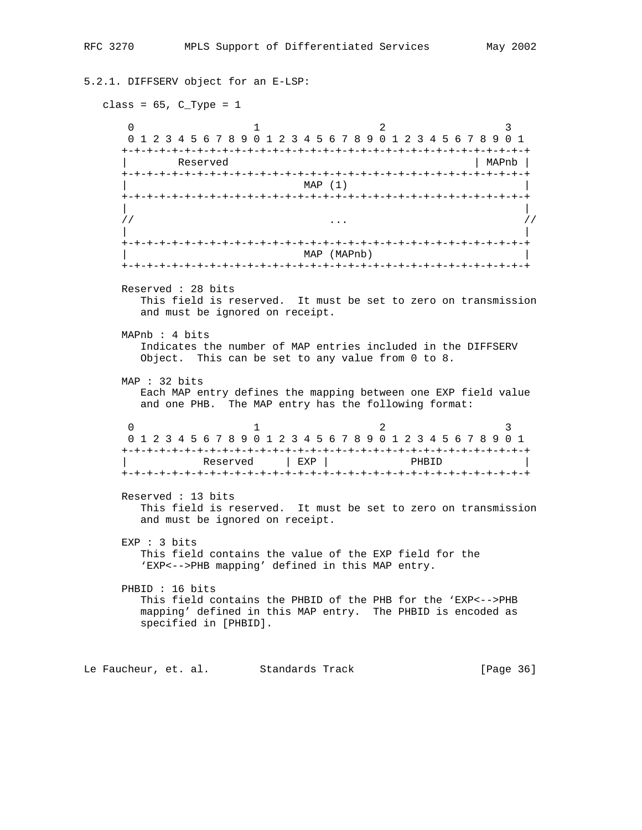```
5.2.1. DIFFSERV object for an E-LSP:
  class = 65, C_Type = 10 1 2 3
      0 1 2 3 4 5 6 7 8 9 0 1 2 3 4 5 6 7 8 9 0 1 2 3 4 5 6 7 8 9 0 1
      +-+-+-+-+-+-+-+-+-+-+-+-+-+-+-+-+-+-+-+-+-+-+-+-+-+-+-+-+-+-+-+-+
      | Reserved | MAPnb |
      +-+-+-+-+-+-+-+-+-+-+-+-+-+-+-+-+-+-+-+-+-+-+-+-+-+-+-+-+-+-+-+-+
                           MAP (1)
     +-+-+-+-+-+-+-+-+-+-+-+-+-+-+-+-+-+-+-+-+-+-+-+-+-+-+-+-+-+-+-+-+
 | |
 // ... //
 | |
     +-+-+-+-+-+-+-+-+-+-+-+-+-+-+-+-+-+-+-+-+-+-+-+-+-+-+-+-+-+-+-+-+
                            | MAP (MAPnb) |
     +-+-+-+-+-+-+-+-+-+-+-+-+-+-+-+-+-+-+-+-+-+-+-+-+-+-+-+-+-+-+-+-+
     Reserved : 28 bits
        This field is reserved. It must be set to zero on transmission
        and must be ignored on receipt.
     MAPnb : 4 bits
        Indicates the number of MAP entries included in the DIFFSERV
        Object. This can be set to any value from 0 to 8.
     MAP : 32 bits
        Each MAP entry defines the mapping between one EXP field value
        and one PHB. The MAP entry has the following format:
0 1 2 3
      0 1 2 3 4 5 6 7 8 9 0 1 2 3 4 5 6 7 8 9 0 1 2 3 4 5 6 7 8 9 0 1
      +-+-+-+-+-+-+-+-+-+-+-+-+-+-+-+-+-+-+-+-+-+-+-+-+-+-+-+-+-+-+-+-+
              Reserved | EXP | PHBID
     +-+-+-+-+-+-+-+-+-+-+-+-+-+-+-+-+-+-+-+-+-+-+-+-+-+-+-+-+-+-+-+-+
     Reserved : 13 bits
        This field is reserved. It must be set to zero on transmission
        and must be ignored on receipt.
     EXP : 3 bits
        This field contains the value of the EXP field for the
        'EXP<-->PHB mapping' defined in this MAP entry.
     PHBID : 16 bits
        This field contains the PHBID of the PHB for the 'EXP<-->PHB
        mapping' defined in this MAP entry. The PHBID is encoded as
        specified in [PHBID].
Le Faucheur, et. al. Standards Track [Page 36]
```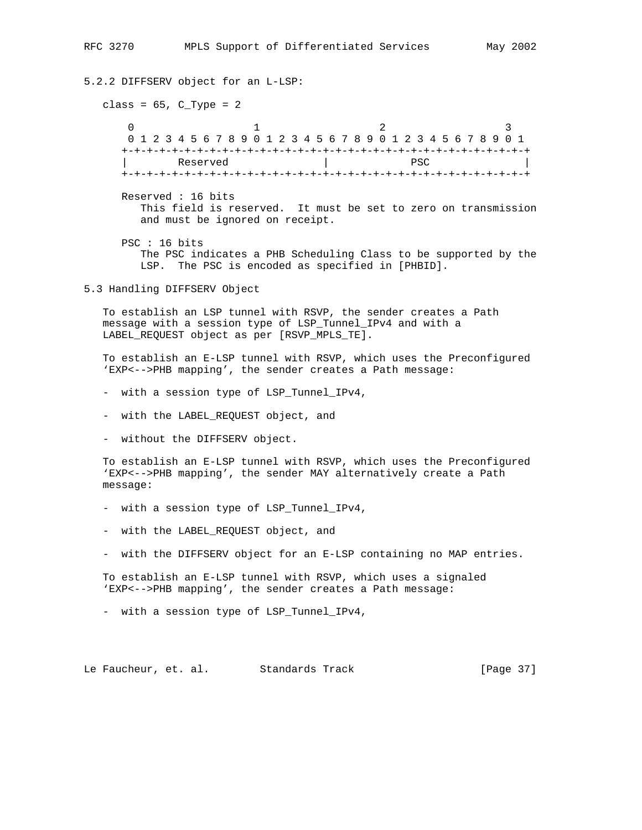5.2.2 DIFFSERV object for an L-LSP: class =  $65$ , C\_Type =  $2$  $0$  1 2 3 0 1 2 3 4 5 6 7 8 9 0 1 2 3 4 5 6 7 8 9 0 1 2 3 4 5 6 7 8 9 0 1 +-+-+-+-+-+-+-+-+-+-+-+-+-+-+-+-+-+-+-+-+-+-+-+-+-+-+-+-+-+-+-+-+ | Reserved | PSC | +-+-+-+-+-+-+-+-+-+-+-+-+-+-+-+-+-+-+-+-+-+-+-+-+-+-+-+-+-+-+-+-+ Reserved : 16 bits This field is reserved. It must be set to zero on transmission and must be ignored on receipt. PSC : 16 bits The PSC indicates a PHB Scheduling Class to be supported by the LSP. The PSC is encoded as specified in [PHBID]. 5.3 Handling DIFFSERV Object To establish an LSP tunnel with RSVP, the sender creates a Path message with a session type of LSP\_Tunnel\_IPv4 and with a LABEL\_REQUEST object as per [RSVP\_MPLS\_TE]. To establish an E-LSP tunnel with RSVP, which uses the Preconfigured 'EXP<-->PHB mapping', the sender creates a Path message: - with a session type of LSP\_Tunnel\_IPv4, - with the LABEL\_REQUEST object, and - without the DIFFSERV object. To establish an E-LSP tunnel with RSVP, which uses the Preconfigured 'EXP<-->PHB mapping', the sender MAY alternatively create a Path message: - with a session type of LSP\_Tunnel\_IPv4, - with the LABEL\_REQUEST object, and - with the DIFFSERV object for an E-LSP containing no MAP entries. To establish an E-LSP tunnel with RSVP, which uses a signaled 'EXP<-->PHB mapping', the sender creates a Path message: - with a session type of LSP\_Tunnel\_IPv4, Le Faucheur, et. al. Standards Track [Page 37]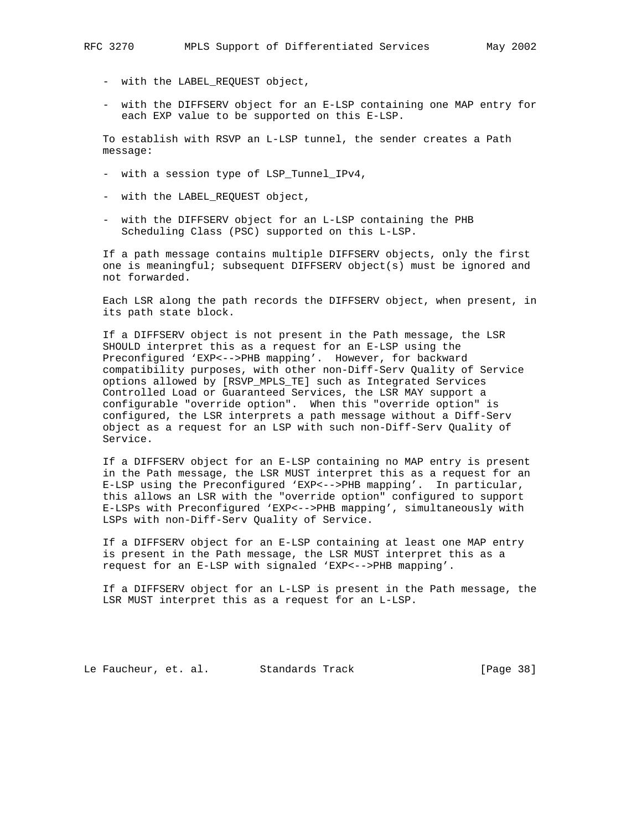- with the LABEL\_REQUEST object,
- with the DIFFSERV object for an E-LSP containing one MAP entry for each EXP value to be supported on this E-LSP.

 To establish with RSVP an L-LSP tunnel, the sender creates a Path message:

- with a session type of LSP\_Tunnel\_IPv4,
- with the LABEL\_REQUEST object,
- with the DIFFSERV object for an L-LSP containing the PHB Scheduling Class (PSC) supported on this L-LSP.

 If a path message contains multiple DIFFSERV objects, only the first one is meaningful; subsequent DIFFSERV object(s) must be ignored and not forwarded.

 Each LSR along the path records the DIFFSERV object, when present, in its path state block.

 If a DIFFSERV object is not present in the Path message, the LSR SHOULD interpret this as a request for an E-LSP using the Preconfigured 'EXP<-->PHB mapping'. However, for backward compatibility purposes, with other non-Diff-Serv Quality of Service options allowed by [RSVP\_MPLS\_TE] such as Integrated Services Controlled Load or Guaranteed Services, the LSR MAY support a configurable "override option". When this "override option" is configured, the LSR interprets a path message without a Diff-Serv object as a request for an LSP with such non-Diff-Serv Quality of Service.

 If a DIFFSERV object for an E-LSP containing no MAP entry is present in the Path message, the LSR MUST interpret this as a request for an E-LSP using the Preconfigured 'EXP<-->PHB mapping'. In particular, this allows an LSR with the "override option" configured to support E-LSPs with Preconfigured 'EXP<-->PHB mapping', simultaneously with LSPs with non-Diff-Serv Quality of Service.

 If a DIFFSERV object for an E-LSP containing at least one MAP entry is present in the Path message, the LSR MUST interpret this as a request for an E-LSP with signaled 'EXP<-->PHB mapping'.

 If a DIFFSERV object for an L-LSP is present in the Path message, the LSR MUST interpret this as a request for an L-LSP.

Le Faucheur, et. al. Standards Track [Page 38]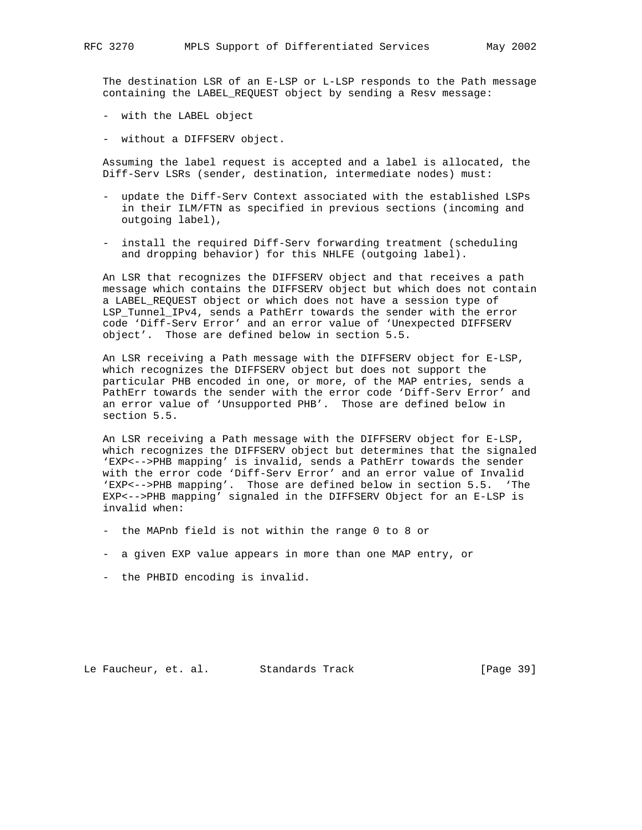The destination LSR of an E-LSP or L-LSP responds to the Path message containing the LABEL\_REQUEST object by sending a Resv message:

- with the LABEL object
- without a DIFFSERV object.

 Assuming the label request is accepted and a label is allocated, the Diff-Serv LSRs (sender, destination, intermediate nodes) must:

- update the Diff-Serv Context associated with the established LSPs in their ILM/FTN as specified in previous sections (incoming and outgoing label),
- install the required Diff-Serv forwarding treatment (scheduling and dropping behavior) for this NHLFE (outgoing label).

 An LSR that recognizes the DIFFSERV object and that receives a path message which contains the DIFFSERV object but which does not contain a LABEL\_REQUEST object or which does not have a session type of LSP\_Tunnel\_IPv4, sends a PathErr towards the sender with the error code 'Diff-Serv Error' and an error value of 'Unexpected DIFFSERV object'. Those are defined below in section 5.5.

 An LSR receiving a Path message with the DIFFSERV object for E-LSP, which recognizes the DIFFSERV object but does not support the particular PHB encoded in one, or more, of the MAP entries, sends a PathErr towards the sender with the error code 'Diff-Serv Error' and an error value of 'Unsupported PHB'. Those are defined below in section 5.5.

 An LSR receiving a Path message with the DIFFSERV object for E-LSP, which recognizes the DIFFSERV object but determines that the signaled 'EXP<-->PHB mapping' is invalid, sends a PathErr towards the sender with the error code 'Diff-Serv Error' and an error value of Invalid 'EXP<-->PHB mapping'. Those are defined below in section 5.5. 'The EXP<-->PHB mapping' signaled in the DIFFSERV Object for an E-LSP is invalid when:

- the MAPnb field is not within the range 0 to 8 or
- a given EXP value appears in more than one MAP entry, or
- the PHBID encoding is invalid.

Le Faucheur, et. al. Standards Track [Page 39]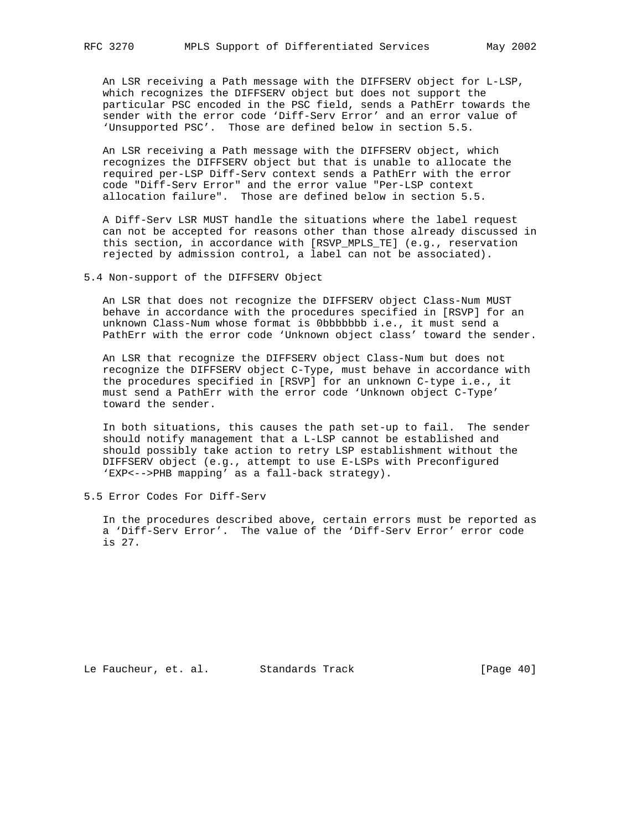An LSR receiving a Path message with the DIFFSERV object for L-LSP, which recognizes the DIFFSERV object but does not support the particular PSC encoded in the PSC field, sends a PathErr towards the sender with the error code 'Diff-Serv Error' and an error value of 'Unsupported PSC'. Those are defined below in section 5.5.

 An LSR receiving a Path message with the DIFFSERV object, which recognizes the DIFFSERV object but that is unable to allocate the required per-LSP Diff-Serv context sends a PathErr with the error code "Diff-Serv Error" and the error value "Per-LSP context allocation failure". Those are defined below in section 5.5.

 A Diff-Serv LSR MUST handle the situations where the label request can not be accepted for reasons other than those already discussed in this section, in accordance with [RSVP\_MPLS\_TE] (e.g., reservation rejected by admission control, a label can not be associated).

5.4 Non-support of the DIFFSERV Object

 An LSR that does not recognize the DIFFSERV object Class-Num MUST behave in accordance with the procedures specified in [RSVP] for an unknown Class-Num whose format is 0bbbbbbb i.e., it must send a PathErr with the error code 'Unknown object class' toward the sender.

 An LSR that recognize the DIFFSERV object Class-Num but does not recognize the DIFFSERV object C-Type, must behave in accordance with the procedures specified in [RSVP] for an unknown C-type i.e., it must send a PathErr with the error code 'Unknown object C-Type' toward the sender.

 In both situations, this causes the path set-up to fail. The sender should notify management that a L-LSP cannot be established and should possibly take action to retry LSP establishment without the DIFFSERV object (e.g., attempt to use E-LSPs with Preconfigured 'EXP<-->PHB mapping' as a fall-back strategy).

5.5 Error Codes For Diff-Serv

 In the procedures described above, certain errors must be reported as a 'Diff-Serv Error'. The value of the 'Diff-Serv Error' error code is 27.

Le Faucheur, et. al. Standards Track [Page 40]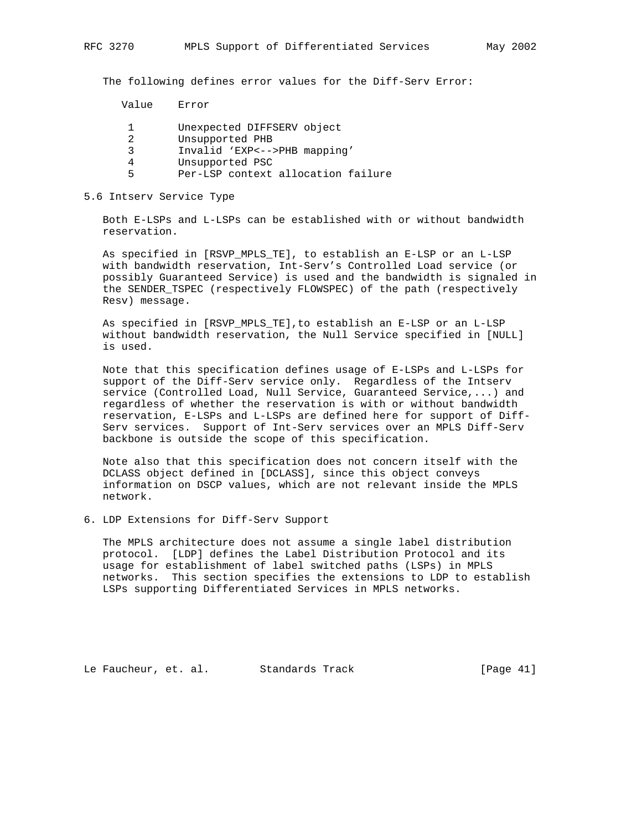The following defines error values for the Diff-Serv Error:

Value Error

- 1 Unexpected DIFFSERV object
- 2 Unsupported PHB
- 3 Invalid 'EXP<-->PHB mapping'
- 4 Unsupported PSC
- 5 Per-LSP context allocation failure

## 5.6 Intserv Service Type

 Both E-LSPs and L-LSPs can be established with or without bandwidth reservation.

 As specified in [RSVP\_MPLS\_TE], to establish an E-LSP or an L-LSP with bandwidth reservation, Int-Serv's Controlled Load service (or possibly Guaranteed Service) is used and the bandwidth is signaled in the SENDER\_TSPEC (respectively FLOWSPEC) of the path (respectively Resv) message.

 As specified in [RSVP\_MPLS\_TE],to establish an E-LSP or an L-LSP without bandwidth reservation, the Null Service specified in [NULL] is used.

 Note that this specification defines usage of E-LSPs and L-LSPs for support of the Diff-Serv service only. Regardless of the Intserv service (Controlled Load, Null Service, Guaranteed Service,...) and regardless of whether the reservation is with or without bandwidth reservation, E-LSPs and L-LSPs are defined here for support of Diff- Serv services. Support of Int-Serv services over an MPLS Diff-Serv backbone is outside the scope of this specification.

 Note also that this specification does not concern itself with the DCLASS object defined in [DCLASS], since this object conveys information on DSCP values, which are not relevant inside the MPLS network.

6. LDP Extensions for Diff-Serv Support

 The MPLS architecture does not assume a single label distribution protocol. [LDP] defines the Label Distribution Protocol and its usage for establishment of label switched paths (LSPs) in MPLS networks. This section specifies the extensions to LDP to establish LSPs supporting Differentiated Services in MPLS networks.

Le Faucheur, et. al. Standards Track [Page 41]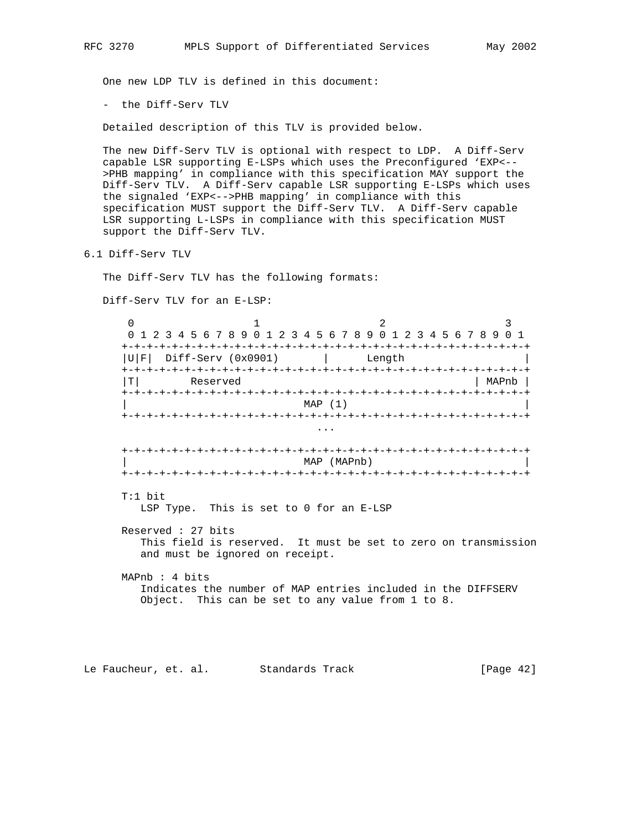One new LDP TLV is defined in this document:

- the Diff-Serv TLV

Detailed description of this TLV is provided below.

 The new Diff-Serv TLV is optional with respect to LDP. A Diff-Serv capable LSR supporting E-LSPs which uses the Preconfigured 'EXP<-- >PHB mapping' in compliance with this specification MAY support the Diff-Serv TLV. A Diff-Serv capable LSR supporting E-LSPs which uses the signaled 'EXP<-->PHB mapping' in compliance with this specification MUST support the Diff-Serv TLV. A Diff-Serv capable LSR supporting L-LSPs in compliance with this specification MUST support the Diff-Serv TLV.

6.1 Diff-Serv TLV

The Diff-Serv TLV has the following formats:

Diff-Serv TLV for an E-LSP:

 $0$  1 2 3 0 1 2 3 4 5 6 7 8 9 0 1 2 3 4 5 6 7 8 9 0 1 2 3 4 5 6 7 8 9 0 1 +-+-+-+-+-+-+-+-+-+-+-+-+-+-+-+-+-+-+-+-+-+-+-+-+-+-+-+-+-+-+-+-+  $|U|F|$  Diff-Serv (0x0901)  $|$  Length +-+-+-+-+-+-+-+-+-+-+-+-+-+-+-+-+-+-+-+-+-+-+-+-+-+-+-+-+-+-+-+-+ |T| Reserved | MAPnb | +-+-+-+-+-+-+-+-+-+-+-+-+-+-+-+-+-+-+-+-+-+-+-+-+-+-+-+-+-+-+-+-+ MAP (1) +-+-+-+-+-+-+-+-+-+-+-+-+-+-+-+-+-+-+-+-+-+-+-+-+-+-+-+-+-+-+-+-+ ... +-+-+-+-+-+-+-+-+-+-+-+-+-+-+-+-+-+-+-+-+-+-+-+-+-+-+-+-+-+-+-+-+ | MAP (MAPnb) | +-+-+-+-+-+-+-+-+-+-+-+-+-+-+-+-+-+-+-+-+-+-+-+-+-+-+-+-+-+-+-+-+ T:1 bit LSP Type. This is set to 0 for an E-LSP Reserved : 27 bits This field is reserved. It must be set to zero on transmission and must be ignored on receipt. MAPnb : 4 bits Indicates the number of MAP entries included in the DIFFSERV Object. This can be set to any value from 1 to 8.

Le Faucheur, et. al. Standards Track [Page 42]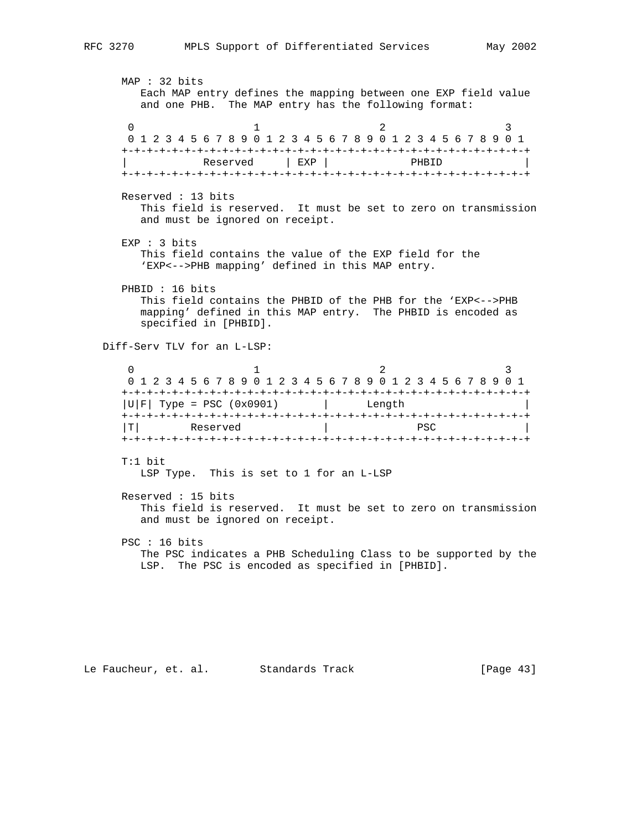MAP : 32 bits Each MAP entry defines the mapping between one EXP field value and one PHB. The MAP entry has the following format:  $0$  1 2 3 0 1 2 3 4 5 6 7 8 9 0 1 2 3 4 5 6 7 8 9 0 1 2 3 4 5 6 7 8 9 0 1 +-+-+-+-+-+-+-+-+-+-+-+-+-+-+-+-+-+-+-+-+-+-+-+-+-+-+-+-+-+-+-+-+ Reserved | EXP | PHBID +-+-+-+-+-+-+-+-+-+-+-+-+-+-+-+-+-+-+-+-+-+-+-+-+-+-+-+-+-+-+-+-+ Reserved : 13 bits This field is reserved. It must be set to zero on transmission and must be ignored on receipt. EXP : 3 bits This field contains the value of the EXP field for the 'EXP<-->PHB mapping' defined in this MAP entry. PHBID : 16 bits This field contains the PHBID of the PHB for the 'EXP<-->PHB mapping' defined in this MAP entry. The PHBID is encoded as specified in [PHBID]. Diff-Serv TLV for an L-LSP:  $0$  1 2 3 0 1 2 3 4 5 6 7 8 9 0 1 2 3 4 5 6 7 8 9 0 1 2 3 4 5 6 7 8 9 0 1 +-+-+-+-+-+-+-+-+-+-+-+-+-+-+-+-+-+-+-+-+-+-+-+-+-+-+-+-+-+-+-+-+  $|U|F|$  Type = PSC (0x0901)  $|U|F|$  Length +-+-+-+-+-+-+-+-+-+-+-+-+-+-+-+-+-+-+-+-+-+-+-+-+-+-+-+-+-+-+-+-+ |T| Reserved | PSC | +-+-+-+-+-+-+-+-+-+-+-+-+-+-+-+-+-+-+-+-+-+-+-+-+-+-+-+-+-+-+-+-+ T:1 bit LSP Type. This is set to 1 for an L-LSP Reserved : 15 bits This field is reserved. It must be set to zero on transmission and must be ignored on receipt. PSC : 16 bits The PSC indicates a PHB Scheduling Class to be supported by the LSP. The PSC is encoded as specified in [PHBID].

Le Faucheur, et. al. Standards Track [Page 43]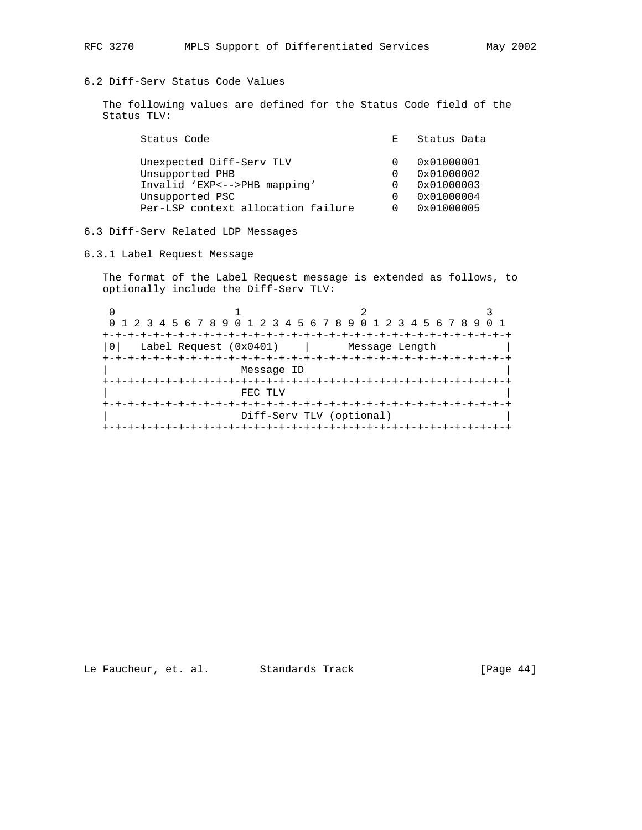# 6.2 Diff-Serv Status Code Values

 The following values are defined for the Status Code field of the Status TLV:

| Status Code                        | E. | Status Data |
|------------------------------------|----|-------------|
| Unexpected Diff-Serv TLV           |    | 0x01000001  |
| Unsupported PHB                    |    | 0x01000002  |
| Invalid 'EXP<-->PHB mapping'       |    | 0x01000003  |
| Unsupported PSC                    |    | 0x01000004  |
| Per-LSP context allocation failure |    | 0x01000005  |
|                                    |    |             |

## 6.3 Diff-Serv Related LDP Messages

6.3.1 Label Request Message

 The format of the Label Request message is extended as follows, to optionally include the Diff-Serv TLV:

| 0 1 2 3 4 5 6 7 8 9 0 1 2 3 4 5 6 7 8 9 0 1 2 3 4 5 6 7 8 9 |                                |  |
|-------------------------------------------------------------|--------------------------------|--|
|                                                             |                                |  |
| Label Request (0x0401)                                      | Message Length                 |  |
|                                                             |                                |  |
| Message ID                                                  |                                |  |
|                                                             |                                |  |
| FEC TLV                                                     |                                |  |
|                                                             |                                |  |
|                                                             | Diff-Serv TLV (optional)       |  |
|                                                             | +-+-+-+-+-+-+-+-+-+-+-+-+-+-+- |  |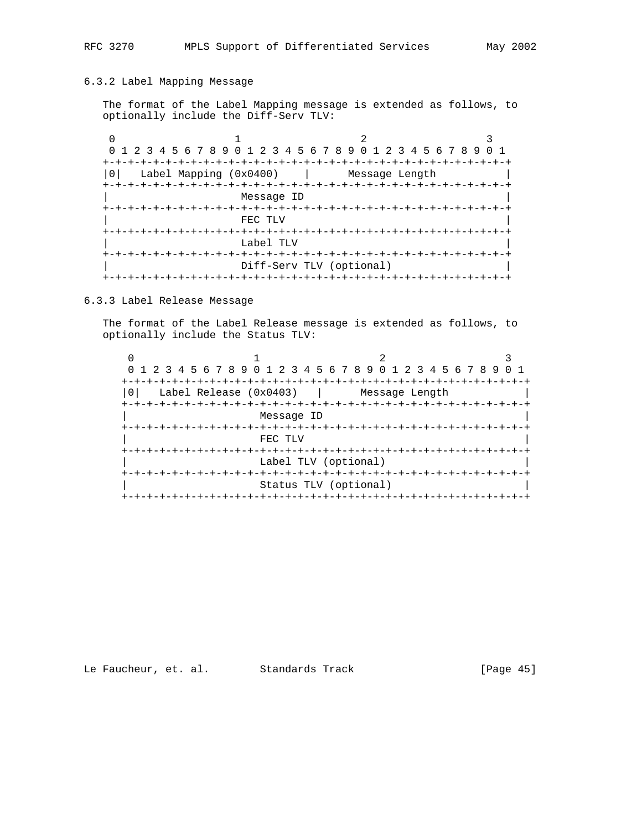## 6.3.2 Label Mapping Message

 The format of the Label Mapping message is extended as follows, to optionally include the Diff-Serv TLV:

| 0 1 2 3 4 5 6 7 8 9 0 1 2 3 4 5 6 7 8 9 0 1 2 3 4 5 6 7 8 9 0 1 |                              |                |  |
|-----------------------------------------------------------------|------------------------------|----------------|--|
|                                                                 |                              |                |  |
| Label Mapping (0x0400)                                          |                              | Message Length |  |
|                                                                 |                              |                |  |
|                                                                 | Message ID                   |                |  |
| +-+-+-+-+-+-+                                                   |                              |                |  |
|                                                                 | FEC TLV                      |                |  |
|                                                                 |                              |                |  |
|                                                                 | Label TLV                    |                |  |
|                                                                 | +-+-+-+-+-+-                 |                |  |
|                                                                 | Diff-Serv TLV (optional)     |                |  |
|                                                                 | +-+-+-+-+-+-+-+-+-+-+-+-+-+- |                |  |

## 6.3.3 Label Release Message

 The format of the Label Release message is extended as follows, to optionally include the Status TLV:

|                          | 0 1 2 3 4 5 6 7 8 9 0 1 2 3 4 5 6 7 8 9 0 1 2 3 4 5 6 7 8 9 |                |  |
|--------------------------|-------------------------------------------------------------|----------------|--|
|                          |                                                             |                |  |
| Label Release $(0x0403)$ |                                                             | Message Length |  |
|                          |                                                             |                |  |
|                          | Message ID                                                  |                |  |
|                          |                                                             |                |  |
|                          | FEC TLV                                                     |                |  |
|                          | -+-+-+-+-+                                                  |                |  |
|                          | Label TLV (optional)                                        |                |  |
|                          |                                                             |                |  |
|                          | Status TLV (optional)                                       |                |  |
|                          | -+-+-+-+-+-+-+-+-+-+-+-+                                    |                |  |

# Le Faucheur, et. al. Standards Track [Page 45]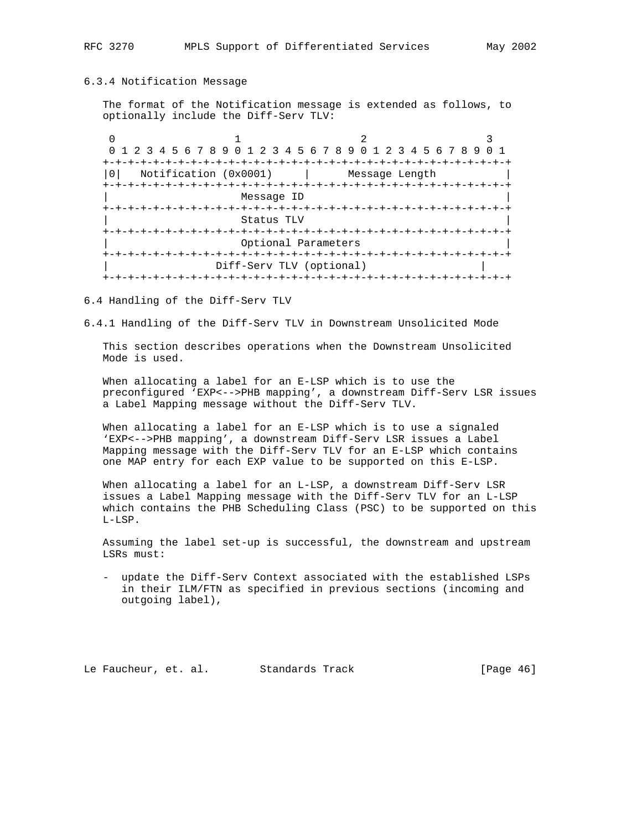## 6.3.4 Notification Message

 The format of the Notification message is extended as follows, to optionally include the Diff-Serv TLV:

| 0 1 2 3 4 5 6 7 8 9 0 1 2 3 4 5 6 7 8 9 0 1 2 3 4 5 6 7 8 9 0 1 |                              |                |  |  |  |  |  |  |  |
|-----------------------------------------------------------------|------------------------------|----------------|--|--|--|--|--|--|--|
|                                                                 |                              |                |  |  |  |  |  |  |  |
| Notification (0x0001)                                           |                              | Message Length |  |  |  |  |  |  |  |
| +-+-+-+-+-+-+-+                                                 |                              |                |  |  |  |  |  |  |  |
|                                                                 | Message ID                   |                |  |  |  |  |  |  |  |
|                                                                 | +-+-+-+-+-+-+-+-+-+-+-+-+-+- |                |  |  |  |  |  |  |  |
|                                                                 | Status TLV                   |                |  |  |  |  |  |  |  |
|                                                                 | +-+-+-+-+-+-                 |                |  |  |  |  |  |  |  |
|                                                                 | Optional Parameters          |                |  |  |  |  |  |  |  |
|                                                                 |                              |                |  |  |  |  |  |  |  |
| Diff-Serv TLV (optional)                                        |                              |                |  |  |  |  |  |  |  |
|                                                                 | -+-+-+-+-+-+-+-+-+-+         |                |  |  |  |  |  |  |  |

6.4 Handling of the Diff-Serv TLV

6.4.1 Handling of the Diff-Serv TLV in Downstream Unsolicited Mode

 This section describes operations when the Downstream Unsolicited Mode is used.

 When allocating a label for an E-LSP which is to use the preconfigured 'EXP<-->PHB mapping', a downstream Diff-Serv LSR issues a Label Mapping message without the Diff-Serv TLV.

When allocating a label for an E-LSP which is to use a signaled 'EXP<-->PHB mapping', a downstream Diff-Serv LSR issues a Label Mapping message with the Diff-Serv TLV for an E-LSP which contains one MAP entry for each EXP value to be supported on this E-LSP.

 When allocating a label for an L-LSP, a downstream Diff-Serv LSR issues a Label Mapping message with the Diff-Serv TLV for an L-LSP which contains the PHB Scheduling Class (PSC) to be supported on this L-LSP.

 Assuming the label set-up is successful, the downstream and upstream LSRs must:

 - update the Diff-Serv Context associated with the established LSPs in their ILM/FTN as specified in previous sections (incoming and outgoing label),

Le Faucheur, et. al. Standards Track [Page 46]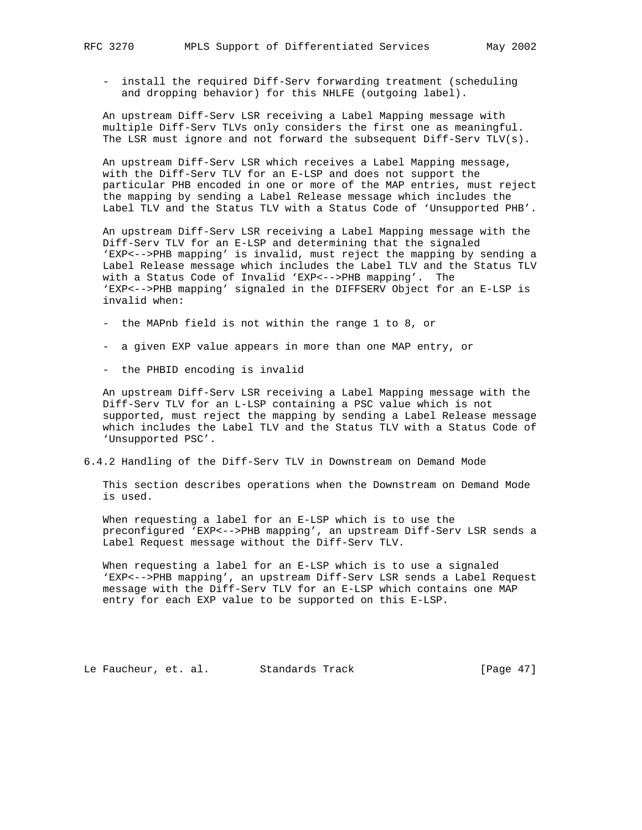- install the required Diff-Serv forwarding treatment (scheduling and dropping behavior) for this NHLFE (outgoing label).

 An upstream Diff-Serv LSR receiving a Label Mapping message with multiple Diff-Serv TLVs only considers the first one as meaningful. The LSR must ignore and not forward the subsequent Diff-Serv TLV(s).

 An upstream Diff-Serv LSR which receives a Label Mapping message, with the Diff-Serv TLV for an E-LSP and does not support the particular PHB encoded in one or more of the MAP entries, must reject the mapping by sending a Label Release message which includes the Label TLV and the Status TLV with a Status Code of 'Unsupported PHB'.

 An upstream Diff-Serv LSR receiving a Label Mapping message with the Diff-Serv TLV for an E-LSP and determining that the signaled 'EXP<-->PHB mapping' is invalid, must reject the mapping by sending a Label Release message which includes the Label TLV and the Status TLV with a Status Code of Invalid 'EXP<-->PHB mapping'. The 'EXP<-->PHB mapping' signaled in the DIFFSERV Object for an E-LSP is invalid when:

- the MAPnb field is not within the range 1 to 8, or
- a given EXP value appears in more than one MAP entry, or
- the PHBID encoding is invalid

 An upstream Diff-Serv LSR receiving a Label Mapping message with the Diff-Serv TLV for an L-LSP containing a PSC value which is not supported, must reject the mapping by sending a Label Release message which includes the Label TLV and the Status TLV with a Status Code of 'Unsupported PSC'.

6.4.2 Handling of the Diff-Serv TLV in Downstream on Demand Mode

 This section describes operations when the Downstream on Demand Mode is used.

 When requesting a label for an E-LSP which is to use the preconfigured 'EXP<-->PHB mapping', an upstream Diff-Serv LSR sends a Label Request message without the Diff-Serv TLV.

When requesting a label for an E-LSP which is to use a signaled 'EXP<-->PHB mapping', an upstream Diff-Serv LSR sends a Label Request message with the Diff-Serv TLV for an E-LSP which contains one MAP entry for each EXP value to be supported on this E-LSP.

Le Faucheur, et. al. Standards Track [Page 47]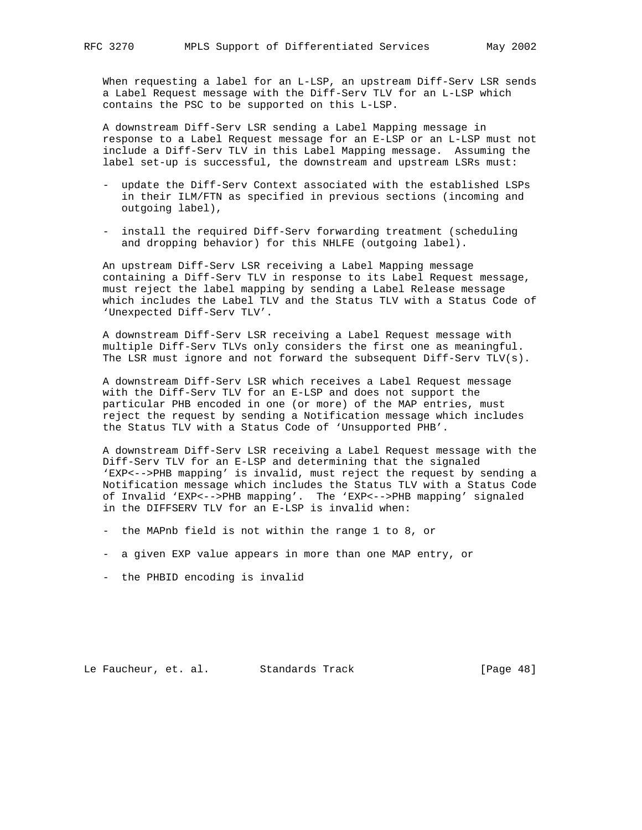When requesting a label for an L-LSP, an upstream Diff-Serv LSR sends a Label Request message with the Diff-Serv TLV for an L-LSP which contains the PSC to be supported on this L-LSP.

 A downstream Diff-Serv LSR sending a Label Mapping message in response to a Label Request message for an E-LSP or an L-LSP must not include a Diff-Serv TLV in this Label Mapping message. Assuming the label set-up is successful, the downstream and upstream LSRs must:

- update the Diff-Serv Context associated with the established LSPs in their ILM/FTN as specified in previous sections (incoming and outgoing label),
- install the required Diff-Serv forwarding treatment (scheduling and dropping behavior) for this NHLFE (outgoing label).

 An upstream Diff-Serv LSR receiving a Label Mapping message containing a Diff-Serv TLV in response to its Label Request message, must reject the label mapping by sending a Label Release message which includes the Label TLV and the Status TLV with a Status Code of 'Unexpected Diff-Serv TLV'.

 A downstream Diff-Serv LSR receiving a Label Request message with multiple Diff-Serv TLVs only considers the first one as meaningful. The LSR must ignore and not forward the subsequent Diff-Serv TLV(s).

 A downstream Diff-Serv LSR which receives a Label Request message with the Diff-Serv TLV for an E-LSP and does not support the particular PHB encoded in one (or more) of the MAP entries, must reject the request by sending a Notification message which includes the Status TLV with a Status Code of 'Unsupported PHB'.

 A downstream Diff-Serv LSR receiving a Label Request message with the Diff-Serv TLV for an E-LSP and determining that the signaled 'EXP<-->PHB mapping' is invalid, must reject the request by sending a Notification message which includes the Status TLV with a Status Code of Invalid 'EXP<-->PHB mapping'. The 'EXP<-->PHB mapping' signaled in the DIFFSERV TLV for an E-LSP is invalid when:

- the MAPnb field is not within the range 1 to 8, or
- a given EXP value appears in more than one MAP entry, or
- the PHBID encoding is invalid

Le Faucheur, et. al. Standards Track [Page 48]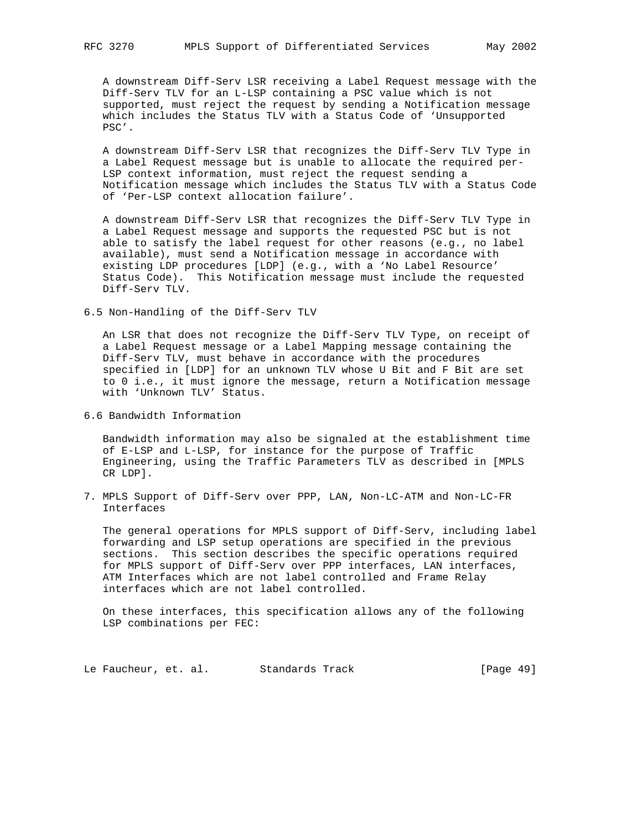A downstream Diff-Serv LSR receiving a Label Request message with the Diff-Serv TLV for an L-LSP containing a PSC value which is not supported, must reject the request by sending a Notification message which includes the Status TLV with a Status Code of 'Unsupported PSC'.

 A downstream Diff-Serv LSR that recognizes the Diff-Serv TLV Type in a Label Request message but is unable to allocate the required per- LSP context information, must reject the request sending a Notification message which includes the Status TLV with a Status Code of 'Per-LSP context allocation failure'.

 A downstream Diff-Serv LSR that recognizes the Diff-Serv TLV Type in a Label Request message and supports the requested PSC but is not able to satisfy the label request for other reasons (e.g., no label available), must send a Notification message in accordance with existing LDP procedures [LDP] (e.g., with a 'No Label Resource' Status Code). This Notification message must include the requested Diff-Serv TLV.

6.5 Non-Handling of the Diff-Serv TLV

 An LSR that does not recognize the Diff-Serv TLV Type, on receipt of a Label Request message or a Label Mapping message containing the Diff-Serv TLV, must behave in accordance with the procedures specified in [LDP] for an unknown TLV whose U Bit and F Bit are set to 0 i.e., it must ignore the message, return a Notification message with 'Unknown TLV' Status.

6.6 Bandwidth Information

 Bandwidth information may also be signaled at the establishment time of E-LSP and L-LSP, for instance for the purpose of Traffic Engineering, using the Traffic Parameters TLV as described in [MPLS CR LDP].

7. MPLS Support of Diff-Serv over PPP, LAN, Non-LC-ATM and Non-LC-FR Interfaces

 The general operations for MPLS support of Diff-Serv, including label forwarding and LSP setup operations are specified in the previous sections. This section describes the specific operations required for MPLS support of Diff-Serv over PPP interfaces, LAN interfaces, ATM Interfaces which are not label controlled and Frame Relay interfaces which are not label controlled.

 On these interfaces, this specification allows any of the following LSP combinations per FEC:

Le Faucheur, et. al. Standards Track [Page 49]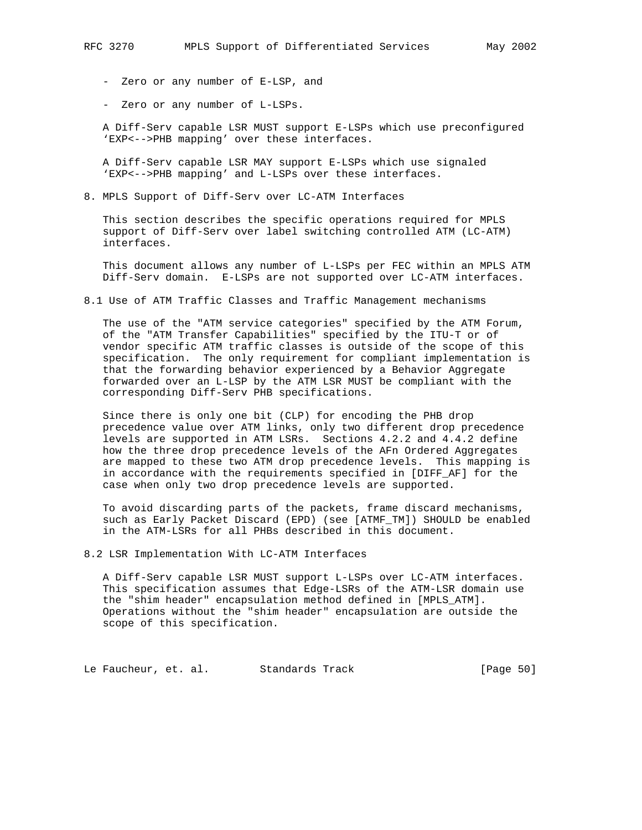- Zero or any number of E-LSP, and
- Zero or any number of L-LSPs.

 A Diff-Serv capable LSR MUST support E-LSPs which use preconfigured 'EXP<-->PHB mapping' over these interfaces.

 A Diff-Serv capable LSR MAY support E-LSPs which use signaled 'EXP<-->PHB mapping' and L-LSPs over these interfaces.

8. MPLS Support of Diff-Serv over LC-ATM Interfaces

 This section describes the specific operations required for MPLS support of Diff-Serv over label switching controlled ATM (LC-ATM) interfaces.

 This document allows any number of L-LSPs per FEC within an MPLS ATM Diff-Serv domain. E-LSPs are not supported over LC-ATM interfaces.

8.1 Use of ATM Traffic Classes and Traffic Management mechanisms

 The use of the "ATM service categories" specified by the ATM Forum, of the "ATM Transfer Capabilities" specified by the ITU-T or of vendor specific ATM traffic classes is outside of the scope of this specification. The only requirement for compliant implementation is that the forwarding behavior experienced by a Behavior Aggregate forwarded over an L-LSP by the ATM LSR MUST be compliant with the corresponding Diff-Serv PHB specifications.

 Since there is only one bit (CLP) for encoding the PHB drop precedence value over ATM links, only two different drop precedence levels are supported in ATM LSRs. Sections 4.2.2 and 4.4.2 define how the three drop precedence levels of the AFn Ordered Aggregates are mapped to these two ATM drop precedence levels. This mapping is in accordance with the requirements specified in [DIFF\_AF] for the case when only two drop precedence levels are supported.

 To avoid discarding parts of the packets, frame discard mechanisms, such as Early Packet Discard (EPD) (see [ATMF\_TM]) SHOULD be enabled in the ATM-LSRs for all PHBs described in this document.

8.2 LSR Implementation With LC-ATM Interfaces

 A Diff-Serv capable LSR MUST support L-LSPs over LC-ATM interfaces. This specification assumes that Edge-LSRs of the ATM-LSR domain use the "shim header" encapsulation method defined in [MPLS\_ATM]. Operations without the "shim header" encapsulation are outside the scope of this specification.

Le Faucheur, et. al. Standards Track [Page 50]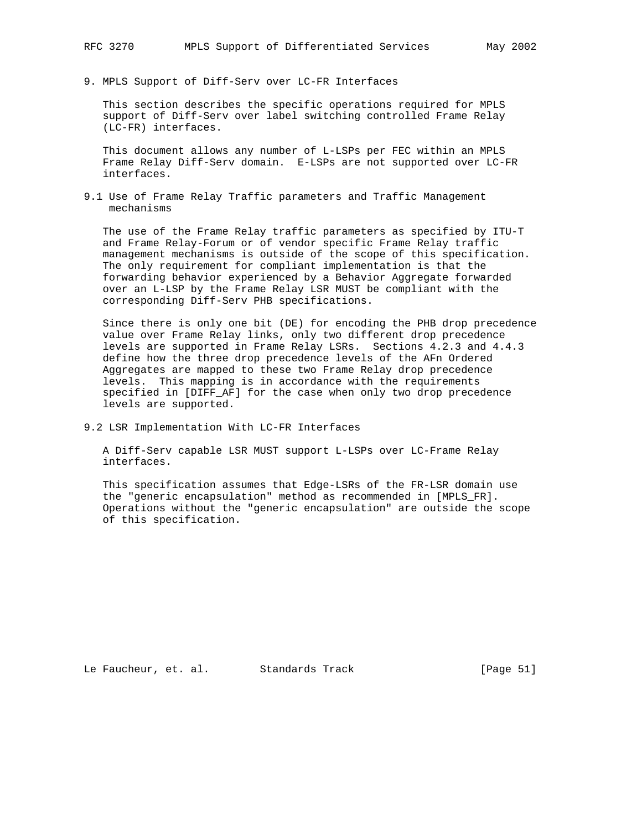9. MPLS Support of Diff-Serv over LC-FR Interfaces

 This section describes the specific operations required for MPLS support of Diff-Serv over label switching controlled Frame Relay (LC-FR) interfaces.

 This document allows any number of L-LSPs per FEC within an MPLS Frame Relay Diff-Serv domain. E-LSPs are not supported over LC-FR interfaces.

9.1 Use of Frame Relay Traffic parameters and Traffic Management mechanisms

 The use of the Frame Relay traffic parameters as specified by ITU-T and Frame Relay-Forum or of vendor specific Frame Relay traffic management mechanisms is outside of the scope of this specification. The only requirement for compliant implementation is that the forwarding behavior experienced by a Behavior Aggregate forwarded over an L-LSP by the Frame Relay LSR MUST be compliant with the corresponding Diff-Serv PHB specifications.

 Since there is only one bit (DE) for encoding the PHB drop precedence value over Frame Relay links, only two different drop precedence levels are supported in Frame Relay LSRs. Sections 4.2.3 and 4.4.3 define how the three drop precedence levels of the AFn Ordered Aggregates are mapped to these two Frame Relay drop precedence levels. This mapping is in accordance with the requirements specified in [DIFF\_AF] for the case when only two drop precedence levels are supported.

9.2 LSR Implementation With LC-FR Interfaces

 A Diff-Serv capable LSR MUST support L-LSPs over LC-Frame Relay interfaces.

 This specification assumes that Edge-LSRs of the FR-LSR domain use the "generic encapsulation" method as recommended in [MPLS\_FR]. Operations without the "generic encapsulation" are outside the scope of this specification.

Le Faucheur, et. al. Standards Track [Page 51]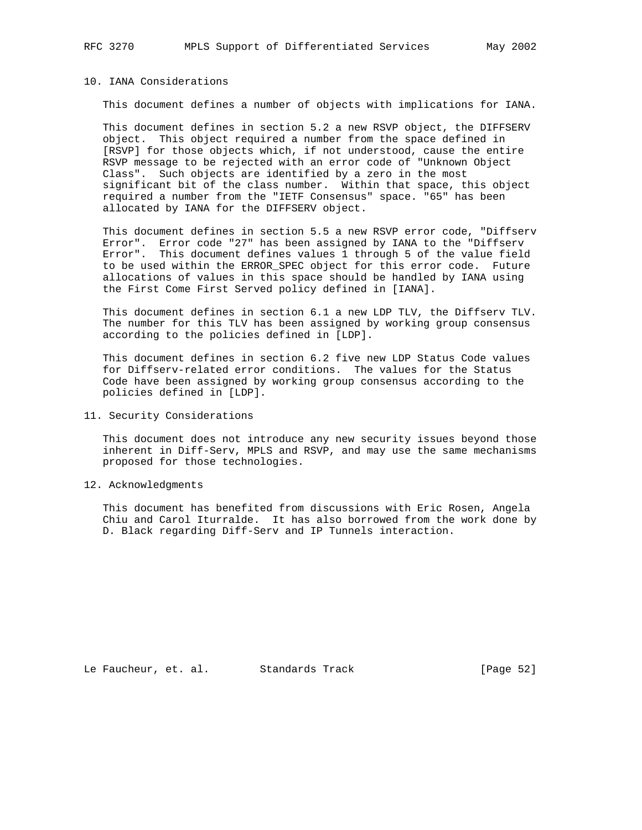## 10. IANA Considerations

This document defines a number of objects with implications for IANA.

 This document defines in section 5.2 a new RSVP object, the DIFFSERV object. This object required a number from the space defined in [RSVP] for those objects which, if not understood, cause the entire RSVP message to be rejected with an error code of "Unknown Object Class". Such objects are identified by a zero in the most significant bit of the class number. Within that space, this object required a number from the "IETF Consensus" space. "65" has been allocated by IANA for the DIFFSERV object.

 This document defines in section 5.5 a new RSVP error code, "Diffserv Error". Error code "27" has been assigned by IANA to the "Diffserv Error". This document defines values 1 through 5 of the value field to be used within the ERROR\_SPEC object for this error code. Future allocations of values in this space should be handled by IANA using the First Come First Served policy defined in [IANA].

 This document defines in section 6.1 a new LDP TLV, the Diffserv TLV. The number for this TLV has been assigned by working group consensus according to the policies defined in [LDP].

 This document defines in section 6.2 five new LDP Status Code values for Diffserv-related error conditions. The values for the Status Code have been assigned by working group consensus according to the policies defined in [LDP].

11. Security Considerations

 This document does not introduce any new security issues beyond those inherent in Diff-Serv, MPLS and RSVP, and may use the same mechanisms proposed for those technologies.

12. Acknowledgments

 This document has benefited from discussions with Eric Rosen, Angela Chiu and Carol Iturralde. It has also borrowed from the work done by D. Black regarding Diff-Serv and IP Tunnels interaction.

Le Faucheur, et. al. Standards Track [Page 52]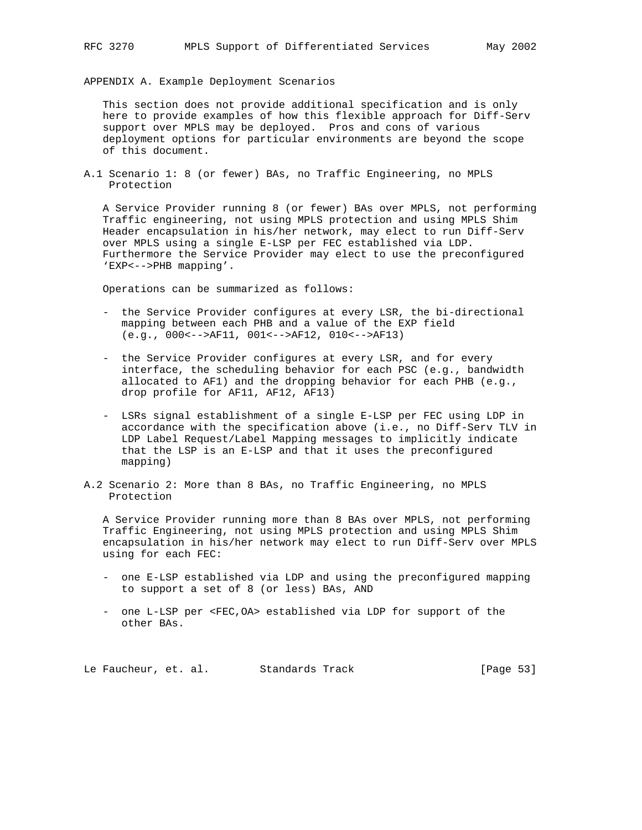APPENDIX A. Example Deployment Scenarios

 This section does not provide additional specification and is only here to provide examples of how this flexible approach for Diff-Serv support over MPLS may be deployed. Pros and cons of various deployment options for particular environments are beyond the scope of this document.

A.1 Scenario 1: 8 (or fewer) BAs, no Traffic Engineering, no MPLS Protection

 A Service Provider running 8 (or fewer) BAs over MPLS, not performing Traffic engineering, not using MPLS protection and using MPLS Shim Header encapsulation in his/her network, may elect to run Diff-Serv over MPLS using a single E-LSP per FEC established via LDP. Furthermore the Service Provider may elect to use the preconfigured 'EXP<-->PHB mapping'.

Operations can be summarized as follows:

- the Service Provider configures at every LSR, the bi-directional mapping between each PHB and a value of the EXP field (e.g., 000<-->AF11, 001<-->AF12, 010<-->AF13)
- the Service Provider configures at every LSR, and for every interface, the scheduling behavior for each PSC (e.g., bandwidth allocated to AF1) and the dropping behavior for each PHB (e.g., drop profile for AF11, AF12, AF13)
- LSRs signal establishment of a single E-LSP per FEC using LDP in accordance with the specification above (i.e., no Diff-Serv TLV in LDP Label Request/Label Mapping messages to implicitly indicate that the LSP is an E-LSP and that it uses the preconfigured mapping)
- A.2 Scenario 2: More than 8 BAs, no Traffic Engineering, no MPLS Protection

 A Service Provider running more than 8 BAs over MPLS, not performing Traffic Engineering, not using MPLS protection and using MPLS Shim encapsulation in his/her network may elect to run Diff-Serv over MPLS using for each FEC:

- one E-LSP established via LDP and using the preconfigured mapping to support a set of 8 (or less) BAs, AND
- one L-LSP per <FEC,OA> established via LDP for support of the other BAs.

Le Faucheur, et. al. Standards Track [Page 53]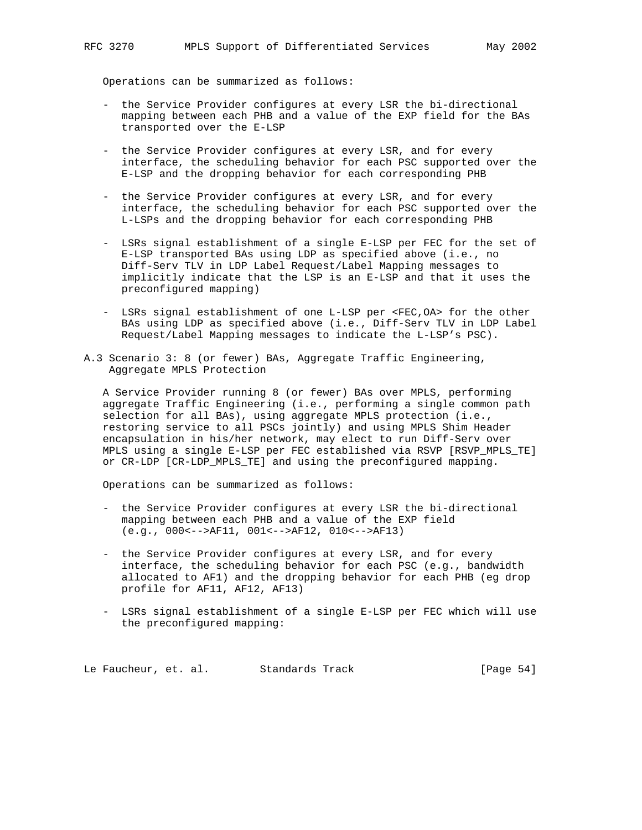Operations can be summarized as follows:

- the Service Provider configures at every LSR the bi-directional mapping between each PHB and a value of the EXP field for the BAs transported over the E-LSP
- the Service Provider configures at every LSR, and for every interface, the scheduling behavior for each PSC supported over the E-LSP and the dropping behavior for each corresponding PHB
- the Service Provider configures at every LSR, and for every interface, the scheduling behavior for each PSC supported over the L-LSPs and the dropping behavior for each corresponding PHB
- LSRs signal establishment of a single E-LSP per FEC for the set of E-LSP transported BAs using LDP as specified above (i.e., no Diff-Serv TLV in LDP Label Request/Label Mapping messages to implicitly indicate that the LSP is an E-LSP and that it uses the preconfigured mapping)
- LSRs signal establishment of one L-LSP per <FEC,OA> for the other BAs using LDP as specified above (i.e., Diff-Serv TLV in LDP Label Request/Label Mapping messages to indicate the L-LSP's PSC).
- A.3 Scenario 3: 8 (or fewer) BAs, Aggregate Traffic Engineering, Aggregate MPLS Protection

 A Service Provider running 8 (or fewer) BAs over MPLS, performing aggregate Traffic Engineering (i.e., performing a single common path selection for all BAs), using aggregate MPLS protection (i.e., restoring service to all PSCs jointly) and using MPLS Shim Header encapsulation in his/her network, may elect to run Diff-Serv over MPLS using a single E-LSP per FEC established via RSVP [RSVP\_MPLS\_TE] or CR-LDP [CR-LDP MPLS TE] and using the preconfigured mapping.

Operations can be summarized as follows:

- the Service Provider configures at every LSR the bi-directional mapping between each PHB and a value of the EXP field (e.g., 000<-->AF11, 001<-->AF12, 010<-->AF13)
- the Service Provider configures at every LSR, and for every interface, the scheduling behavior for each PSC (e.g., bandwidth allocated to AF1) and the dropping behavior for each PHB (eg drop profile for AF11, AF12, AF13)
- LSRs signal establishment of a single E-LSP per FEC which will use the preconfigured mapping:

Le Faucheur, et. al. Standards Track [Page 54]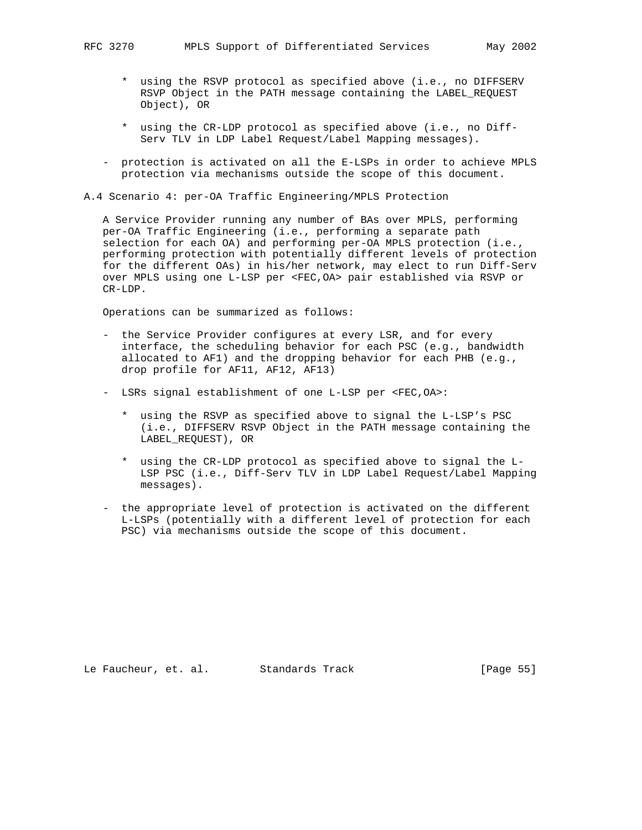- \* using the RSVP protocol as specified above (i.e., no DIFFSERV RSVP Object in the PATH message containing the LABEL\_REQUEST Object), OR
- \* using the CR-LDP protocol as specified above (i.e., no Diff- Serv TLV in LDP Label Request/Label Mapping messages).
- protection is activated on all the E-LSPs in order to achieve MPLS protection via mechanisms outside the scope of this document.
- A.4 Scenario 4: per-OA Traffic Engineering/MPLS Protection

 A Service Provider running any number of BAs over MPLS, performing per-OA Traffic Engineering (i.e., performing a separate path selection for each OA) and performing per-OA MPLS protection (i.e., performing protection with potentially different levels of protection for the different OAs) in his/her network, may elect to run Diff-Serv over MPLS using one L-LSP per <FEC,OA> pair established via RSVP or CR-LDP.

Operations can be summarized as follows:

- the Service Provider configures at every LSR, and for every interface, the scheduling behavior for each PSC (e.g., bandwidth allocated to AF1) and the dropping behavior for each PHB (e.g., drop profile for AF11, AF12, AF13)
- LSRs signal establishment of one L-LSP per <FEC,OA>:
	- \* using the RSVP as specified above to signal the L-LSP's PSC (i.e., DIFFSERV RSVP Object in the PATH message containing the LABEL\_REQUEST), OR
	- \* using the CR-LDP protocol as specified above to signal the L- LSP PSC (i.e., Diff-Serv TLV in LDP Label Request/Label Mapping messages).
- the appropriate level of protection is activated on the different L-LSPs (potentially with a different level of protection for each PSC) via mechanisms outside the scope of this document.

Le Faucheur, et. al. Standards Track [Page 55]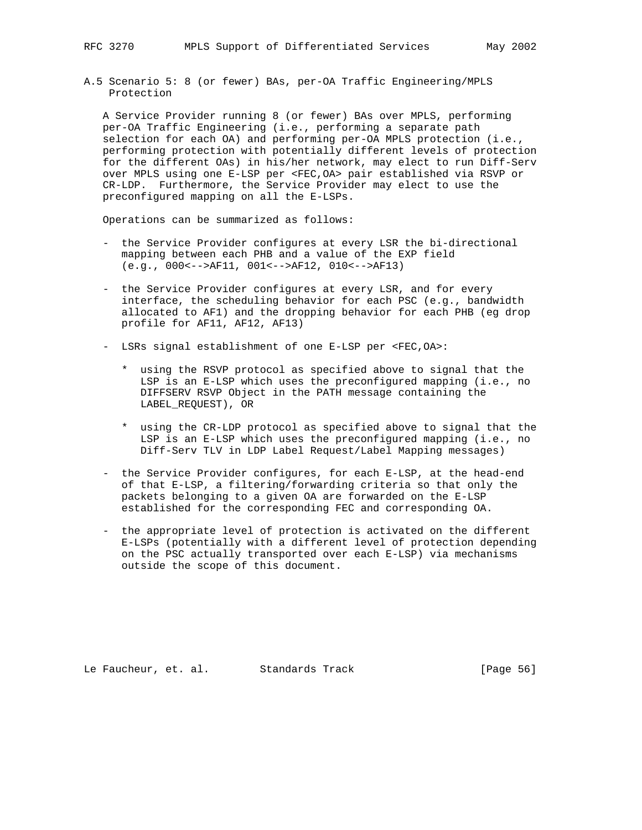A.5 Scenario 5: 8 (or fewer) BAs, per-OA Traffic Engineering/MPLS Protection

 A Service Provider running 8 (or fewer) BAs over MPLS, performing per-OA Traffic Engineering (i.e., performing a separate path selection for each OA) and performing per-OA MPLS protection (i.e., performing protection with potentially different levels of protection for the different OAs) in his/her network, may elect to run Diff-Serv over MPLS using one E-LSP per <FEC,OA> pair established via RSVP or CR-LDP. Furthermore, the Service Provider may elect to use the preconfigured mapping on all the E-LSPs.

Operations can be summarized as follows:

- the Service Provider configures at every LSR the bi-directional mapping between each PHB and a value of the EXP field (e.g., 000<-->AF11, 001<-->AF12, 010<-->AF13)
- the Service Provider configures at every LSR, and for every interface, the scheduling behavior for each PSC (e.g., bandwidth allocated to AF1) and the dropping behavior for each PHB (eg drop profile for AF11, AF12, AF13)
- LSRs signal establishment of one E-LSP per <FEC,OA>:
	- \* using the RSVP protocol as specified above to signal that the LSP is an E-LSP which uses the preconfigured mapping (i.e., no DIFFSERV RSVP Object in the PATH message containing the LABEL\_REQUEST), OR
	- \* using the CR-LDP protocol as specified above to signal that the LSP is an E-LSP which uses the preconfigured mapping (i.e., no Diff-Serv TLV in LDP Label Request/Label Mapping messages)
- the Service Provider configures, for each E-LSP, at the head-end of that E-LSP, a filtering/forwarding criteria so that only the packets belonging to a given OA are forwarded on the E-LSP established for the corresponding FEC and corresponding OA.
- the appropriate level of protection is activated on the different E-LSPs (potentially with a different level of protection depending on the PSC actually transported over each E-LSP) via mechanisms outside the scope of this document.

Le Faucheur, et. al. Standards Track [Page 56]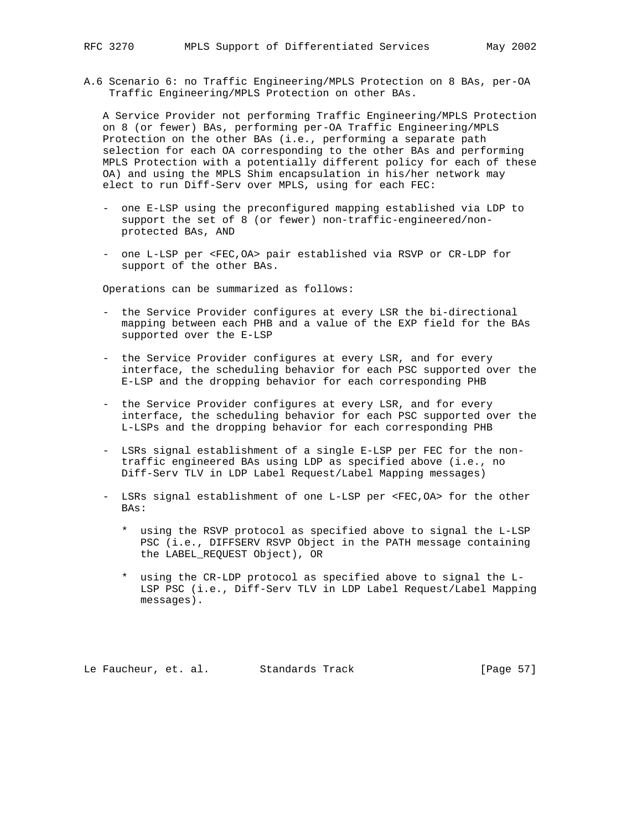A.6 Scenario 6: no Traffic Engineering/MPLS Protection on 8 BAs, per-OA Traffic Engineering/MPLS Protection on other BAs.

 A Service Provider not performing Traffic Engineering/MPLS Protection on 8 (or fewer) BAs, performing per-OA Traffic Engineering/MPLS Protection on the other BAs (i.e., performing a separate path selection for each OA corresponding to the other BAs and performing MPLS Protection with a potentially different policy for each of these OA) and using the MPLS Shim encapsulation in his/her network may elect to run Diff-Serv over MPLS, using for each FEC:

- one E-LSP using the preconfigured mapping established via LDP to support the set of 8 (or fewer) non-traffic-engineered/non protected BAs, AND
- one L-LSP per <FEC,OA> pair established via RSVP or CR-LDP for support of the other BAs.

Operations can be summarized as follows:

- the Service Provider configures at every LSR the bi-directional mapping between each PHB and a value of the EXP field for the BAs supported over the E-LSP
- the Service Provider configures at every LSR, and for every interface, the scheduling behavior for each PSC supported over the E-LSP and the dropping behavior for each corresponding PHB
- the Service Provider configures at every LSR, and for every interface, the scheduling behavior for each PSC supported over the L-LSPs and the dropping behavior for each corresponding PHB
- LSRs signal establishment of a single E-LSP per FEC for the non traffic engineered BAs using LDP as specified above (i.e., no Diff-Serv TLV in LDP Label Request/Label Mapping messages)
- LSRs signal establishment of one L-LSP per <FEC,OA> for the other BAs:
	- \* using the RSVP protocol as specified above to signal the L-LSP PSC (i.e., DIFFSERV RSVP Object in the PATH message containing the LABEL\_REQUEST Object), OR
	- \* using the CR-LDP protocol as specified above to signal the L- LSP PSC (i.e., Diff-Serv TLV in LDP Label Request/Label Mapping messages).

Le Faucheur, et. al. Standards Track [Page 57]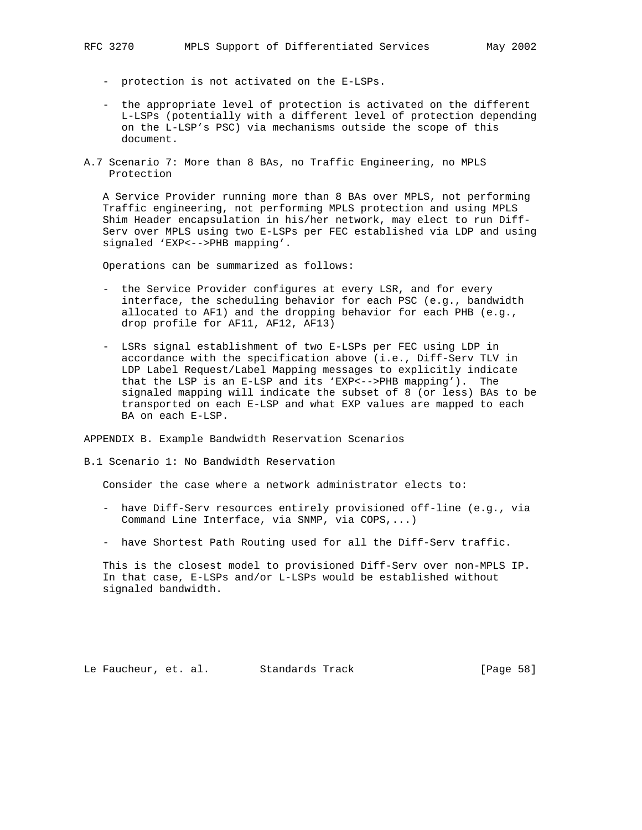- protection is not activated on the E-LSPs.
- the appropriate level of protection is activated on the different L-LSPs (potentially with a different level of protection depending on the L-LSP's PSC) via mechanisms outside the scope of this document.
- A.7 Scenario 7: More than 8 BAs, no Traffic Engineering, no MPLS Protection

 A Service Provider running more than 8 BAs over MPLS, not performing Traffic engineering, not performing MPLS protection and using MPLS Shim Header encapsulation in his/her network, may elect to run Diff- Serv over MPLS using two E-LSPs per FEC established via LDP and using signaled 'EXP<-->PHB mapping'.

Operations can be summarized as follows:

- the Service Provider configures at every LSR, and for every interface, the scheduling behavior for each PSC (e.g., bandwidth allocated to AF1) and the dropping behavior for each PHB (e.g., drop profile for AF11, AF12, AF13)
- LSRs signal establishment of two E-LSPs per FEC using LDP in accordance with the specification above (i.e., Diff-Serv TLV in LDP Label Request/Label Mapping messages to explicitly indicate that the LSP is an E-LSP and its 'EXP<-->PHB mapping'). The signaled mapping will indicate the subset of 8 (or less) BAs to be transported on each E-LSP and what EXP values are mapped to each BA on each E-LSP.

APPENDIX B. Example Bandwidth Reservation Scenarios

#### B.1 Scenario 1: No Bandwidth Reservation

Consider the case where a network administrator elects to:

- have Diff-Serv resources entirely provisioned off-line (e.g., via Command Line Interface, via SNMP, via COPS,...)
- have Shortest Path Routing used for all the Diff-Serv traffic.

 This is the closest model to provisioned Diff-Serv over non-MPLS IP. In that case, E-LSPs and/or L-LSPs would be established without signaled bandwidth.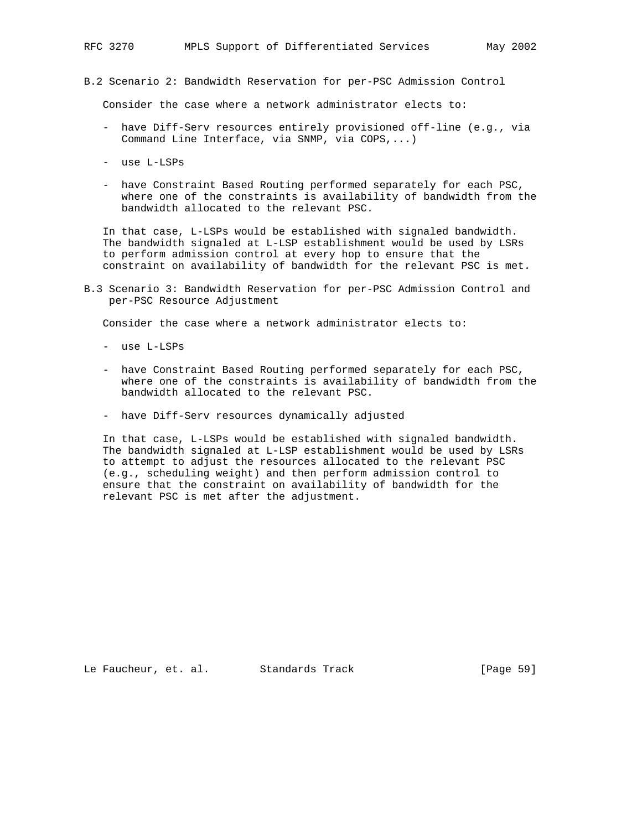B.2 Scenario 2: Bandwidth Reservation for per-PSC Admission Control

Consider the case where a network administrator elects to:

- have Diff-Serv resources entirely provisioned off-line (e.g., via Command Line Interface, via SNMP, via COPS,...)
- use L-LSPs
- have Constraint Based Routing performed separately for each PSC, where one of the constraints is availability of bandwidth from the bandwidth allocated to the relevant PSC.

 In that case, L-LSPs would be established with signaled bandwidth. The bandwidth signaled at L-LSP establishment would be used by LSRs to perform admission control at every hop to ensure that the constraint on availability of bandwidth for the relevant PSC is met.

B.3 Scenario 3: Bandwidth Reservation for per-PSC Admission Control and per-PSC Resource Adjustment

Consider the case where a network administrator elects to:

- use L-LSPs
- have Constraint Based Routing performed separately for each PSC, where one of the constraints is availability of bandwidth from the bandwidth allocated to the relevant PSC.
- have Diff-Serv resources dynamically adjusted

 In that case, L-LSPs would be established with signaled bandwidth. The bandwidth signaled at L-LSP establishment would be used by LSRs to attempt to adjust the resources allocated to the relevant PSC (e.g., scheduling weight) and then perform admission control to ensure that the constraint on availability of bandwidth for the relevant PSC is met after the adjustment.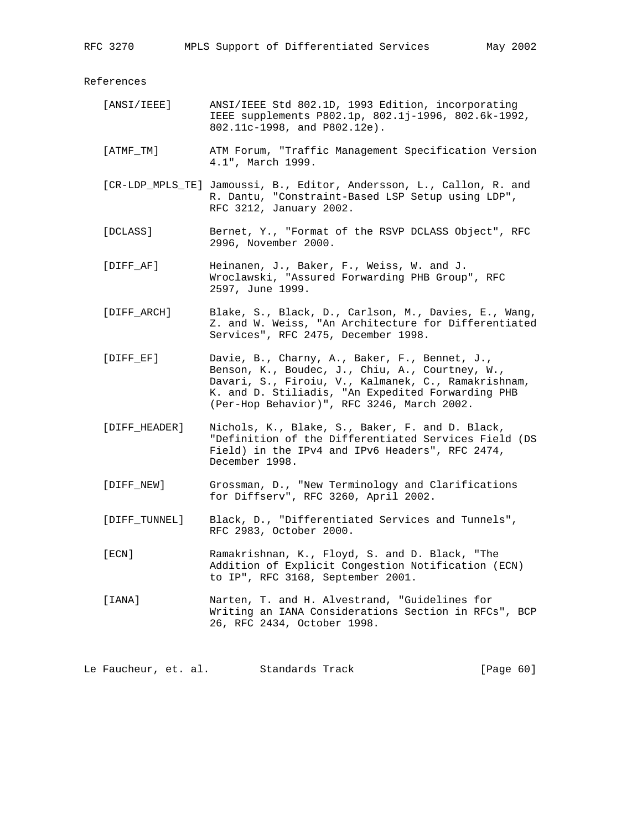References

- [ANSI/IEEE] ANSI/IEEE Std 802.1D, 1993 Edition, incorporating IEEE supplements P802.1p, 802.1j-1996, 802.6k-1992, 802.11c-1998, and P802.12e).
- [ATMF\_TM] ATM Forum, "Traffic Management Specification Version 4.1", March 1999.
- [CR-LDP\_MPLS\_TE] Jamoussi, B., Editor, Andersson, L., Callon, R. and R. Dantu, "Constraint-Based LSP Setup using LDP", RFC 3212, January 2002.
- [DCLASS] Bernet, Y., "Format of the RSVP DCLASS Object", RFC 2996, November 2000.
- [DIFF\_AF] Heinanen, J., Baker, F., Weiss, W. and J. Wroclawski, "Assured Forwarding PHB Group", RFC 2597, June 1999.
- [DIFF\_ARCH] Blake, S., Black, D., Carlson, M., Davies, E., Wang, Z. and W. Weiss, "An Architecture for Differentiated Services", RFC 2475, December 1998.
- [DIFF\_EF] Davie, B., Charny, A., Baker, F., Bennet, J., Benson, K., Boudec, J., Chiu, A., Courtney, W., Davari, S., Firoiu, V., Kalmanek, C., Ramakrishnam, K. and D. Stiliadis, "An Expedited Forwarding PHB (Per-Hop Behavior)", RFC 3246, March 2002.
	- [DIFF\_HEADER] Nichols, K., Blake, S., Baker, F. and D. Black, "Definition of the Differentiated Services Field (DS Field) in the IPv4 and IPv6 Headers", RFC 2474, December 1998.
	- [DIFF\_NEW] Grossman, D., "New Terminology and Clarifications for Diffserv", RFC 3260, April 2002.
	- [DIFF\_TUNNEL] Black, D., "Differentiated Services and Tunnels", RFC 2983, October 2000.
	- [ECN] Ramakrishnan, K., Floyd, S. and D. Black, "The Addition of Explicit Congestion Notification (ECN) to IP", RFC 3168, September 2001.
	- [IANA] Narten, T. and H. Alvestrand, "Guidelines for Writing an IANA Considerations Section in RFCs", BCP 26, RFC 2434, October 1998.

Le Faucheur, et. al. Standards Track [Page 60]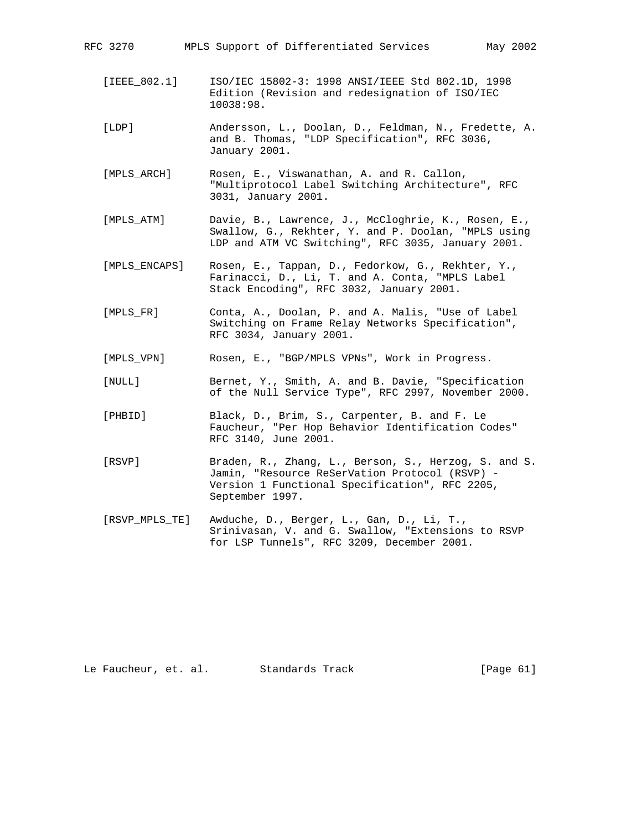| RFC 3270 |              | MPLS Support of Differentiated Services          |  |  |  |  | May 2002 |
|----------|--------------|--------------------------------------------------|--|--|--|--|----------|
|          |              |                                                  |  |  |  |  |          |
|          | [IEEE 802.1] | ISO/IEC 15802-3: 1998 ANSI/IEEE Std 802.1D, 1998 |  |  |  |  |          |
|          |              | Edition (Revision and redesignation of ISO/IEC   |  |  |  |  |          |

10038:98.

 [LDP] Andersson, L., Doolan, D., Feldman, N., Fredette, A. and B. Thomas, "LDP Specification", RFC 3036, January 2001.

 [MPLS\_ARCH] Rosen, E., Viswanathan, A. and R. Callon, "Multiprotocol Label Switching Architecture", RFC 3031, January 2001.

 [MPLS\_ATM] Davie, B., Lawrence, J., McCloghrie, K., Rosen, E., Swallow, G., Rekhter, Y. and P. Doolan, "MPLS using LDP and ATM VC Switching", RFC 3035, January 2001.

 [MPLS\_ENCAPS] Rosen, E., Tappan, D., Fedorkow, G., Rekhter, Y., Farinacci, D., Li, T. and A. Conta, "MPLS Label Stack Encoding", RFC 3032, January 2001.

 [MPLS\_FR] Conta, A., Doolan, P. and A. Malis, "Use of Label Switching on Frame Relay Networks Specification", RFC 3034, January 2001.

[MPLS\_VPN] Rosen, E., "BGP/MPLS VPNs", Work in Progress.

- [NULL] Bernet, Y., Smith, A. and B. Davie, "Specification of the Null Service Type", RFC 2997, November 2000.
- [PHBID] Black, D., Brim, S., Carpenter, B. and F. Le Faucheur, "Per Hop Behavior Identification Codes" RFC 3140, June 2001.
- [RSVP] Braden, R., Zhang, L., Berson, S., Herzog, S. and S. Jamin, "Resource ReSerVation Protocol (RSVP) - Version 1 Functional Specification", RFC 2205, September 1997.
- [RSVP\_MPLS\_TE] Awduche, D., Berger, L., Gan, D., Li, T., Srinivasan, V. and G. Swallow, "Extensions to RSVP for LSP Tunnels", RFC 3209, December 2001.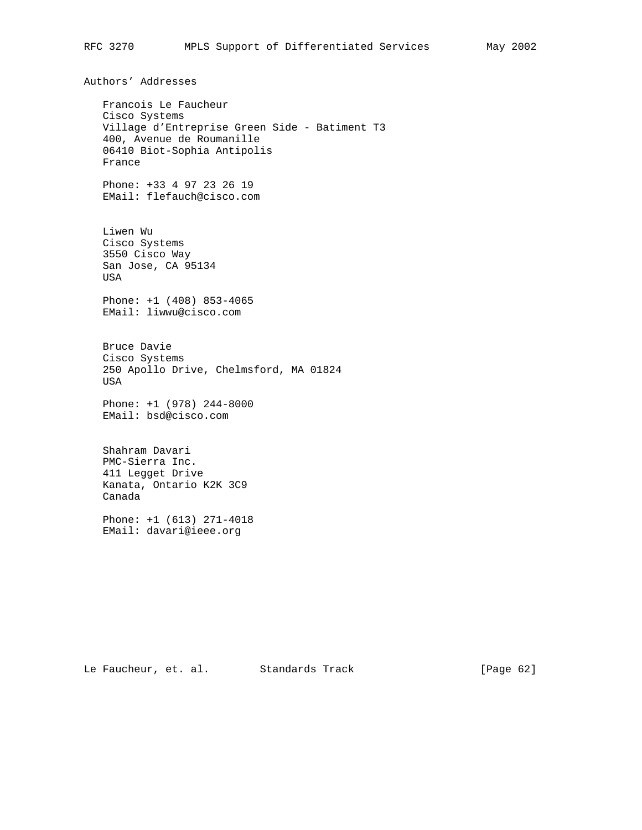Authors' Addresses Francois Le Faucheur Cisco Systems Village d'Entreprise Green Side - Batiment T3 400, Avenue de Roumanille 06410 Biot-Sophia Antipolis France Phone: +33 4 97 23 26 19 EMail: flefauch@cisco.com Liwen Wu Cisco Systems 3550 Cisco Way San Jose, CA 95134 USA Phone: +1 (408) 853-4065 EMail: liwwu@cisco.com Bruce Davie Cisco Systems 250 Apollo Drive, Chelmsford, MA 01824 USA Phone: +1 (978) 244-8000 EMail: bsd@cisco.com Shahram Davari PMC-Sierra Inc. 411 Legget Drive Kanata, Ontario K2K 3C9 Canada Phone: +1 (613) 271-4018 EMail: davari@ieee.org

Le Faucheur, et. al. Standards Track [Page 62]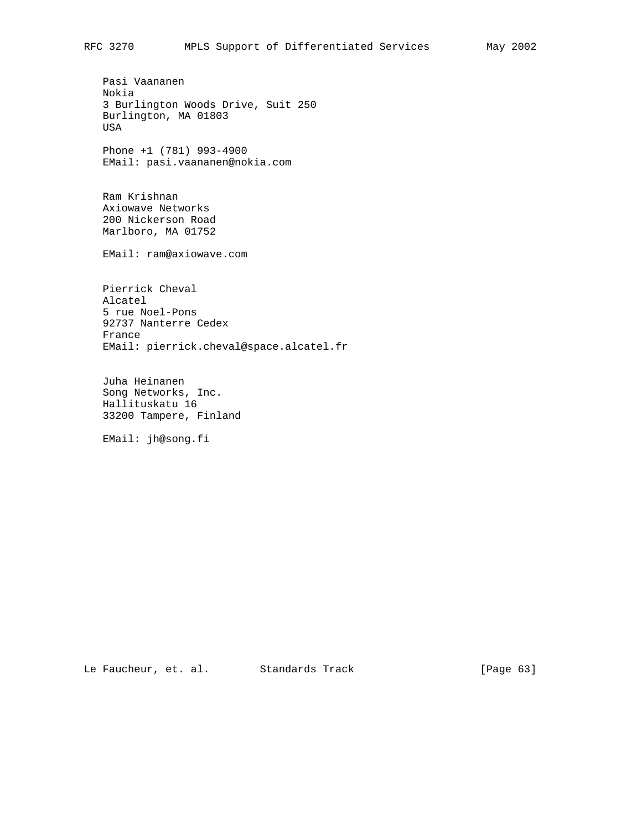Pasi Vaananen Nokia 3 Burlington Woods Drive, Suit 250 Burlington, MA 01803 USA

 Phone +1 (781) 993-4900 EMail: pasi.vaananen@nokia.com

 Ram Krishnan Axiowave Networks 200 Nickerson Road Marlboro, MA 01752

EMail: ram@axiowave.com

 Pierrick Cheval Alcatel 5 rue Noel-Pons 92737 Nanterre Cedex France EMail: pierrick.cheval@space.alcatel.fr

 Juha Heinanen Song Networks, Inc. Hallituskatu 16 33200 Tampere, Finland

EMail: jh@song.fi

Le Faucheur, et. al. Standards Track [Page 63]